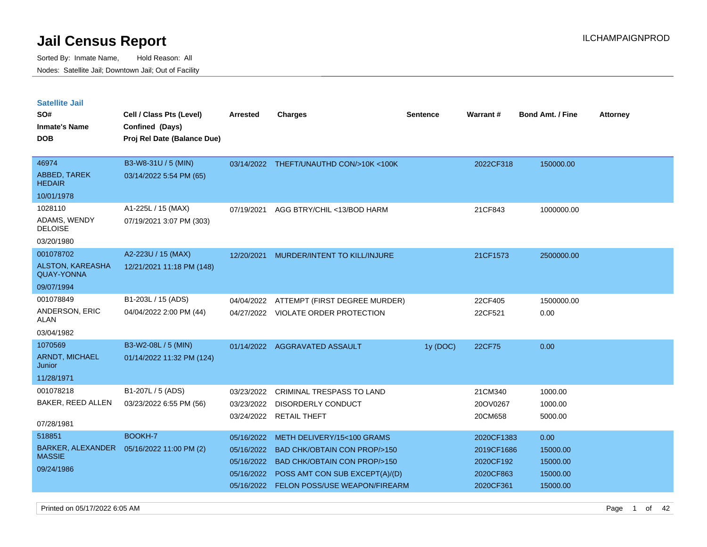| <b>Satellite Jail</b>                        |                                           |                 |                                         |                 |            |                         |                 |
|----------------------------------------------|-------------------------------------------|-----------------|-----------------------------------------|-----------------|------------|-------------------------|-----------------|
| SO#                                          | Cell / Class Pts (Level)                  | <b>Arrested</b> | <b>Charges</b>                          | <b>Sentence</b> | Warrant#   | <b>Bond Amt. / Fine</b> | <b>Attorney</b> |
| <b>Inmate's Name</b>                         | Confined (Days)                           |                 |                                         |                 |            |                         |                 |
| <b>DOB</b>                                   | Proj Rel Date (Balance Due)               |                 |                                         |                 |            |                         |                 |
|                                              |                                           |                 |                                         |                 |            |                         |                 |
| 46974                                        | B3-W8-31U / 5 (MIN)                       |                 | 03/14/2022 THEFT/UNAUTHD CON/>10K <100K |                 | 2022CF318  | 150000.00               |                 |
| <b>ABBED, TAREK</b><br><b>HEDAIR</b>         | 03/14/2022 5:54 PM (65)                   |                 |                                         |                 |            |                         |                 |
| 10/01/1978                                   |                                           |                 |                                         |                 |            |                         |                 |
| 1028110                                      | A1-225L / 15 (MAX)                        | 07/19/2021      | AGG BTRY/CHIL <13/BOD HARM              |                 | 21CF843    | 1000000.00              |                 |
| ADAMS, WENDY<br><b>DELOISE</b>               | 07/19/2021 3:07 PM (303)                  |                 |                                         |                 |            |                         |                 |
| 03/20/1980                                   |                                           |                 |                                         |                 |            |                         |                 |
| 001078702                                    | A2-223U / 15 (MAX)                        | 12/20/2021      | MURDER/INTENT TO KILL/INJURE            |                 | 21CF1573   | 2500000.00              |                 |
| <b>ALSTON, KAREASHA</b><br><b>QUAY-YONNA</b> | 12/21/2021 11:18 PM (148)                 |                 |                                         |                 |            |                         |                 |
| 09/07/1994                                   |                                           |                 |                                         |                 |            |                         |                 |
| 001078849                                    | B1-203L / 15 (ADS)                        | 04/04/2022      | ATTEMPT (FIRST DEGREE MURDER)           |                 | 22CF405    | 1500000.00              |                 |
| ANDERSON, ERIC<br>ALAN                       | 04/04/2022 2:00 PM (44)                   |                 | 04/27/2022 VIOLATE ORDER PROTECTION     |                 | 22CF521    | 0.00                    |                 |
| 03/04/1982                                   |                                           |                 |                                         |                 |            |                         |                 |
| 1070569                                      | B3-W2-08L / 5 (MIN)                       |                 | 01/14/2022 AGGRAVATED ASSAULT           | 1y (DOC)        | 22CF75     | 0.00                    |                 |
| <b>ARNDT, MICHAEL</b><br>Junior              | 01/14/2022 11:32 PM (124)                 |                 |                                         |                 |            |                         |                 |
| 11/28/1971                                   |                                           |                 |                                         |                 |            |                         |                 |
| 001078218                                    | B1-207L / 5 (ADS)                         | 03/23/2022      | <b>CRIMINAL TRESPASS TO LAND</b>        |                 | 21CM340    | 1000.00                 |                 |
| BAKER, REED ALLEN                            | 03/23/2022 6:55 PM (56)                   | 03/23/2022      | <b>DISORDERLY CONDUCT</b>               |                 | 20OV0267   | 1000.00                 |                 |
|                                              |                                           |                 | 03/24/2022 RETAIL THEFT                 |                 | 20CM658    | 5000.00                 |                 |
| 07/28/1981                                   |                                           |                 |                                         |                 |            |                         |                 |
| 518851                                       | BOOKH-7                                   | 05/16/2022      | METH DELIVERY/15<100 GRAMS              |                 | 2020CF1383 | 0.00                    |                 |
| <b>MASSIE</b>                                | BARKER, ALEXANDER 05/16/2022 11:00 PM (2) | 05/16/2022      | <b>BAD CHK/OBTAIN CON PROP/&gt;150</b>  |                 | 2019CF1686 | 15000.00                |                 |
| 09/24/1986                                   |                                           | 05/16/2022      | <b>BAD CHK/OBTAIN CON PROP/&gt;150</b>  |                 | 2020CF192  | 15000.00                |                 |
|                                              |                                           | 05/16/2022      | POSS AMT CON SUB EXCEPT(A)/(D)          |                 | 2020CF863  | 15000.00                |                 |
|                                              |                                           | 05/16/2022      | FELON POSS/USE WEAPON/FIREARM           |                 | 2020CF361  | 15000.00                |                 |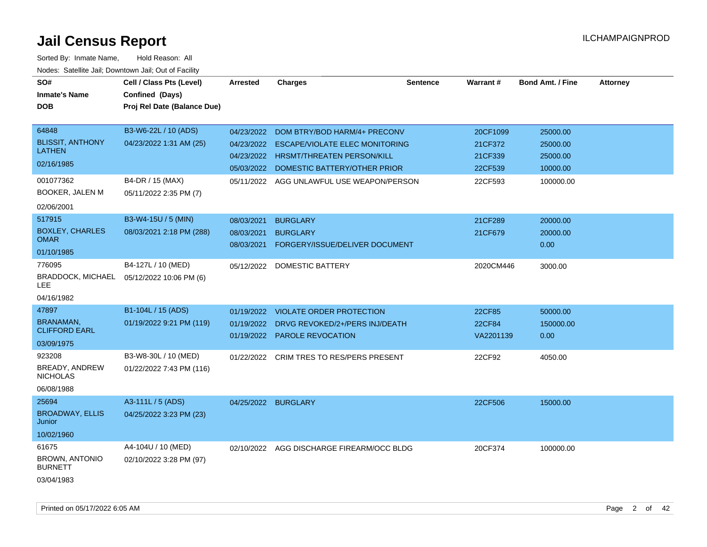| SO#                              | Cell / Class Pts (Level)    | <b>Arrested</b>     | <b>Charges</b>                            | <b>Sentence</b> | Warrant#      | <b>Bond Amt. / Fine</b> | <b>Attorney</b> |
|----------------------------------|-----------------------------|---------------------|-------------------------------------------|-----------------|---------------|-------------------------|-----------------|
| <b>Inmate's Name</b>             | Confined (Days)             |                     |                                           |                 |               |                         |                 |
| <b>DOB</b>                       | Proj Rel Date (Balance Due) |                     |                                           |                 |               |                         |                 |
|                                  |                             |                     |                                           |                 |               |                         |                 |
| 64848                            | B3-W6-22L / 10 (ADS)        | 04/23/2022          | DOM BTRY/BOD HARM/4+ PRECONV              |                 | 20CF1099      | 25000.00                |                 |
| <b>BLISSIT, ANTHONY</b>          | 04/23/2022 1:31 AM (25)     | 04/23/2022          | <b>ESCAPE/VIOLATE ELEC MONITORING</b>     |                 | 21CF372       | 25000.00                |                 |
| <b>LATHEN</b>                    |                             | 04/23/2022          | <b>HRSMT/THREATEN PERSON/KILL</b>         |                 | 21CF339       | 25000.00                |                 |
| 02/16/1985                       |                             | 05/03/2022          | DOMESTIC BATTERY/OTHER PRIOR              |                 | 22CF539       | 10000.00                |                 |
| 001077362                        | B4-DR / 15 (MAX)            | 05/11/2022          | AGG UNLAWFUL USE WEAPON/PERSON            |                 | 22CF593       | 100000.00               |                 |
| <b>BOOKER, JALEN M</b>           | 05/11/2022 2:35 PM (7)      |                     |                                           |                 |               |                         |                 |
| 02/06/2001                       |                             |                     |                                           |                 |               |                         |                 |
| 517915                           | B3-W4-15U / 5 (MIN)         | 08/03/2021          | <b>BURGLARY</b>                           |                 | 21CF289       | 20000.00                |                 |
| <b>BOXLEY, CHARLES</b>           | 08/03/2021 2:18 PM (288)    | 08/03/2021          | <b>BURGLARY</b>                           |                 | 21CF679       | 20000.00                |                 |
| <b>OMAR</b>                      |                             | 08/03/2021          | FORGERY/ISSUE/DELIVER DOCUMENT            |                 |               | 0.00                    |                 |
| 01/10/1985                       |                             |                     |                                           |                 |               |                         |                 |
| 776095                           | B4-127L / 10 (MED)          |                     | 05/12/2022 DOMESTIC BATTERY               |                 | 2020CM446     | 3000.00                 |                 |
| <b>BRADDOCK, MICHAEL</b><br>LEE  | 05/12/2022 10:06 PM (6)     |                     |                                           |                 |               |                         |                 |
| 04/16/1982                       |                             |                     |                                           |                 |               |                         |                 |
| 47897                            | B1-104L / 15 (ADS)          | 01/19/2022          | <b>VIOLATE ORDER PROTECTION</b>           |                 | 22CF85        | 50000.00                |                 |
| <b>BRANAMAN,</b>                 | 01/19/2022 9:21 PM (119)    | 01/19/2022          | DRVG REVOKED/2+/PERS INJ/DEATH            |                 | <b>22CF84</b> | 150000.00               |                 |
| <b>CLIFFORD EARL</b>             |                             |                     | 01/19/2022 PAROLE REVOCATION              |                 | VA2201139     | 0.00                    |                 |
| 03/09/1975                       |                             |                     |                                           |                 |               |                         |                 |
| 923208                           | B3-W8-30L / 10 (MED)        |                     | 01/22/2022 CRIM TRES TO RES/PERS PRESENT  |                 | 22CF92        | 4050.00                 |                 |
| BREADY, ANDREW                   | 01/22/2022 7:43 PM (116)    |                     |                                           |                 |               |                         |                 |
| <b>NICHOLAS</b>                  |                             |                     |                                           |                 |               |                         |                 |
| 06/08/1988                       |                             |                     |                                           |                 |               |                         |                 |
| 25694                            | A3-111L / 5 (ADS)           | 04/25/2022 BURGLARY |                                           |                 | 22CF506       | 15000.00                |                 |
| <b>BROADWAY, ELLIS</b><br>Junior | 04/25/2022 3:23 PM (23)     |                     |                                           |                 |               |                         |                 |
| 10/02/1960                       |                             |                     |                                           |                 |               |                         |                 |
| 61675                            | A4-104U / 10 (MED)          |                     | 02/10/2022 AGG DISCHARGE FIREARM/OCC BLDG |                 | 20CF374       | 100000.00               |                 |
| <b>BROWN, ANTONIO</b>            | 02/10/2022 3:28 PM (97)     |                     |                                           |                 |               |                         |                 |
| BURNETT                          |                             |                     |                                           |                 |               |                         |                 |
| 03/04/1983                       |                             |                     |                                           |                 |               |                         |                 |
|                                  |                             |                     |                                           |                 |               |                         |                 |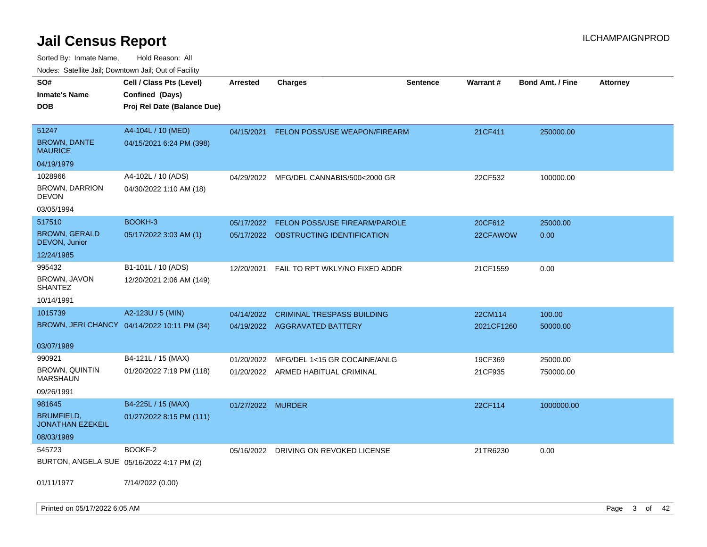Sorted By: Inmate Name, Hold Reason: All Nodes: Satellite Jail; Downtown Jail; Out of Facility

| ivodes. Satellite Jali, Downtown Jali, Out of Facility |                                             |                   |                                         |                 |            |                         |                 |
|--------------------------------------------------------|---------------------------------------------|-------------------|-----------------------------------------|-----------------|------------|-------------------------|-----------------|
| SO#                                                    | Cell / Class Pts (Level)                    | <b>Arrested</b>   | <b>Charges</b>                          | <b>Sentence</b> | Warrant#   | <b>Bond Amt. / Fine</b> | <b>Attorney</b> |
| Inmate's Name                                          | Confined (Days)                             |                   |                                         |                 |            |                         |                 |
| DOB                                                    | Proj Rel Date (Balance Due)                 |                   |                                         |                 |            |                         |                 |
|                                                        |                                             |                   |                                         |                 |            |                         |                 |
| 51247                                                  | A4-104L / 10 (MED)                          | 04/15/2021        | <b>FELON POSS/USE WEAPON/FIREARM</b>    |                 | 21CF411    | 250000.00               |                 |
| <b>BROWN, DANTE</b><br>MAURICE                         | 04/15/2021 6:24 PM (398)                    |                   |                                         |                 |            |                         |                 |
| 04/19/1979                                             |                                             |                   |                                         |                 |            |                         |                 |
| 1028966                                                | A4-102L / 10 (ADS)                          |                   | 04/29/2022 MFG/DEL CANNABIS/500<2000 GR |                 | 22CF532    | 100000.00               |                 |
| <b>BROWN, DARRION</b><br>DEVON                         | 04/30/2022 1:10 AM (18)                     |                   |                                         |                 |            |                         |                 |
| 03/05/1994                                             |                                             |                   |                                         |                 |            |                         |                 |
| 517510                                                 | BOOKH-3                                     | 05/17/2022        | <b>FELON POSS/USE FIREARM/PAROLE</b>    |                 | 20CF612    | 25000.00                |                 |
| <b>BROWN, GERALD</b><br>DEVON, Junior                  | 05/17/2022 3:03 AM (1)                      |                   | 05/17/2022 OBSTRUCTING IDENTIFICATION   |                 | 22CFAWOW   | 0.00                    |                 |
| 12/24/1985                                             |                                             |                   |                                         |                 |            |                         |                 |
| 995432                                                 | B1-101L / 10 (ADS)                          | 12/20/2021        | FAIL TO RPT WKLY/NO FIXED ADDR          |                 | 21CF1559   | 0.00                    |                 |
| BROWN, JAVON<br>SHANTEZ                                | 12/20/2021 2:06 AM (149)                    |                   |                                         |                 |            |                         |                 |
| 10/14/1991                                             |                                             |                   |                                         |                 |            |                         |                 |
| 1015739                                                | A2-123U / 5 (MIN)                           | 04/14/2022        | <b>CRIMINAL TRESPASS BUILDING</b>       |                 | 22CM114    | 100.00                  |                 |
|                                                        | BROWN, JERI CHANCY 04/14/2022 10:11 PM (34) |                   | 04/19/2022 AGGRAVATED BATTERY           |                 | 2021CF1260 | 50000.00                |                 |
|                                                        |                                             |                   |                                         |                 |            |                         |                 |
| 03/07/1989                                             |                                             |                   |                                         |                 |            |                         |                 |
| 990921                                                 | B4-121L / 15 (MAX)                          | 01/20/2022        | MFG/DEL 1<15 GR COCAINE/ANLG            |                 | 19CF369    | 25000.00                |                 |
| <b>BROWN, QUINTIN</b><br>MARSHAUN                      | 01/20/2022 7:19 PM (118)                    |                   | 01/20/2022 ARMED HABITUAL CRIMINAL      |                 | 21CF935    | 750000.00               |                 |
| 09/26/1991                                             |                                             |                   |                                         |                 |            |                         |                 |
| 981645                                                 | B4-225L / 15 (MAX)                          | 01/27/2022 MURDER |                                         |                 | 22CF114    | 1000000.00              |                 |
| <b>BRUMFIELD,</b><br>JONATHAN EZEKEIL                  | 01/27/2022 8:15 PM (111)                    |                   |                                         |                 |            |                         |                 |
| 08/03/1989                                             |                                             |                   |                                         |                 |            |                         |                 |
| 545723                                                 | BOOKF-2                                     |                   | 05/16/2022 DRIVING ON REVOKED LICENSE   |                 | 21TR6230   | 0.00                    |                 |
| BURTON, ANGELA SUE 05/16/2022 4:17 PM (2)              |                                             |                   |                                         |                 |            |                         |                 |
|                                                        |                                             |                   |                                         |                 |            |                         |                 |
| 01/11/1977                                             | 7/14/2022 (0.00)                            |                   |                                         |                 |            |                         |                 |
|                                                        |                                             |                   |                                         |                 |            |                         |                 |

Printed on 05/17/2022 6:05 AM Page 3 of 42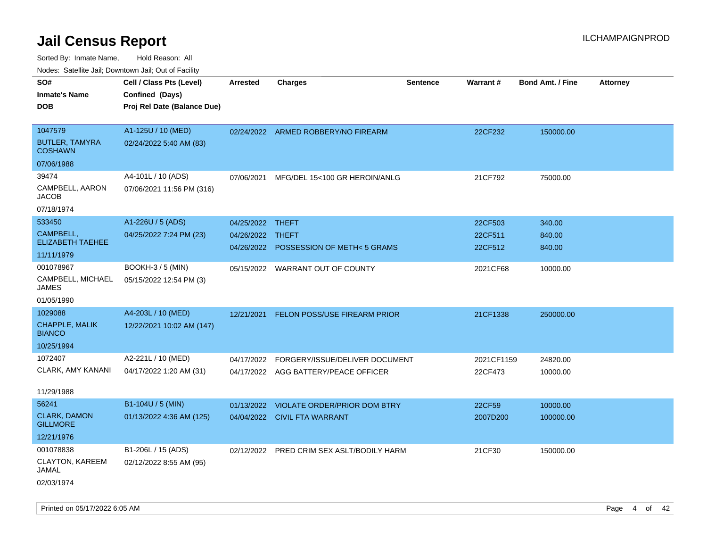| Nodes. Satellite Jali, Downtown Jali, Out of Facility |                             |                  |                                           |                 |                 |                         |                 |
|-------------------------------------------------------|-----------------------------|------------------|-------------------------------------------|-----------------|-----------------|-------------------------|-----------------|
| SO#                                                   | Cell / Class Pts (Level)    | Arrested         | <b>Charges</b>                            | <b>Sentence</b> | <b>Warrant#</b> | <b>Bond Amt. / Fine</b> | <b>Attorney</b> |
| <b>Inmate's Name</b>                                  | Confined (Days)             |                  |                                           |                 |                 |                         |                 |
| <b>DOB</b>                                            | Proj Rel Date (Balance Due) |                  |                                           |                 |                 |                         |                 |
|                                                       |                             |                  |                                           |                 |                 |                         |                 |
| 1047579                                               | A1-125U / 10 (MED)          |                  | 02/24/2022 ARMED ROBBERY/NO FIREARM       |                 | 22CF232         | 150000.00               |                 |
| <b>BUTLER, TAMYRA</b><br><b>COSHAWN</b>               | 02/24/2022 5:40 AM (83)     |                  |                                           |                 |                 |                         |                 |
| 07/06/1988                                            |                             |                  |                                           |                 |                 |                         |                 |
| 39474                                                 | A4-101L / 10 (ADS)          | 07/06/2021       | MFG/DEL 15<100 GR HEROIN/ANLG             |                 | 21CF792         | 75000.00                |                 |
| CAMPBELL, AARON<br>JACOB                              | 07/06/2021 11:56 PM (316)   |                  |                                           |                 |                 |                         |                 |
| 07/18/1974                                            |                             |                  |                                           |                 |                 |                         |                 |
| 533450                                                | A1-226U / 5 (ADS)           | 04/25/2022 THEFT |                                           |                 | 22CF503         | 340.00                  |                 |
| CAMPBELL,                                             | 04/25/2022 7:24 PM (23)     | 04/26/2022       | THEFT                                     |                 | 22CF511         | 840.00                  |                 |
| <b>ELIZABETH TAEHEE</b>                               |                             | 04/26/2022       | <b>POSSESSION OF METH&lt;5 GRAMS</b>      |                 | 22CF512         | 840.00                  |                 |
| 11/11/1979                                            |                             |                  |                                           |                 |                 |                         |                 |
| 001078967                                             | <b>BOOKH-3 / 5 (MIN)</b>    |                  | 05/15/2022 WARRANT OUT OF COUNTY          |                 | 2021CF68        | 10000.00                |                 |
| CAMPBELL, MICHAEL<br>JAMES                            | 05/15/2022 12:54 PM (3)     |                  |                                           |                 |                 |                         |                 |
| 01/05/1990                                            |                             |                  |                                           |                 |                 |                         |                 |
| 1029088                                               | A4-203L / 10 (MED)          | 12/21/2021       | <b>FELON POSS/USE FIREARM PRIOR</b>       |                 | 21CF1338        | 250000.00               |                 |
| <b>CHAPPLE, MALIK</b><br><b>BIANCO</b>                | 12/22/2021 10:02 AM (147)   |                  |                                           |                 |                 |                         |                 |
| 10/25/1994                                            |                             |                  |                                           |                 |                 |                         |                 |
| 1072407                                               | A2-221L / 10 (MED)          | 04/17/2022       | FORGERY/ISSUE/DELIVER DOCUMENT            |                 | 2021CF1159      | 24820.00                |                 |
| CLARK, AMY KANANI                                     | 04/17/2022 1:20 AM (31)     |                  | 04/17/2022 AGG BATTERY/PEACE OFFICER      |                 | 22CF473         | 10000.00                |                 |
|                                                       |                             |                  |                                           |                 |                 |                         |                 |
| 11/29/1988                                            |                             |                  |                                           |                 |                 |                         |                 |
| 56241                                                 | B1-104U / 5 (MIN)           | 01/13/2022       | VIOLATE ORDER/PRIOR DOM BTRY              |                 | 22CF59          | 10000.00                |                 |
| <b>CLARK, DAMON</b><br><b>GILLMORE</b>                | 01/13/2022 4:36 AM (125)    |                  | 04/04/2022 CIVIL FTA WARRANT              |                 | 2007D200        | 100000.00               |                 |
| 12/21/1976                                            |                             |                  |                                           |                 |                 |                         |                 |
| 001078838                                             | B1-206L / 15 (ADS)          |                  | 02/12/2022 PRED CRIM SEX ASLT/BODILY HARM |                 | 21CF30          | 150000.00               |                 |
| CLAYTON, KAREEM<br>JAMAL                              | 02/12/2022 8:55 AM (95)     |                  |                                           |                 |                 |                         |                 |
| 02/03/1974                                            |                             |                  |                                           |                 |                 |                         |                 |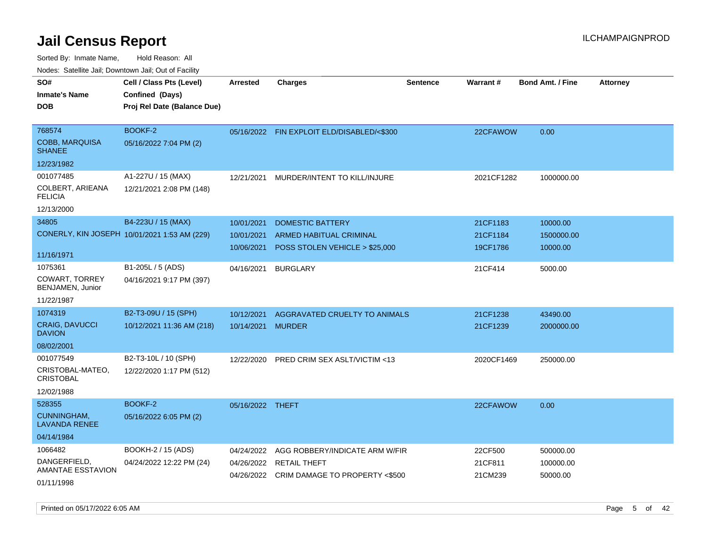| ivuutos. Saltiilit Jall, Duwilluwii Jall, Oul of Facility |                                              |                  |                                            |                 |                 |                         |                 |
|-----------------------------------------------------------|----------------------------------------------|------------------|--------------------------------------------|-----------------|-----------------|-------------------------|-----------------|
| SO#                                                       | Cell / Class Pts (Level)                     | Arrested         | <b>Charges</b>                             | <b>Sentence</b> | <b>Warrant#</b> | <b>Bond Amt. / Fine</b> | <b>Attorney</b> |
| <b>Inmate's Name</b>                                      | Confined (Days)                              |                  |                                            |                 |                 |                         |                 |
| <b>DOB</b>                                                | Proj Rel Date (Balance Due)                  |                  |                                            |                 |                 |                         |                 |
|                                                           |                                              |                  |                                            |                 |                 |                         |                 |
| 768574                                                    | BOOKF-2                                      |                  | 05/16/2022 FIN EXPLOIT ELD/DISABLED/<\$300 |                 | 22CFAWOW        | 0.00                    |                 |
| <b>COBB, MARQUISA</b><br><b>SHANEE</b>                    | 05/16/2022 7:04 PM (2)                       |                  |                                            |                 |                 |                         |                 |
| 12/23/1982                                                |                                              |                  |                                            |                 |                 |                         |                 |
| 001077485                                                 | A1-227U / 15 (MAX)                           | 12/21/2021       | MURDER/INTENT TO KILL/INJURE               |                 | 2021CF1282      | 1000000.00              |                 |
| COLBERT, ARIEANA<br><b>FELICIA</b>                        | 12/21/2021 2:08 PM (148)                     |                  |                                            |                 |                 |                         |                 |
| 12/13/2000                                                |                                              |                  |                                            |                 |                 |                         |                 |
| 34805                                                     | B4-223U / 15 (MAX)                           | 10/01/2021       | <b>DOMESTIC BATTERY</b>                    |                 | 21CF1183        | 10000.00                |                 |
|                                                           | CONERLY, KIN JOSEPH 10/01/2021 1:53 AM (229) | 10/01/2021       | ARMED HABITUAL CRIMINAL                    |                 | 21CF1184        | 1500000.00              |                 |
|                                                           |                                              | 10/06/2021       | POSS STOLEN VEHICLE > \$25,000             |                 | 19CF1786        | 10000.00                |                 |
| 11/16/1971                                                |                                              |                  |                                            |                 |                 |                         |                 |
| 1075361                                                   | B1-205L / 5 (ADS)                            | 04/16/2021       | <b>BURGLARY</b>                            |                 | 21CF414         | 5000.00                 |                 |
| COWART, TORREY<br>BENJAMEN, Junior                        | 04/16/2021 9:17 PM (397)                     |                  |                                            |                 |                 |                         |                 |
| 11/22/1987                                                |                                              |                  |                                            |                 |                 |                         |                 |
| 1074319                                                   | B2-T3-09U / 15 (SPH)                         | 10/12/2021       | AGGRAVATED CRUELTY TO ANIMALS              |                 | 21CF1238        | 43490.00                |                 |
| CRAIG, DAVUCCI<br><b>DAVION</b>                           | 10/12/2021 11:36 AM (218)                    | 10/14/2021       | <b>MURDER</b>                              |                 | 21CF1239        | 2000000.00              |                 |
| 08/02/2001                                                |                                              |                  |                                            |                 |                 |                         |                 |
| 001077549                                                 | B2-T3-10L / 10 (SPH)                         | 12/22/2020       | <b>PRED CRIM SEX ASLT/VICTIM &lt;13</b>    |                 | 2020CF1469      | 250000.00               |                 |
| CRISTOBAL-MATEO,<br>CRISTOBAL                             | 12/22/2020 1:17 PM (512)                     |                  |                                            |                 |                 |                         |                 |
| 12/02/1988                                                |                                              |                  |                                            |                 |                 |                         |                 |
| 528355                                                    | BOOKF-2                                      | 05/16/2022 THEFT |                                            |                 | 22CFAWOW        | 0.00                    |                 |
| CUNNINGHAM,<br>LAVANDA RENEE                              | 05/16/2022 6:05 PM (2)                       |                  |                                            |                 |                 |                         |                 |
| 04/14/1984                                                |                                              |                  |                                            |                 |                 |                         |                 |
| 1066482                                                   | BOOKH-2 / 15 (ADS)                           | 04/24/2022       | AGG ROBBERY/INDICATE ARM W/FIR             |                 | 22CF500         | 500000.00               |                 |
| DANGERFIELD,                                              | 04/24/2022 12:22 PM (24)                     | 04/26/2022       | <b>RETAIL THEFT</b>                        |                 | 21CF811         | 100000.00               |                 |
| AMANTAE ESSTAVION                                         |                                              |                  | 04/26/2022 CRIM DAMAGE TO PROPERTY <\$500  |                 | 21CM239         | 50000.00                |                 |
| 01/11/1998                                                |                                              |                  |                                            |                 |                 |                         |                 |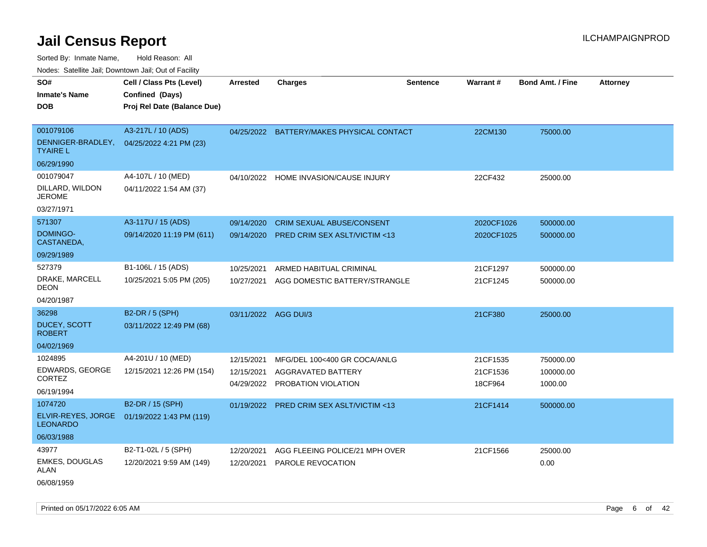Sorted By: Inmate Name, Hold Reason: All Nodes: Satellite Jail; Downtown Jail; Out of Facility

| 10000. Catolino can, Domntonn can, Cat or I doint         |                                                                            |                                        |                                                                                  |                 |                                 |                                   |                 |
|-----------------------------------------------------------|----------------------------------------------------------------------------|----------------------------------------|----------------------------------------------------------------------------------|-----------------|---------------------------------|-----------------------------------|-----------------|
| SO#<br><b>Inmate's Name</b><br><b>DOB</b>                 | Cell / Class Pts (Level)<br>Confined (Days)<br>Proj Rel Date (Balance Due) | <b>Arrested</b>                        | <b>Charges</b>                                                                   | <b>Sentence</b> | Warrant#                        | <b>Bond Amt. / Fine</b>           | <b>Attorney</b> |
| 001079106<br>TYAIRE L                                     | A3-217L / 10 (ADS)<br>DENNIGER-BRADLEY, 04/25/2022 4:21 PM (23)            |                                        | 04/25/2022 BATTERY/MAKES PHYSICAL CONTACT                                        |                 | 22CM130                         | 75000.00                          |                 |
| 06/29/1990                                                |                                                                            |                                        |                                                                                  |                 |                                 |                                   |                 |
| 001079047<br>DILLARD, WILDON<br><b>JEROME</b>             | A4-107L / 10 (MED)<br>04/11/2022 1:54 AM (37)                              |                                        | 04/10/2022 HOME INVASION/CAUSE INJURY                                            |                 | 22CF432                         | 25000.00                          |                 |
| 03/27/1971                                                |                                                                            |                                        |                                                                                  |                 |                                 |                                   |                 |
| 571307<br>DOMINGO-<br>CASTANEDA,                          | A3-117U / 15 (ADS)<br>09/14/2020 11:19 PM (611)                            | 09/14/2020<br>09/14/2020               | <b>CRIM SEXUAL ABUSE/CONSENT</b><br><b>PRED CRIM SEX ASLT/VICTIM &lt;13</b>      |                 | 2020CF1026<br>2020CF1025        | 500000.00<br>500000.00            |                 |
| 09/29/1989                                                |                                                                            |                                        |                                                                                  |                 |                                 |                                   |                 |
| 527379                                                    | B1-106L / 15 (ADS)                                                         | 10/25/2021                             | ARMED HABITUAL CRIMINAL                                                          |                 | 21CF1297                        | 500000.00                         |                 |
| DRAKE, MARCELL<br>DEON                                    | 10/25/2021 5:05 PM (205)                                                   | 10/27/2021                             | AGG DOMESTIC BATTERY/STRANGLE                                                    |                 | 21CF1245                        | 500000.00                         |                 |
| 04/20/1987                                                |                                                                            |                                        |                                                                                  |                 |                                 |                                   |                 |
| 36298<br><b>DUCEY, SCOTT</b><br>ROBERT                    | B2-DR / 5 (SPH)<br>03/11/2022 12:49 PM (68)                                | 03/11/2022                             | AGG DUI/3                                                                        |                 | 21CF380                         | 25000.00                          |                 |
| 04/02/1969                                                |                                                                            |                                        |                                                                                  |                 |                                 |                                   |                 |
| 1024895<br>EDWARDS, GEORGE<br><b>CORTEZ</b><br>06/19/1994 | A4-201U / 10 (MED)<br>12/15/2021 12:26 PM (154)                            | 12/15/2021<br>12/15/2021<br>04/29/2022 | MFG/DEL 100<400 GR COCA/ANLG<br><b>AGGRAVATED BATTERY</b><br>PROBATION VIOLATION |                 | 21CF1535<br>21CF1536<br>18CF964 | 750000.00<br>100000.00<br>1000.00 |                 |
| 1074720                                                   | B2-DR / 15 (SPH)                                                           | 01/19/2022                             | <b>PRED CRIM SEX ASLT/VICTIM &lt;13</b>                                          |                 | 21CF1414                        | 500000.00                         |                 |
| ELVIR-REYES, JORGE<br>LEONARDO                            | 01/19/2022 1:43 PM (119)                                                   |                                        |                                                                                  |                 |                                 |                                   |                 |
| 06/03/1988                                                |                                                                            |                                        |                                                                                  |                 |                                 |                                   |                 |
| 43977<br><b>EMKES, DOUGLAS</b><br>ALAN                    | B2-T1-02L / 5 (SPH)<br>12/20/2021 9:59 AM (149)                            | 12/20/2021<br>12/20/2021               | AGG FLEEING POLICE/21 MPH OVER<br>PAROLE REVOCATION                              |                 | 21CF1566                        | 25000.00<br>0.00                  |                 |
|                                                           |                                                                            |                                        |                                                                                  |                 |                                 |                                   |                 |

06/08/1959

Printed on 05/17/2022 6:05 AM Page 6 of 42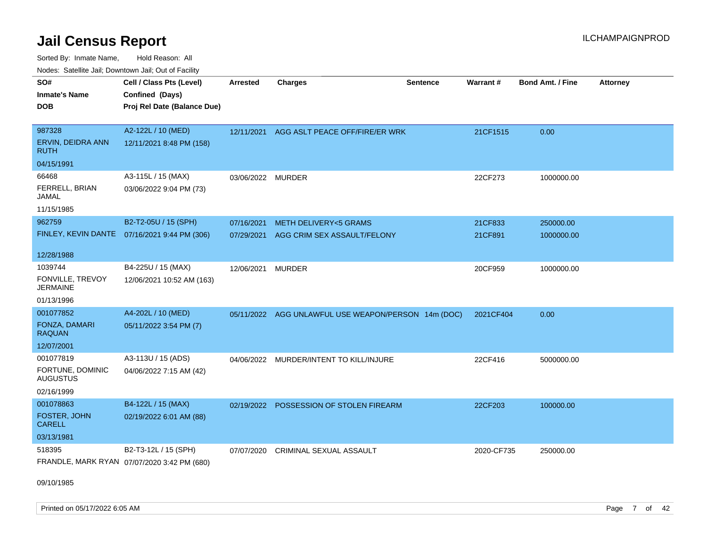Sorted By: Inmate Name, Hold Reason: All Nodes: Satellite Jail; Downtown Jail; Out of Facility

| ivuutis. Galtiillit Jall, Duwilluwii Jall, Oul of Facility |                                               |                   |                                                     |                 |            |                         |                 |
|------------------------------------------------------------|-----------------------------------------------|-------------------|-----------------------------------------------------|-----------------|------------|-------------------------|-----------------|
| SO#                                                        | Cell / Class Pts (Level)                      | <b>Arrested</b>   | <b>Charges</b>                                      | <b>Sentence</b> | Warrant#   | <b>Bond Amt. / Fine</b> | <b>Attorney</b> |
| <b>Inmate's Name</b>                                       | Confined (Days)                               |                   |                                                     |                 |            |                         |                 |
| <b>DOB</b>                                                 | Proj Rel Date (Balance Due)                   |                   |                                                     |                 |            |                         |                 |
|                                                            |                                               |                   |                                                     |                 |            |                         |                 |
| 987328                                                     | A2-122L / 10 (MED)                            | 12/11/2021        | AGG ASLT PEACE OFF/FIRE/ER WRK                      |                 | 21CF1515   | 0.00                    |                 |
| ERVIN, DEIDRA ANN<br>RUTH                                  | 12/11/2021 8:48 PM (158)                      |                   |                                                     |                 |            |                         |                 |
| 04/15/1991                                                 |                                               |                   |                                                     |                 |            |                         |                 |
| 66468                                                      | A3-115L / 15 (MAX)                            | 03/06/2022 MURDER |                                                     |                 | 22CF273    | 1000000.00              |                 |
| FERRELL, BRIAN<br>JAMAL                                    | 03/06/2022 9:04 PM (73)                       |                   |                                                     |                 |            |                         |                 |
| 11/15/1985                                                 |                                               |                   |                                                     |                 |            |                         |                 |
| 962759                                                     | B2-T2-05U / 15 (SPH)                          | 07/16/2021        | <b>METH DELIVERY&lt;5 GRAMS</b>                     |                 | 21CF833    | 250000.00               |                 |
|                                                            | FINLEY, KEVIN DANTE  07/16/2021 9:44 PM (306) | 07/29/2021        | AGG CRIM SEX ASSAULT/FELONY                         |                 | 21CF891    | 1000000.00              |                 |
|                                                            |                                               |                   |                                                     |                 |            |                         |                 |
| 12/28/1988                                                 |                                               |                   |                                                     |                 |            |                         |                 |
| 1039744                                                    | B4-225U / 15 (MAX)                            | 12/06/2021        | <b>MURDER</b>                                       |                 | 20CF959    | 1000000.00              |                 |
| FONVILLE, TREVOY<br><b>JERMAINE</b>                        | 12/06/2021 10:52 AM (163)                     |                   |                                                     |                 |            |                         |                 |
| 01/13/1996                                                 |                                               |                   |                                                     |                 |            |                         |                 |
| 001077852                                                  | A4-202L / 10 (MED)                            |                   | 05/11/2022 AGG UNLAWFUL USE WEAPON/PERSON 14m (DOC) |                 | 2021CF404  | 0.00                    |                 |
| FONZA, DAMARI<br><b>RAQUAN</b>                             | 05/11/2022 3:54 PM (7)                        |                   |                                                     |                 |            |                         |                 |
| 12/07/2001                                                 |                                               |                   |                                                     |                 |            |                         |                 |
| 001077819                                                  | A3-113U / 15 (ADS)                            | 04/06/2022        | MURDER/INTENT TO KILL/INJURE                        |                 | 22CF416    | 5000000.00              |                 |
| FORTUNE, DOMINIC<br><b>AUGUSTUS</b>                        | 04/06/2022 7:15 AM (42)                       |                   |                                                     |                 |            |                         |                 |
| 02/16/1999                                                 |                                               |                   |                                                     |                 |            |                         |                 |
| 001078863                                                  | B4-122L / 15 (MAX)                            | 02/19/2022        | POSSESSION OF STOLEN FIREARM                        |                 | 22CF203    | 100000.00               |                 |
| FOSTER, JOHN<br><b>CARELL</b>                              | 02/19/2022 6:01 AM (88)                       |                   |                                                     |                 |            |                         |                 |
| 03/13/1981                                                 |                                               |                   |                                                     |                 |            |                         |                 |
| 518395                                                     | B2-T3-12L / 15 (SPH)                          | 07/07/2020        | <b>CRIMINAL SEXUAL ASSAULT</b>                      |                 | 2020-CF735 | 250000.00               |                 |
|                                                            | FRANDLE, MARK RYAN 07/07/2020 3:42 PM (680)   |                   |                                                     |                 |            |                         |                 |

09/10/1985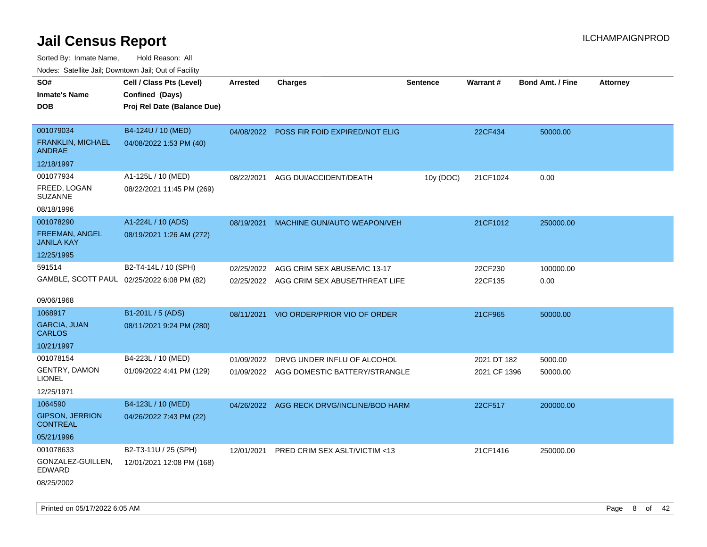Sorted By: Inmate Name, Hold Reason: All Nodes: Satellite Jail; Downtown Jail; Out of Facility

| roaco. Catolino dall, Downtown dall, Out of Fability |                 |                              |                                                                                                                                                          |                                                                                                                                    |                         |                             |
|------------------------------------------------------|-----------------|------------------------------|----------------------------------------------------------------------------------------------------------------------------------------------------------|------------------------------------------------------------------------------------------------------------------------------------|-------------------------|-----------------------------|
| Cell / Class Pts (Level)                             | <b>Arrested</b> | <b>Charges</b>               | <b>Sentence</b>                                                                                                                                          | <b>Warrant#</b>                                                                                                                    | <b>Bond Amt. / Fine</b> | <b>Attorney</b>             |
| Confined (Days)                                      |                 |                              |                                                                                                                                                          |                                                                                                                                    |                         |                             |
| Proj Rel Date (Balance Due)                          |                 |                              |                                                                                                                                                          |                                                                                                                                    |                         |                             |
|                                                      |                 |                              |                                                                                                                                                          |                                                                                                                                    |                         |                             |
| B4-124U / 10 (MED)                                   | 04/08/2022      |                              |                                                                                                                                                          | 22CF434                                                                                                                            | 50000.00                |                             |
| 04/08/2022 1:53 PM (40)                              |                 |                              |                                                                                                                                                          |                                                                                                                                    |                         |                             |
|                                                      |                 |                              |                                                                                                                                                          |                                                                                                                                    |                         |                             |
| A1-125L / 10 (MED)                                   | 08/22/2021      |                              | 10y (DOC)                                                                                                                                                | 21CF1024                                                                                                                           | 0.00                    |                             |
| 08/22/2021 11:45 PM (269)                            |                 |                              |                                                                                                                                                          |                                                                                                                                    |                         |                             |
|                                                      |                 |                              |                                                                                                                                                          |                                                                                                                                    |                         |                             |
| A1-224L / 10 (ADS)                                   | 08/19/2021      |                              |                                                                                                                                                          | 21CF1012                                                                                                                           | 250000.00               |                             |
| 08/19/2021 1:26 AM (272)                             |                 |                              |                                                                                                                                                          |                                                                                                                                    |                         |                             |
|                                                      |                 |                              |                                                                                                                                                          |                                                                                                                                    |                         |                             |
| B2-T4-14L / 10 (SPH)                                 | 02/25/2022      | AGG CRIM SEX ABUSE/VIC 13-17 |                                                                                                                                                          | 22CF230                                                                                                                            | 100000.00               |                             |
| GAMBLE, SCOTT PAUL 02/25/2022 6:08 PM (82)           |                 |                              |                                                                                                                                                          | 22CF135                                                                                                                            | 0.00                    |                             |
|                                                      |                 |                              |                                                                                                                                                          |                                                                                                                                    |                         |                             |
|                                                      |                 |                              |                                                                                                                                                          |                                                                                                                                    |                         |                             |
| B1-201L / 5 (ADS)                                    | 08/11/2021      |                              |                                                                                                                                                          | 21CF965                                                                                                                            | 50000.00                |                             |
| 08/11/2021 9:24 PM (280)                             |                 |                              |                                                                                                                                                          |                                                                                                                                    |                         |                             |
|                                                      |                 |                              |                                                                                                                                                          |                                                                                                                                    |                         |                             |
| B4-223L / 10 (MED)                                   | 01/09/2022      | DRVG UNDER INFLU OF ALCOHOL  |                                                                                                                                                          |                                                                                                                                    | 5000.00                 |                             |
| 01/09/2022 4:41 PM (129)                             |                 |                              |                                                                                                                                                          |                                                                                                                                    | 50000.00                |                             |
|                                                      |                 |                              |                                                                                                                                                          |                                                                                                                                    |                         |                             |
| B4-123L / 10 (MED)                                   |                 |                              |                                                                                                                                                          | 22CF517                                                                                                                            | 200000.00               |                             |
| 04/26/2022 7:43 PM (22)                              |                 |                              |                                                                                                                                                          |                                                                                                                                    |                         |                             |
|                                                      |                 |                              |                                                                                                                                                          |                                                                                                                                    |                         |                             |
| B2-T3-11U / 25 (SPH)                                 | 12/01/2021      |                              |                                                                                                                                                          | 21CF1416                                                                                                                           | 250000.00               |                             |
| 12/01/2021 12:08 PM (168)                            |                 |                              |                                                                                                                                                          |                                                                                                                                    |                         |                             |
|                                                      |                 |                              |                                                                                                                                                          |                                                                                                                                    |                         |                             |
|                                                      |                 |                              | POSS FIR FOID EXPIRED/NOT ELIG<br>AGG DUI/ACCIDENT/DEATH<br>MACHINE GUN/AUTO WEAPON/VEH<br>VIO ORDER/PRIOR VIO OF ORDER<br>PRED CRIM SEX ASLT/VICTIM <13 | 02/25/2022 AGG CRIM SEX ABUSE/THREAT LIFE<br>01/09/2022 AGG DOMESTIC BATTERY/STRANGLE<br>04/26/2022 AGG RECK DRVG/INCLINE/BOD HARM |                         | 2021 DT 182<br>2021 CF 1396 |

Printed on 05/17/2022 6:05 AM Page 8 of 42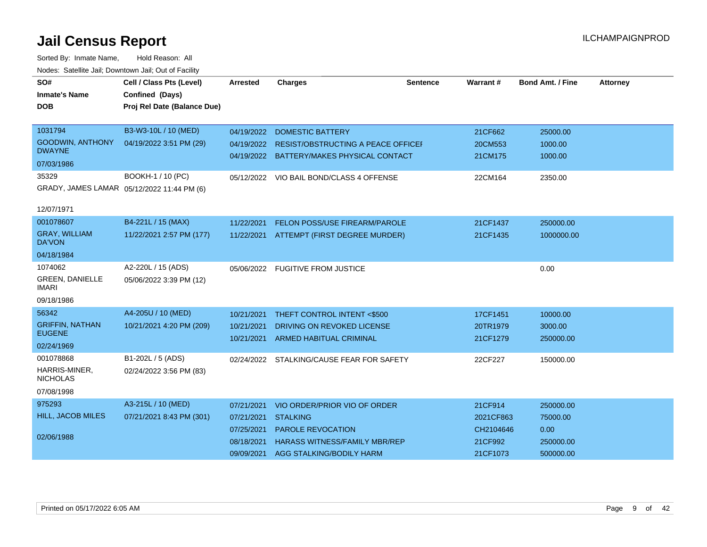| SO#<br><b>Inmate's Name</b><br><b>DOB</b> | Cell / Class Pts (Level)<br>Confined (Days)<br>Proj Rel Date (Balance Due) | <b>Arrested</b> | <b>Charges</b>                                | <b>Sentence</b> | Warrant#  | <b>Bond Amt. / Fine</b> | <b>Attorney</b> |
|-------------------------------------------|----------------------------------------------------------------------------|-----------------|-----------------------------------------------|-----------------|-----------|-------------------------|-----------------|
|                                           |                                                                            |                 |                                               |                 |           |                         |                 |
| 1031794                                   | B3-W3-10L / 10 (MED)                                                       | 04/19/2022      | <b>DOMESTIC BATTERY</b>                       |                 | 21CF662   | 25000.00                |                 |
| GOODWIN, ANTHONY<br><b>DWAYNE</b>         | 04/19/2022 3:51 PM (29)                                                    |                 | 04/19/2022 RESIST/OBSTRUCTING A PEACE OFFICEF |                 | 20CM553   | 1000.00                 |                 |
| 07/03/1986                                |                                                                            |                 | 04/19/2022 BATTERY/MAKES PHYSICAL CONTACT     |                 | 21CM175   | 1000.00                 |                 |
| 35329                                     | BOOKH-1 / 10 (PC)                                                          |                 | 05/12/2022 VIO BAIL BOND/CLASS 4 OFFENSE      |                 | 22CM164   | 2350.00                 |                 |
|                                           | GRADY, JAMES LAMAR 05/12/2022 11:44 PM (6)                                 |                 |                                               |                 |           |                         |                 |
| 12/07/1971                                |                                                                            |                 |                                               |                 |           |                         |                 |
| 001078607                                 | B4-221L / 15 (MAX)                                                         | 11/22/2021      | FELON POSS/USE FIREARM/PAROLE                 |                 | 21CF1437  | 250000.00               |                 |
| <b>GRAY, WILLIAM</b><br><b>DA'VON</b>     | 11/22/2021 2:57 PM (177)                                                   |                 | 11/22/2021 ATTEMPT (FIRST DEGREE MURDER)      |                 | 21CF1435  | 1000000.00              |                 |
| 04/18/1984                                |                                                                            |                 |                                               |                 |           |                         |                 |
| 1074062                                   | A2-220L / 15 (ADS)                                                         |                 | 05/06/2022 FUGITIVE FROM JUSTICE              |                 |           | 0.00                    |                 |
| <b>GREEN, DANIELLE</b><br>IMARI           | 05/06/2022 3:39 PM (12)                                                    |                 |                                               |                 |           |                         |                 |
| 09/18/1986                                |                                                                            |                 |                                               |                 |           |                         |                 |
| 56342                                     | A4-205U / 10 (MED)                                                         | 10/21/2021      | THEFT CONTROL INTENT <\$500                   |                 | 17CF1451  | 10000.00                |                 |
| <b>GRIFFIN, NATHAN</b><br><b>EUGENE</b>   | 10/21/2021 4:20 PM (209)                                                   | 10/21/2021      | DRIVING ON REVOKED LICENSE                    |                 | 20TR1979  | 3000.00                 |                 |
| 02/24/1969                                |                                                                            | 10/21/2021      | ARMED HABITUAL CRIMINAL                       |                 | 21CF1279  | 250000.00               |                 |
| 001078868                                 | B1-202L / 5 (ADS)                                                          | 02/24/2022      | STALKING/CAUSE FEAR FOR SAFETY                |                 | 22CF227   | 150000.00               |                 |
| HARRIS-MINER.<br><b>NICHOLAS</b>          | 02/24/2022 3:56 PM (83)                                                    |                 |                                               |                 |           |                         |                 |
| 07/08/1998                                |                                                                            |                 |                                               |                 |           |                         |                 |
| 975293                                    | A3-215L / 10 (MED)                                                         | 07/21/2021      | VIO ORDER/PRIOR VIO OF ORDER                  |                 | 21CF914   | 250000.00               |                 |
| <b>HILL, JACOB MILES</b>                  | 07/21/2021 8:43 PM (301)                                                   | 07/21/2021      | <b>STALKING</b>                               |                 | 2021CF863 | 75000.00                |                 |
|                                           |                                                                            | 07/25/2021      | <b>PAROLE REVOCATION</b>                      |                 | CH2104646 | 0.00                    |                 |
| 02/06/1988                                |                                                                            | 08/18/2021      | <b>HARASS WITNESS/FAMILY MBR/REP</b>          |                 | 21CF992   | 250000.00               |                 |
|                                           |                                                                            | 09/09/2021      | AGG STALKING/BODILY HARM                      |                 | 21CF1073  | 500000.00               |                 |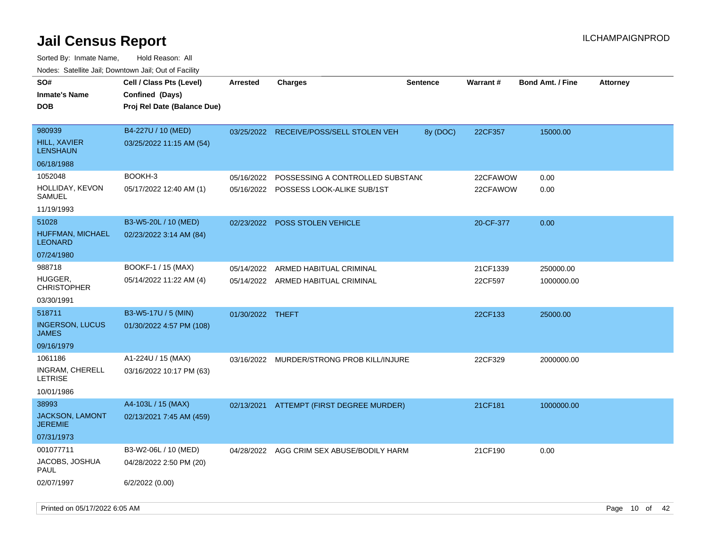| rouco. Calcinic Jan, Downtown Jan, Out of Facility  |                                                                            |                          |                                                                |                 |                      |                         |                 |
|-----------------------------------------------------|----------------------------------------------------------------------------|--------------------------|----------------------------------------------------------------|-----------------|----------------------|-------------------------|-----------------|
| SO#<br>Inmate's Name<br><b>DOB</b>                  | Cell / Class Pts (Level)<br>Confined (Days)<br>Proj Rel Date (Balance Due) | <b>Arrested</b>          | <b>Charges</b>                                                 | <b>Sentence</b> | <b>Warrant#</b>      | <b>Bond Amt. / Fine</b> | <b>Attorney</b> |
| 980939<br><b>HILL, XAVIER</b><br>LENSHAUN           | B4-227U / 10 (MED)<br>03/25/2022 11:15 AM (54)                             | 03/25/2022               | RECEIVE/POSS/SELL STOLEN VEH                                   | 8y (DOC)        | 22CF357              | 15000.00                |                 |
| 06/18/1988                                          |                                                                            |                          |                                                                |                 |                      |                         |                 |
| 1052048<br>HOLLIDAY, KEVON<br>SAMUEL                | BOOKH-3<br>05/17/2022 12:40 AM (1)                                         | 05/16/2022<br>05/16/2022 | POSSESSING A CONTROLLED SUBSTAND<br>POSSESS LOOK-ALIKE SUB/1ST |                 | 22CFAWOW<br>22CFAWOW | 0.00<br>0.00            |                 |
| 11/19/1993                                          |                                                                            |                          |                                                                |                 |                      |                         |                 |
| 51028<br><b>HUFFMAN, MICHAEL</b><br>LEONARD         | B3-W5-20L / 10 (MED)<br>02/23/2022 3:14 AM (84)                            | 02/23/2022               | <b>POSS STOLEN VEHICLE</b>                                     |                 | 20-CF-377            | 0.00                    |                 |
| 07/24/1980                                          |                                                                            |                          |                                                                |                 |                      |                         |                 |
| 988718                                              | BOOKF-1 / 15 (MAX)                                                         | 05/14/2022               | ARMED HABITUAL CRIMINAL                                        |                 | 21CF1339             | 250000.00               |                 |
| HUGGER.<br>CHRISTOPHER                              | 05/14/2022 11:22 AM (4)                                                    |                          | 05/14/2022 ARMED HABITUAL CRIMINAL                             |                 | 22CF597              | 1000000.00              |                 |
| 03/30/1991                                          |                                                                            |                          |                                                                |                 |                      |                         |                 |
| 518711<br><b>INGERSON, LUCUS</b><br>JAMES           | B3-W5-17U / 5 (MIN)<br>01/30/2022 4:57 PM (108)                            | 01/30/2022 THEFT         |                                                                |                 | 22CF133              | 25000.00                |                 |
| 09/16/1979                                          |                                                                            |                          |                                                                |                 |                      |                         |                 |
| 1061186<br>INGRAM, CHERELL<br>LETRISE<br>10/01/1986 | A1-224U / 15 (MAX)<br>03/16/2022 10:17 PM (63)                             | 03/16/2022               | MURDER/STRONG PROB KILL/INJURE                                 |                 | 22CF329              | 2000000.00              |                 |
| 38993                                               | A4-103L / 15 (MAX)                                                         |                          | 02/13/2021 ATTEMPT (FIRST DEGREE MURDER)                       |                 | 21CF181              | 1000000.00              |                 |
| JACKSON, LAMONT<br>JEREMIE                          | 02/13/2021 7:45 AM (459)                                                   |                          |                                                                |                 |                      |                         |                 |
| 07/31/1973                                          |                                                                            |                          |                                                                |                 |                      |                         |                 |
| 001077711<br>JACOBS, JOSHUA<br>PAUL                 | B3-W2-06L / 10 (MED)<br>04/28/2022 2:50 PM (20)                            | 04/28/2022               | AGG CRIM SEX ABUSE/BODILY HARM                                 |                 | 21CF190              | 0.00                    |                 |
| 02/07/1997                                          | 6/2/2022 (0.00)                                                            |                          |                                                                |                 |                      |                         |                 |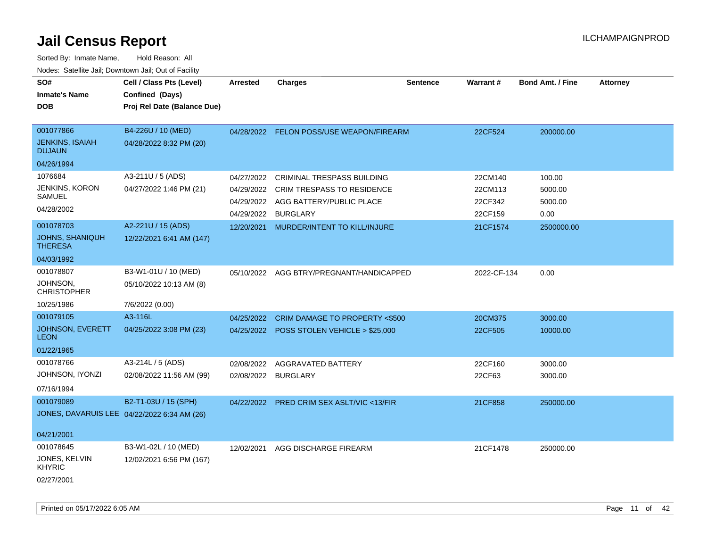| SO#<br><b>Inmate's Name</b><br><b>DOB</b>                | Cell / Class Pts (Level)<br>Confined (Days)<br>Proj Rel Date (Balance Due) | <b>Arrested</b>     | <b>Charges</b>                            | <b>Sentence</b> | Warrant#    | <b>Bond Amt. / Fine</b> | <b>Attorney</b> |
|----------------------------------------------------------|----------------------------------------------------------------------------|---------------------|-------------------------------------------|-----------------|-------------|-------------------------|-----------------|
| 001077866<br><b>JENKINS, ISAIAH</b><br><b>DUJAUN</b>     | B4-226U / 10 (MED)<br>04/28/2022 8:32 PM (20)                              | 04/28/2022          | <b>FELON POSS/USE WEAPON/FIREARM</b>      |                 | 22CF524     | 200000.00               |                 |
| 04/26/1994                                               |                                                                            |                     |                                           |                 |             |                         |                 |
| 1076684                                                  | A3-211U / 5 (ADS)                                                          | 04/27/2022          | <b>CRIMINAL TRESPASS BUILDING</b>         |                 | 22CM140     | 100.00                  |                 |
| <b>JENKINS, KORON</b>                                    | 04/27/2022 1:46 PM (21)                                                    | 04/29/2022          | CRIM TRESPASS TO RESIDENCE                |                 | 22CM113     | 5000.00                 |                 |
| SAMUEL                                                   |                                                                            |                     | 04/29/2022 AGG BATTERY/PUBLIC PLACE       |                 | 22CF342     | 5000.00                 |                 |
| 04/28/2002                                               |                                                                            | 04/29/2022          | <b>BURGLARY</b>                           |                 | 22CF159     | 0.00                    |                 |
| 001078703                                                | A2-221U / 15 (ADS)                                                         | 12/20/2021          | MURDER/INTENT TO KILL/INJURE              |                 | 21CF1574    | 2500000.00              |                 |
| <b>JOHNS, SHANIQUH</b><br><b>THERESA</b>                 | 12/22/2021 6:41 AM (147)                                                   |                     |                                           |                 |             |                         |                 |
| 04/03/1992                                               |                                                                            |                     |                                           |                 |             |                         |                 |
| 001078807                                                | B3-W1-01U / 10 (MED)                                                       |                     | 05/10/2022 AGG BTRY/PREGNANT/HANDICAPPED  |                 | 2022-CF-134 | 0.00                    |                 |
| JOHNSON,<br><b>CHRISTOPHER</b>                           | 05/10/2022 10:13 AM (8)                                                    |                     |                                           |                 |             |                         |                 |
| 10/25/1986                                               | 7/6/2022 (0.00)                                                            |                     |                                           |                 |             |                         |                 |
| 001079105                                                | A3-116L                                                                    | 04/25/2022          | CRIM DAMAGE TO PROPERTY <\$500            |                 | 20CM375     | 3000.00                 |                 |
| JOHNSON, EVERETT<br><b>LEON</b>                          | 04/25/2022 3:08 PM (23)                                                    |                     | 04/25/2022 POSS STOLEN VEHICLE > \$25,000 |                 | 22CF505     | 10000.00                |                 |
| 01/22/1965                                               |                                                                            |                     |                                           |                 |             |                         |                 |
| 001078766                                                | A3-214L / 5 (ADS)                                                          | 02/08/2022          | AGGRAVATED BATTERY                        |                 | 22CF160     | 3000.00                 |                 |
| JOHNSON, IYONZI                                          | 02/08/2022 11:56 AM (99)                                                   | 02/08/2022 BURGLARY |                                           |                 | 22CF63      | 3000.00                 |                 |
| 07/16/1994                                               |                                                                            |                     |                                           |                 |             |                         |                 |
| 001079089<br>JONES, DAVARUIS LEE 04/22/2022 6:34 AM (26) | B2-T1-03U / 15 (SPH)                                                       | 04/22/2022          | PRED CRIM SEX ASLT/VIC <13/FIR            |                 | 21CF858     | 250000.00               |                 |
| 04/21/2001                                               |                                                                            |                     |                                           |                 |             |                         |                 |
| 001078645                                                | B3-W1-02L / 10 (MED)                                                       | 12/02/2021          | AGG DISCHARGE FIREARM                     |                 | 21CF1478    | 250000.00               |                 |
| JONES, KELVIN<br><b>KHYRIC</b>                           | 12/02/2021 6:56 PM (167)                                                   |                     |                                           |                 |             |                         |                 |
| 02/27/2001                                               |                                                                            |                     |                                           |                 |             |                         |                 |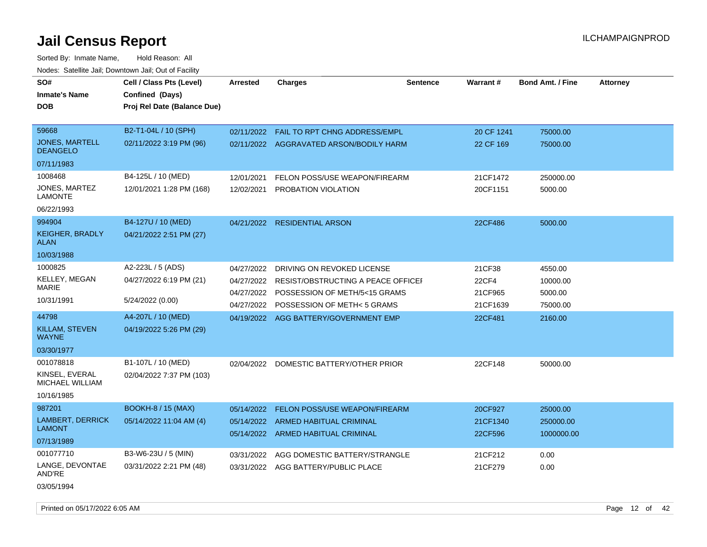| SO#<br><b>Inmate's Name</b><br><b>DOB</b> | Cell / Class Pts (Level)<br>Confined (Days)<br>Proj Rel Date (Balance Due) | <b>Arrested</b> | <b>Charges</b>                                                | <b>Sentence</b> | <b>Warrant#</b>     | <b>Bond Amt. / Fine</b> | <b>Attorney</b> |
|-------------------------------------------|----------------------------------------------------------------------------|-----------------|---------------------------------------------------------------|-----------------|---------------------|-------------------------|-----------------|
| 59668                                     | B2-T1-04L / 10 (SPH)                                                       |                 | 02/11/2022  FAIL TO RPT CHNG ADDRESS/EMPL                     |                 | 20 CF 1241          | 75000.00                |                 |
| <b>JONES, MARTELL</b><br><b>DEANGELO</b>  | 02/11/2022 3:19 PM (96)                                                    |                 | 02/11/2022 AGGRAVATED ARSON/BODILY HARM                       |                 | 22 CF 169           | 75000.00                |                 |
| 07/11/1983                                |                                                                            |                 |                                                               |                 |                     |                         |                 |
| 1008468                                   | B4-125L / 10 (MED)                                                         | 12/01/2021      | FELON POSS/USE WEAPON/FIREARM                                 |                 | 21CF1472            | 250000.00               |                 |
| JONES, MARTEZ<br><b>LAMONTE</b>           | 12/01/2021 1:28 PM (168)                                                   | 12/02/2021      | PROBATION VIOLATION                                           |                 | 20CF1151            | 5000.00                 |                 |
| 06/22/1993                                |                                                                            |                 |                                                               |                 |                     |                         |                 |
| 994904                                    | B4-127U / 10 (MED)                                                         |                 | 04/21/2022 RESIDENTIAL ARSON                                  |                 | 22CF486             | 5000.00                 |                 |
| <b>KEIGHER, BRADLY</b><br><b>ALAN</b>     | 04/21/2022 2:51 PM (27)                                                    |                 |                                                               |                 |                     |                         |                 |
| 10/03/1988                                |                                                                            |                 |                                                               |                 |                     |                         |                 |
| 1000825                                   | A2-223L / 5 (ADS)                                                          | 04/27/2022      | DRIVING ON REVOKED LICENSE                                    |                 | 21CF38              | 4550.00                 |                 |
| KELLEY, MEGAN                             | 04/27/2022 6:19 PM (21)                                                    | 04/27/2022      | RESIST/OBSTRUCTING A PEACE OFFICEL                            |                 | <b>22CF4</b>        | 10000.00                |                 |
| <b>MARIE</b>                              |                                                                            | 04/27/2022      | POSSESSION OF METH/5<15 GRAMS                                 |                 | 21CF965             | 5000.00                 |                 |
| 10/31/1991                                | 5/24/2022 (0.00)                                                           | 04/27/2022      | POSSESSION OF METH<5 GRAMS                                    |                 | 21CF1639            | 75000.00                |                 |
| 44798                                     | A4-207L / 10 (MED)                                                         |                 | 04/19/2022 AGG BATTERY/GOVERNMENT EMP                         |                 | 22CF481             | 2160.00                 |                 |
| KILLAM, STEVEN<br><b>WAYNE</b>            | 04/19/2022 5:26 PM (29)                                                    |                 |                                                               |                 |                     |                         |                 |
| 03/30/1977                                |                                                                            |                 |                                                               |                 |                     |                         |                 |
| 001078818                                 | B1-107L / 10 (MED)                                                         | 02/04/2022      | DOMESTIC BATTERY/OTHER PRIOR                                  |                 | 22CF148             | 50000.00                |                 |
| KINSEL, EVERAL<br>MICHAEL WILLIAM         | 02/04/2022 7:37 PM (103)                                                   |                 |                                                               |                 |                     |                         |                 |
| 10/16/1985                                |                                                                            |                 |                                                               |                 |                     |                         |                 |
| 987201                                    | <b>BOOKH-8 / 15 (MAX)</b>                                                  | 05/14/2022      | FELON POSS/USE WEAPON/FIREARM                                 |                 | 20CF927             | 25000.00                |                 |
| <b>LAMBERT, DERRICK</b><br><b>LAMONT</b>  | 05/14/2022 11:04 AM (4)                                                    | 05/14/2022      | ARMED HABITUAL CRIMINAL<br>05/14/2022 ARMED HABITUAL CRIMINAL |                 | 21CF1340<br>22CF596 | 250000.00<br>1000000.00 |                 |
| 07/13/1989                                |                                                                            |                 |                                                               |                 |                     |                         |                 |
| 001077710                                 | B3-W6-23U / 5 (MIN)                                                        | 03/31/2022      | AGG DOMESTIC BATTERY/STRANGLE                                 |                 | 21CF212             | 0.00                    |                 |
| LANGE, DEVONTAE<br>AND'RE                 | 03/31/2022 2:21 PM (48)                                                    |                 | 03/31/2022 AGG BATTERY/PUBLIC PLACE                           |                 | 21CF279             | 0.00                    |                 |
| 03/05/1994                                |                                                                            |                 |                                                               |                 |                     |                         |                 |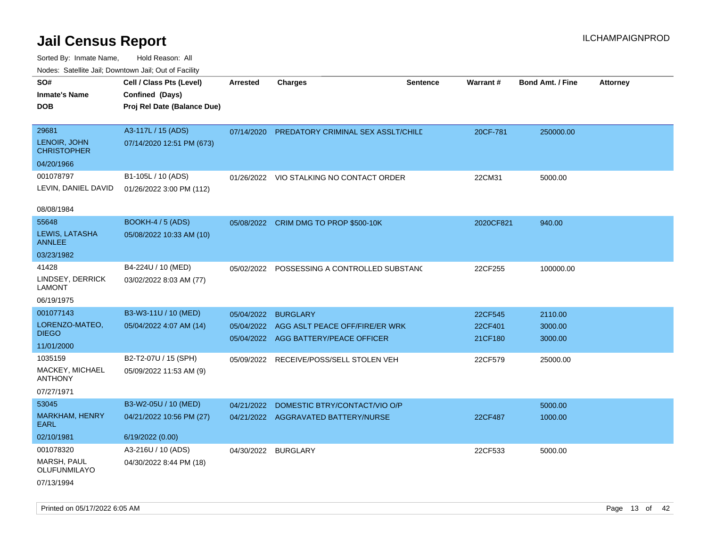| ivouss. Satellite Jali, Downtown Jali, Out of Facility |                             |                 |                                          |                 |           |                         |                 |
|--------------------------------------------------------|-----------------------------|-----------------|------------------------------------------|-----------------|-----------|-------------------------|-----------------|
| SO#                                                    | Cell / Class Pts (Level)    | <b>Arrested</b> | <b>Charges</b>                           | <b>Sentence</b> | Warrant#  | <b>Bond Amt. / Fine</b> | <b>Attorney</b> |
| Inmate's Name                                          | Confined (Days)             |                 |                                          |                 |           |                         |                 |
| <b>DOB</b>                                             | Proj Rel Date (Balance Due) |                 |                                          |                 |           |                         |                 |
|                                                        |                             |                 |                                          |                 |           |                         |                 |
| 29681                                                  | A3-117L / 15 (ADS)          | 07/14/2020      | PREDATORY CRIMINAL SEX ASSLT/CHILD       |                 | 20CF-781  | 250000.00               |                 |
| LENOIR, JOHN<br><b>CHRISTOPHER</b>                     | 07/14/2020 12:51 PM (673)   |                 |                                          |                 |           |                         |                 |
| 04/20/1966                                             |                             |                 |                                          |                 |           |                         |                 |
| 001078797                                              | B1-105L / 10 (ADS)          |                 | 01/26/2022 VIO STALKING NO CONTACT ORDER |                 | 22CM31    | 5000.00                 |                 |
| LEVIN, DANIEL DAVID                                    | 01/26/2022 3:00 PM (112)    |                 |                                          |                 |           |                         |                 |
| 08/08/1984                                             |                             |                 |                                          |                 |           |                         |                 |
| 55648                                                  | <b>BOOKH-4 / 5 (ADS)</b>    |                 | 05/08/2022 CRIM DMG TO PROP \$500-10K    |                 | 2020CF821 | 940.00                  |                 |
| LEWIS, LATASHA<br>ANNLEE                               | 05/08/2022 10:33 AM (10)    |                 |                                          |                 |           |                         |                 |
| 03/23/1982                                             |                             |                 |                                          |                 |           |                         |                 |
| 41428                                                  | B4-224U / 10 (MED)          | 05/02/2022      | POSSESSING A CONTROLLED SUBSTAND         |                 | 22CF255   | 100000.00               |                 |
| LINDSEY, DERRICK<br>LAMONT                             | 03/02/2022 8:03 AM (77)     |                 |                                          |                 |           |                         |                 |
| 06/19/1975                                             |                             |                 |                                          |                 |           |                         |                 |
| 001077143                                              | B3-W3-11U / 10 (MED)        | 05/04/2022      | <b>BURGLARY</b>                          |                 | 22CF545   | 2110.00                 |                 |
| LORENZO-MATEO,                                         | 05/04/2022 4:07 AM (14)     | 05/04/2022      | AGG ASLT PEACE OFF/FIRE/ER WRK           |                 | 22CF401   | 3000.00                 |                 |
| <b>DIEGO</b>                                           |                             |                 | 05/04/2022 AGG BATTERY/PEACE OFFICER     |                 | 21CF180   | 3000.00                 |                 |
| 11/01/2000                                             |                             |                 |                                          |                 |           |                         |                 |
| 1035159                                                | B2-T2-07U / 15 (SPH)        | 05/09/2022      | RECEIVE/POSS/SELL STOLEN VEH             |                 | 22CF579   | 25000.00                |                 |
| <b>MACKEY, MICHAEL</b><br>ANTHONY                      | 05/09/2022 11:53 AM (9)     |                 |                                          |                 |           |                         |                 |
| 07/27/1971                                             |                             |                 |                                          |                 |           |                         |                 |
| 53045                                                  | B3-W2-05U / 10 (MED)        | 04/21/2022      | DOMESTIC BTRY/CONTACT/VIO O/P            |                 |           | 5000.00                 |                 |
| <b>MARKHAM, HENRY</b><br>EARL                          | 04/21/2022 10:56 PM (27)    |                 | 04/21/2022 AGGRAVATED BATTERY/NURSE      |                 | 22CF487   | 1000.00                 |                 |
| 02/10/1981                                             | 6/19/2022 (0.00)            |                 |                                          |                 |           |                         |                 |
| 001078320                                              | A3-216U / 10 (ADS)          | 04/30/2022      | BURGLARY                                 |                 | 22CF533   | 5000.00                 |                 |
| MARSH, PAUL<br>OLUFUNMILAYO                            | 04/30/2022 8:44 PM (18)     |                 |                                          |                 |           |                         |                 |
| 07/13/1994                                             |                             |                 |                                          |                 |           |                         |                 |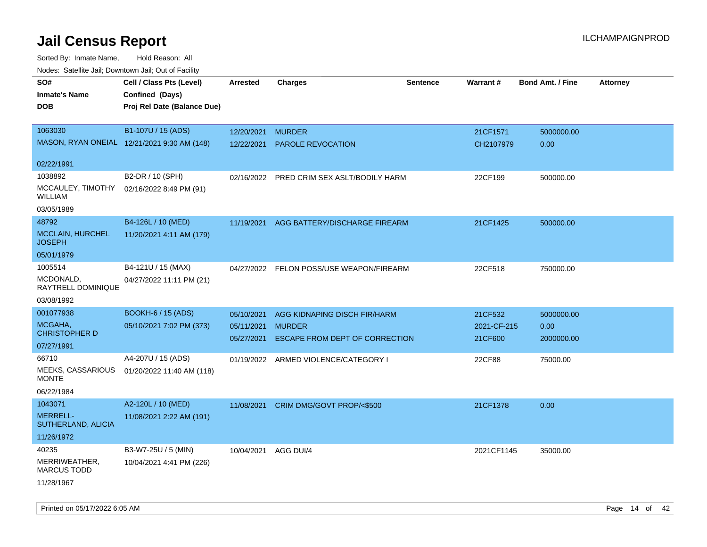Sorted By: Inmate Name, Hold Reason: All Nodes: Satellite Jail; Downtown Jail; Out of Facility

| Noues. Salemie Jan, Downlown Jan, Out of Facility |                                             |                          |                                                 |                 |                        |                         |                 |
|---------------------------------------------------|---------------------------------------------|--------------------------|-------------------------------------------------|-----------------|------------------------|-------------------------|-----------------|
| SO#                                               | Cell / Class Pts (Level)                    | Arrested                 | <b>Charges</b>                                  | <b>Sentence</b> | Warrant#               | <b>Bond Amt. / Fine</b> | <b>Attorney</b> |
| <b>Inmate's Name</b>                              | Confined (Days)                             |                          |                                                 |                 |                        |                         |                 |
| DOB                                               | Proj Rel Date (Balance Due)                 |                          |                                                 |                 |                        |                         |                 |
|                                                   |                                             |                          |                                                 |                 |                        |                         |                 |
| 1063030                                           | B1-107U / 15 (ADS)                          | 12/20/2021               | <b>MURDER</b>                                   |                 | 21CF1571               | 5000000.00              |                 |
|                                                   | MASON, RYAN ONEIAL 12/21/2021 9:30 AM (148) | 12/22/2021               | <b>PAROLE REVOCATION</b>                        |                 | CH2107979              | 0.00                    |                 |
| 02/22/1991                                        |                                             |                          |                                                 |                 |                        |                         |                 |
| 1038892                                           | B2-DR / 10 (SPH)                            |                          | 02/16/2022 PRED CRIM SEX ASLT/BODILY HARM       |                 | 22CF199                | 500000.00               |                 |
| MCCAULEY, TIMOTHY<br><b>WILLIAM</b>               | 02/16/2022 8:49 PM (91)                     |                          |                                                 |                 |                        |                         |                 |
| 03/05/1989                                        |                                             |                          |                                                 |                 |                        |                         |                 |
| 48792                                             | B4-126L / 10 (MED)                          | 11/19/2021               | AGG BATTERY/DISCHARGE FIREARM                   |                 | 21CF1425               | 500000.00               |                 |
| <b>MCCLAIN, HURCHEL</b><br><b>JOSEPH</b>          | 11/20/2021 4:11 AM (179)                    |                          |                                                 |                 |                        |                         |                 |
| 05/01/1979                                        |                                             |                          |                                                 |                 |                        |                         |                 |
| 1005514                                           | B4-121U / 15 (MAX)                          |                          | 04/27/2022 FELON POSS/USE WEAPON/FIREARM        |                 | 22CF518                | 750000.00               |                 |
| MCDONALD,<br>RAYTRELL DOMINIQUE                   | 04/27/2022 11:11 PM (21)                    |                          |                                                 |                 |                        |                         |                 |
| 03/08/1992                                        |                                             |                          |                                                 |                 |                        |                         |                 |
| 001077938                                         | <b>BOOKH-6 / 15 (ADS)</b>                   | 05/10/2021               | AGG KIDNAPING DISCH FIR/HARM                    |                 | 21CF532                | 5000000.00              |                 |
| MCGAHA,<br><b>CHRISTOPHER D</b>                   | 05/10/2021 7:02 PM (373)                    | 05/11/2021<br>05/27/2021 | <b>MURDER</b><br>ESCAPE FROM DEPT OF CORRECTION |                 | 2021-CF-215<br>21CF600 | 0.00<br>2000000.00      |                 |
| 07/27/1991                                        |                                             |                          |                                                 |                 |                        |                         |                 |
| 66710                                             | A4-207U / 15 (ADS)                          |                          | 01/19/2022 ARMED VIOLENCE/CATEGORY I            |                 | 22CF88                 | 75000.00                |                 |
| MEEKS, CASSARIOUS<br><b>MONTE</b>                 | 01/20/2022 11:40 AM (118)                   |                          |                                                 |                 |                        |                         |                 |
| 06/22/1984                                        |                                             |                          |                                                 |                 |                        |                         |                 |
| 1043071                                           | A2-120L / 10 (MED)                          | 11/08/2021               | CRIM DMG/GOVT PROP/<\$500                       |                 | 21CF1378               | 0.00                    |                 |
| <b>MERRELL-</b><br>SUTHERLAND, ALICIA             | 11/08/2021 2:22 AM (191)                    |                          |                                                 |                 |                        |                         |                 |
| 11/26/1972                                        |                                             |                          |                                                 |                 |                        |                         |                 |
| 40235                                             | B3-W7-25U / 5 (MIN)                         | 10/04/2021               | AGG DUI/4                                       |                 | 2021CF1145             | 35000.00                |                 |
| MERRIWEATHER,<br><b>MARCUS TODD</b>               | 10/04/2021 4:41 PM (226)                    |                          |                                                 |                 |                        |                         |                 |
| 11/28/1967                                        |                                             |                          |                                                 |                 |                        |                         |                 |

Printed on 05/17/2022 6:05 AM **Page 14** of 42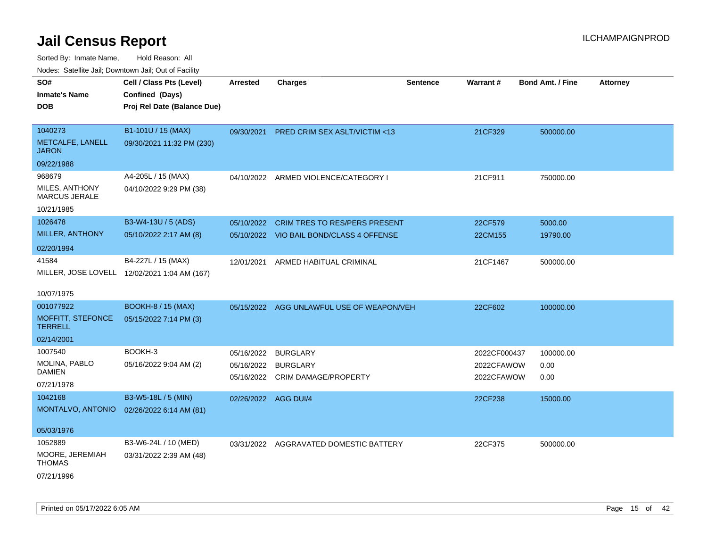| roaco. Catolino dall, Downtown dall, Out of Fability |                                              |                      |                                           |                 |              |                         |                 |
|------------------------------------------------------|----------------------------------------------|----------------------|-------------------------------------------|-----------------|--------------|-------------------------|-----------------|
| SO#                                                  | Cell / Class Pts (Level)                     | <b>Arrested</b>      | <b>Charges</b>                            | <b>Sentence</b> | Warrant#     | <b>Bond Amt. / Fine</b> | <b>Attorney</b> |
| <b>Inmate's Name</b>                                 | Confined (Days)                              |                      |                                           |                 |              |                         |                 |
| <b>DOB</b>                                           | Proj Rel Date (Balance Due)                  |                      |                                           |                 |              |                         |                 |
|                                                      |                                              |                      |                                           |                 |              |                         |                 |
| 1040273                                              | B1-101U / 15 (MAX)                           | 09/30/2021           | <b>PRED CRIM SEX ASLT/VICTIM &lt;13</b>   |                 | 21CF329      | 500000.00               |                 |
| METCALFE, LANELL<br><b>JARON</b>                     | 09/30/2021 11:32 PM (230)                    |                      |                                           |                 |              |                         |                 |
| 09/22/1988                                           |                                              |                      |                                           |                 |              |                         |                 |
| 968679                                               | A4-205L / 15 (MAX)                           |                      | 04/10/2022 ARMED VIOLENCE/CATEGORY I      |                 | 21CF911      | 750000.00               |                 |
| MILES, ANTHONY<br><b>MARCUS JERALE</b>               | 04/10/2022 9:29 PM (38)                      |                      |                                           |                 |              |                         |                 |
| 10/21/1985                                           |                                              |                      |                                           |                 |              |                         |                 |
| 1026478                                              | B3-W4-13U / 5 (ADS)                          | 05/10/2022           | <b>CRIM TRES TO RES/PERS PRESENT</b>      |                 | 22CF579      | 5000.00                 |                 |
| MILLER, ANTHONY                                      | 05/10/2022 2:17 AM (8)                       |                      | 05/10/2022 VIO BAIL BOND/CLASS 4 OFFENSE  |                 | 22CM155      | 19790.00                |                 |
| 02/20/1994                                           |                                              |                      |                                           |                 |              |                         |                 |
| 41584                                                | B4-227L / 15 (MAX)                           | 12/01/2021           | ARMED HABITUAL CRIMINAL                   |                 | 21CF1467     | 500000.00               |                 |
|                                                      | MILLER, JOSE LOVELL 12/02/2021 1:04 AM (167) |                      |                                           |                 |              |                         |                 |
|                                                      |                                              |                      |                                           |                 |              |                         |                 |
| 10/07/1975                                           |                                              |                      |                                           |                 |              |                         |                 |
| 001077922                                            | <b>BOOKH-8 / 15 (MAX)</b>                    |                      | 05/15/2022 AGG UNLAWFUL USE OF WEAPON/VEH |                 | 22CF602      | 100000.00               |                 |
| MOFFITT, STEFONCE<br><b>TERRELL</b>                  | 05/15/2022 7:14 PM (3)                       |                      |                                           |                 |              |                         |                 |
| 02/14/2001                                           |                                              |                      |                                           |                 |              |                         |                 |
| 1007540                                              | BOOKH-3                                      | 05/16/2022           | <b>BURGLARY</b>                           |                 | 2022CF000437 | 100000.00               |                 |
| <b>MOLINA, PABLO</b>                                 | 05/16/2022 9:04 AM (2)                       | 05/16/2022           | BURGLARY                                  |                 | 2022CFAWOW   | 0.00                    |                 |
| <b>DAMIEN</b>                                        |                                              |                      | 05/16/2022 CRIM DAMAGE/PROPERTY           |                 | 2022CFAWOW   | 0.00                    |                 |
| 07/21/1978                                           |                                              |                      |                                           |                 |              |                         |                 |
| 1042168                                              | B3-W5-18L / 5 (MIN)                          | 02/26/2022 AGG DUI/4 |                                           |                 | 22CF238      | 15000.00                |                 |
| MONTALVO, ANTONIO                                    | 02/26/2022 6:14 AM (81)                      |                      |                                           |                 |              |                         |                 |
|                                                      |                                              |                      |                                           |                 |              |                         |                 |
| 05/03/1976                                           |                                              |                      |                                           |                 |              |                         |                 |
| 1052889                                              | B3-W6-24L / 10 (MED)                         |                      | 03/31/2022 AGGRAVATED DOMESTIC BATTERY    |                 | 22CF375      | 500000.00               |                 |
| MOORE, JEREMIAH<br>THOMAS                            | 03/31/2022 2:39 AM (48)                      |                      |                                           |                 |              |                         |                 |
| 07/21/1996                                           |                                              |                      |                                           |                 |              |                         |                 |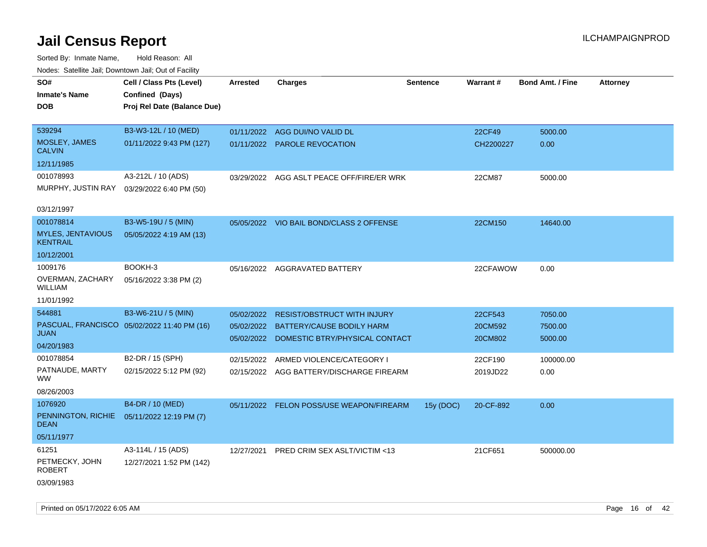| wacs. Calcillic Jali, Downtown Jali, Out of Facility |                                             |                 |                                           |                 |           |                         |                 |
|------------------------------------------------------|---------------------------------------------|-----------------|-------------------------------------------|-----------------|-----------|-------------------------|-----------------|
| SO#                                                  | Cell / Class Pts (Level)                    | <b>Arrested</b> | <b>Charges</b>                            | <b>Sentence</b> | Warrant#  | <b>Bond Amt. / Fine</b> | <b>Attorney</b> |
| <b>Inmate's Name</b>                                 | Confined (Days)                             |                 |                                           |                 |           |                         |                 |
| DOB                                                  | Proj Rel Date (Balance Due)                 |                 |                                           |                 |           |                         |                 |
|                                                      |                                             |                 |                                           |                 |           |                         |                 |
| 539294                                               | B3-W3-12L / 10 (MED)                        |                 | 01/11/2022 AGG DUI/NO VALID DL            |                 | 22CF49    | 5000.00                 |                 |
| MOSLEY, JAMES<br><b>CALVIN</b>                       | 01/11/2022 9:43 PM (127)                    |                 | 01/11/2022 PAROLE REVOCATION              |                 | CH2200227 | 0.00                    |                 |
| 12/11/1985                                           |                                             |                 |                                           |                 |           |                         |                 |
| 001078993                                            | A3-212L / 10 (ADS)                          |                 | 03/29/2022 AGG ASLT PEACE OFF/FIRE/ER WRK |                 | 22CM87    | 5000.00                 |                 |
| MURPHY, JUSTIN RAY                                   | 03/29/2022 6:40 PM (50)                     |                 |                                           |                 |           |                         |                 |
| 03/12/1997                                           |                                             |                 |                                           |                 |           |                         |                 |
| 001078814                                            | B3-W5-19U / 5 (MIN)                         |                 | 05/05/2022 VIO BAIL BOND/CLASS 2 OFFENSE  |                 | 22CM150   | 14640.00                |                 |
| <b>MYLES, JENTAVIOUS</b><br><b>KENTRAIL</b>          | 05/05/2022 4:19 AM (13)                     |                 |                                           |                 |           |                         |                 |
| 10/12/2001                                           |                                             |                 |                                           |                 |           |                         |                 |
| 1009176                                              | BOOKH-3                                     |                 | 05/16/2022 AGGRAVATED BATTERY             |                 | 22CFAWOW  | 0.00                    |                 |
| OVERMAN, ZACHARY<br><b>WILLIAM</b>                   | 05/16/2022 3:38 PM (2)                      |                 |                                           |                 |           |                         |                 |
| 11/01/1992                                           |                                             |                 |                                           |                 |           |                         |                 |
| 544881                                               | B3-W6-21U / 5 (MIN)                         | 05/02/2022      | <b>RESIST/OBSTRUCT WITH INJURY</b>        |                 | 22CF543   | 7050.00                 |                 |
|                                                      | PASCUAL, FRANCISCO 05/02/2022 11:40 PM (16) | 05/02/2022      | <b>BATTERY/CAUSE BODILY HARM</b>          |                 | 20CM592   | 7500.00                 |                 |
| <b>JUAN</b>                                          |                                             |                 | 05/02/2022 DOMESTIC BTRY/PHYSICAL CONTACT |                 | 20CM802   | 5000.00                 |                 |
| 04/20/1983                                           |                                             |                 |                                           |                 |           |                         |                 |
| 001078854                                            | B2-DR / 15 (SPH)                            | 02/15/2022      | ARMED VIOLENCE/CATEGORY I                 |                 | 22CF190   | 100000.00               |                 |
| PATNAUDE, MARTY<br><b>WW</b>                         | 02/15/2022 5:12 PM (92)                     |                 | 02/15/2022 AGG BATTERY/DISCHARGE FIREARM  |                 | 2019JD22  | 0.00                    |                 |
| 08/26/2003                                           |                                             |                 |                                           |                 |           |                         |                 |
| 1076920                                              | B4-DR / 10 (MED)                            |                 | 05/11/2022 FELON POSS/USE WEAPON/FIREARM  | 15y (DOC)       | 20-CF-892 | 0.00                    |                 |
| PENNINGTON, RICHIE<br><b>DEAN</b>                    | 05/11/2022 12:19 PM (7)                     |                 |                                           |                 |           |                         |                 |
| 05/11/1977                                           |                                             |                 |                                           |                 |           |                         |                 |
| 61251                                                | A3-114L / 15 (ADS)                          | 12/27/2021      | PRED CRIM SEX ASLT/VICTIM <13             |                 | 21CF651   | 500000.00               |                 |
| PETMECKY, JOHN<br><b>ROBERT</b>                      | 12/27/2021 1:52 PM (142)                    |                 |                                           |                 |           |                         |                 |
| 03/09/1983                                           |                                             |                 |                                           |                 |           |                         |                 |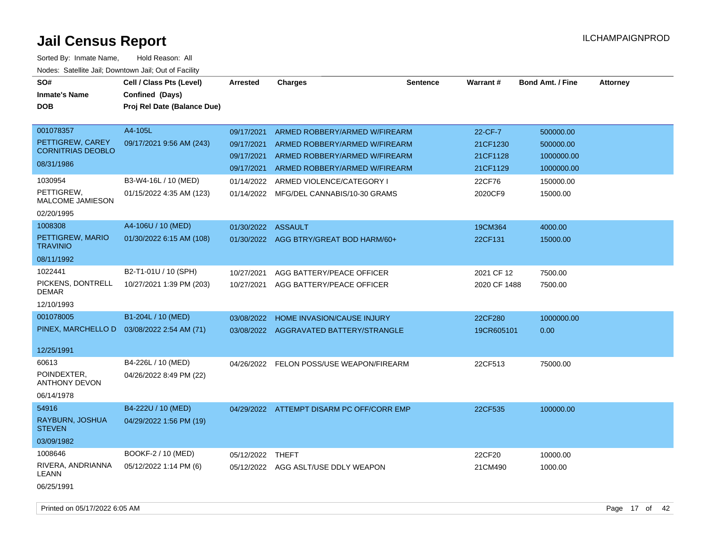| SO#<br><b>Inmate's Name</b><br>DOB                                                 | Cell / Class Pts (Level)<br>Confined (Days)<br>Proj Rel Date (Balance Due) | Arrested                                                           | <b>Charges</b>                                                                                                                                                | <b>Sentence</b> | Warrant#                                              | <b>Bond Amt. / Fine</b>                                         | <b>Attorney</b> |
|------------------------------------------------------------------------------------|----------------------------------------------------------------------------|--------------------------------------------------------------------|---------------------------------------------------------------------------------------------------------------------------------------------------------------|-----------------|-------------------------------------------------------|-----------------------------------------------------------------|-----------------|
| 001078357<br>PETTIGREW, CAREY<br><b>CORNITRIAS DEOBLO</b><br>08/31/1986<br>1030954 | A4-105L<br>09/17/2021 9:56 AM (243)<br>B3-W4-16L / 10 (MED)                | 09/17/2021<br>09/17/2021<br>09/17/2021<br>09/17/2021<br>01/14/2022 | ARMED ROBBERY/ARMED W/FIREARM<br>ARMED ROBBERY/ARMED W/FIREARM<br>ARMED ROBBERY/ARMED W/FIREARM<br>ARMED ROBBERY/ARMED W/FIREARM<br>ARMED VIOLENCE/CATEGORY I |                 | 22-CF-7<br>21CF1230<br>21CF1128<br>21CF1129<br>22CF76 | 500000.00<br>500000.00<br>1000000.00<br>1000000.00<br>150000.00 |                 |
| PETTIGREW,<br>MALCOME JAMIESON<br>02/20/1995                                       | 01/15/2022 4:35 AM (123)                                                   | 01/14/2022                                                         | MFG/DEL CANNABIS/10-30 GRAMS                                                                                                                                  |                 | 2020CF9                                               | 15000.00                                                        |                 |
| 1008308<br>PETTIGREW, MARIO<br><b>TRAVINIO</b><br>08/11/1992                       | A4-106U / 10 (MED)<br>01/30/2022 6:15 AM (108)                             | 01/30/2022 ASSAULT                                                 | 01/30/2022 AGG BTRY/GREAT BOD HARM/60+                                                                                                                        |                 | 19CM364<br>22CF131                                    | 4000.00<br>15000.00                                             |                 |
| 1022441<br>PICKENS, DONTRELL<br>DEMAR<br>12/10/1993                                | B2-T1-01U / 10 (SPH)<br>10/27/2021 1:39 PM (203)                           | 10/27/2021<br>10/27/2021                                           | AGG BATTERY/PEACE OFFICER<br>AGG BATTERY/PEACE OFFICER                                                                                                        |                 | 2021 CF 12<br>2020 CF 1488                            | 7500.00<br>7500.00                                              |                 |
| 001078005<br>PINEX, MARCHELLO D<br>12/25/1991                                      | B1-204L / 10 (MED)<br>03/08/2022 2:54 AM (71)                              | 03/08/2022<br>03/08/2022                                           | HOME INVASION/CAUSE INJURY<br>AGGRAVATED BATTERY/STRANGLE                                                                                                     |                 | 22CF280<br>19CR605101                                 | 1000000.00<br>0.00                                              |                 |
| 60613<br>POINDEXTER,<br>ANTHONY DEVON<br>06/14/1978                                | B4-226L / 10 (MED)<br>04/26/2022 8:49 PM (22)                              |                                                                    | 04/26/2022 FELON POSS/USE WEAPON/FIREARM                                                                                                                      |                 | 22CF513                                               | 75000.00                                                        |                 |
| 54916<br>RAYBURN, JOSHUA<br><b>STEVEN</b><br>03/09/1982                            | B4-222U / 10 (MED)<br>04/29/2022 1:56 PM (19)                              |                                                                    | 04/29/2022 ATTEMPT DISARM PC OFF/CORR EMP                                                                                                                     |                 | 22CF535                                               | 100000.00                                                       |                 |
| 1008646<br>RIVERA, ANDRIANNA<br>LEANN<br>06/25/1991                                | BOOKF-2 / 10 (MED)<br>05/12/2022 1:14 PM (6)                               | 05/12/2022 THEFT                                                   | 05/12/2022 AGG ASLT/USE DDLY WEAPON                                                                                                                           |                 | 22CF20<br>21CM490                                     | 10000.00<br>1000.00                                             |                 |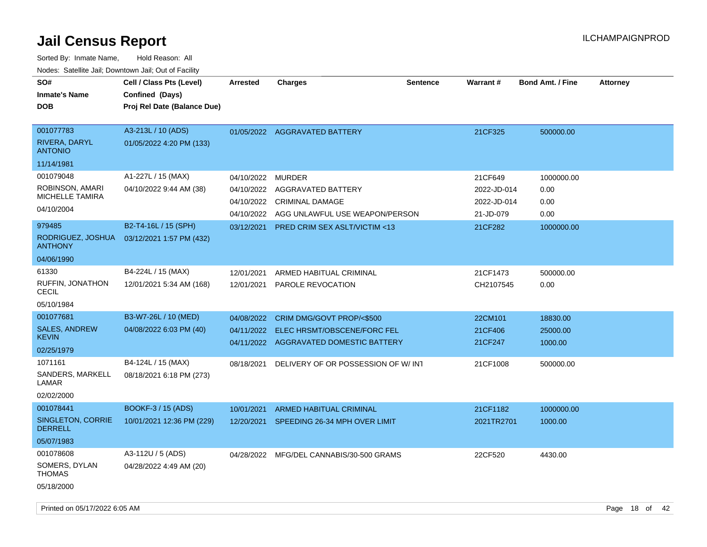| SO#<br><b>Inmate's Name</b><br><b>DOB</b>                                                                             | Cell / Class Pts (Level)<br>Confined (Days)<br>Proj Rel Date (Balance Due)                        | <b>Arrested</b>          | <b>Charges</b>                                                                                                                                                       | <b>Sentence</b> | Warrant#                                                      | <b>Bond Amt. / Fine</b>                          | <b>Attorney</b> |
|-----------------------------------------------------------------------------------------------------------------------|---------------------------------------------------------------------------------------------------|--------------------------|----------------------------------------------------------------------------------------------------------------------------------------------------------------------|-----------------|---------------------------------------------------------------|--------------------------------------------------|-----------------|
| 001077783<br>RIVERA, DARYL<br><b>ANTONIO</b><br>11/14/1981                                                            | A3-213L / 10 (ADS)<br>01/05/2022 4:20 PM (133)                                                    |                          | 01/05/2022 AGGRAVATED BATTERY                                                                                                                                        |                 | 21CF325                                                       | 500000.00                                        |                 |
| 001079048<br>ROBINSON, AMARI<br><b>MICHELLE TAMIRA</b><br>04/10/2004<br>979485<br>RODRIGUEZ, JOSHUA<br><b>ANTHONY</b> | A1-227L / 15 (MAX)<br>04/10/2022 9:44 AM (38)<br>B2-T4-16L / 15 (SPH)<br>03/12/2021 1:57 PM (432) | 04/10/2022<br>03/12/2021 | <b>MURDER</b><br>04/10/2022 AGGRAVATED BATTERY<br>04/10/2022 CRIMINAL DAMAGE<br>04/10/2022 AGG UNLAWFUL USE WEAPON/PERSON<br><b>PRED CRIM SEX ASLT/VICTIM &lt;13</b> |                 | 21CF649<br>2022-JD-014<br>2022-JD-014<br>21-JD-079<br>21CF282 | 1000000.00<br>0.00<br>0.00<br>0.00<br>1000000.00 |                 |
| 04/06/1990<br>61330<br>RUFFIN, JONATHON<br><b>CECIL</b><br>05/10/1984                                                 | B4-224L / 15 (MAX)<br>12/01/2021 5:34 AM (168)                                                    | 12/01/2021<br>12/01/2021 | ARMED HABITUAL CRIMINAL<br>PAROLE REVOCATION                                                                                                                         |                 | 21CF1473<br>CH2107545                                         | 500000.00<br>0.00                                |                 |
| 001077681<br><b>SALES, ANDREW</b><br><b>KEVIN</b><br>02/25/1979                                                       | B3-W7-26L / 10 (MED)<br>04/08/2022 6:03 PM (40)                                                   | 04/08/2022               | CRIM DMG/GOVT PROP/<\$500<br>04/11/2022 ELEC HRSMT/OBSCENE/FORC FEL<br>04/11/2022 AGGRAVATED DOMESTIC BATTERY                                                        |                 | 22CM101<br>21CF406<br>21CF247                                 | 18830.00<br>25000.00<br>1000.00                  |                 |
| 1071161<br>SANDERS, MARKELL<br>LAMAR<br>02/02/2000                                                                    | B4-124L / 15 (MAX)<br>08/18/2021 6:18 PM (273)                                                    | 08/18/2021               | DELIVERY OF OR POSSESSION OF W/ INT                                                                                                                                  |                 | 21CF1008                                                      | 500000.00                                        |                 |
| 001078441<br>SINGLETON, CORRIE<br><b>DERRELL</b><br>05/07/1983                                                        | <b>BOOKF-3 / 15 (ADS)</b><br>10/01/2021 12:36 PM (229)                                            | 10/01/2021               | <b>ARMED HABITUAL CRIMINAL</b><br>12/20/2021 SPEEDING 26-34 MPH OVER LIMIT                                                                                           |                 | 21CF1182<br>2021TR2701                                        | 1000000.00<br>1000.00                            |                 |
| 001078608<br>SOMERS, DYLAN<br><b>THOMAS</b><br>05/18/2000                                                             | A3-112U / 5 (ADS)<br>04/28/2022 4:49 AM (20)                                                      | 04/28/2022               | MFG/DEL CANNABIS/30-500 GRAMS                                                                                                                                        |                 | 22CF520                                                       | 4430.00                                          |                 |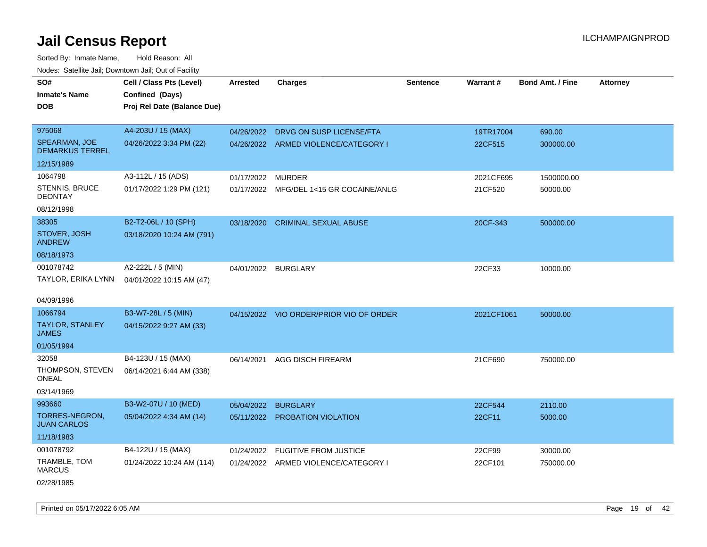Sorted By: Inmate Name, Hold Reason: All Nodes: Satellite Jail; Downtown Jail; Out of Facility

| roaco. Catolino dall, Downtown dall, Out of Fability |                             |                   |                                         |                 |            |                         |                 |
|------------------------------------------------------|-----------------------------|-------------------|-----------------------------------------|-----------------|------------|-------------------------|-----------------|
| SO#                                                  | Cell / Class Pts (Level)    | <b>Arrested</b>   | <b>Charges</b>                          | <b>Sentence</b> | Warrant#   | <b>Bond Amt. / Fine</b> | <b>Attorney</b> |
| <b>Inmate's Name</b>                                 | Confined (Days)             |                   |                                         |                 |            |                         |                 |
| <b>DOB</b>                                           | Proj Rel Date (Balance Due) |                   |                                         |                 |            |                         |                 |
|                                                      |                             |                   |                                         |                 |            |                         |                 |
| 975068                                               | A4-203U / 15 (MAX)          |                   | 04/26/2022 DRVG ON SUSP LICENSE/FTA     |                 | 19TR17004  | 690.00                  |                 |
| SPEARMAN, JOE<br><b>DEMARKUS TERREL</b>              | 04/26/2022 3:34 PM (22)     |                   | 04/26/2022 ARMED VIOLENCE/CATEGORY I    |                 | 22CF515    | 300000.00               |                 |
| 12/15/1989                                           |                             |                   |                                         |                 |            |                         |                 |
| 1064798                                              | A3-112L / 15 (ADS)          | 01/17/2022 MURDER |                                         |                 | 2021CF695  | 1500000.00              |                 |
| STENNIS, BRUCE<br><b>DEONTAY</b>                     | 01/17/2022 1:29 PM (121)    |                   | 01/17/2022 MFG/DEL 1<15 GR COCAINE/ANLG |                 | 21CF520    | 50000.00                |                 |
| 08/12/1998                                           |                             |                   |                                         |                 |            |                         |                 |
| 38305                                                | B2-T2-06L / 10 (SPH)        |                   | 03/18/2020 CRIMINAL SEXUAL ABUSE        |                 | 20CF-343   | 500000.00               |                 |
| STOVER, JOSH<br><b>ANDREW</b>                        | 03/18/2020 10:24 AM (791)   |                   |                                         |                 |            |                         |                 |
| 08/18/1973                                           |                             |                   |                                         |                 |            |                         |                 |
| 001078742                                            | A2-222L / 5 (MIN)           |                   | 04/01/2022 BURGLARY                     |                 | 22CF33     | 10000.00                |                 |
| TAYLOR, ERIKA LYNN                                   | 04/01/2022 10:15 AM (47)    |                   |                                         |                 |            |                         |                 |
|                                                      |                             |                   |                                         |                 |            |                         |                 |
| 04/09/1996                                           |                             |                   |                                         |                 |            |                         |                 |
| 1066794                                              | B3-W7-28L / 5 (MIN)         |                   | 04/15/2022 VIO ORDER/PRIOR VIO OF ORDER |                 | 2021CF1061 | 50000.00                |                 |
| TAYLOR, STANLEY<br><b>JAMES</b>                      | 04/15/2022 9:27 AM (33)     |                   |                                         |                 |            |                         |                 |
| 01/05/1994                                           |                             |                   |                                         |                 |            |                         |                 |
| 32058                                                | B4-123U / 15 (MAX)          | 06/14/2021        | AGG DISCH FIREARM                       |                 | 21CF690    | 750000.00               |                 |
| THOMPSON, STEVEN<br><b>ONEAL</b>                     | 06/14/2021 6:44 AM (338)    |                   |                                         |                 |            |                         |                 |
| 03/14/1969                                           |                             |                   |                                         |                 |            |                         |                 |
| 993660                                               | B3-W2-07U / 10 (MED)        | 05/04/2022        | <b>BURGLARY</b>                         |                 | 22CF544    | 2110.00                 |                 |
| TORRES-NEGRON,<br><b>JUAN CARLOS</b>                 | 05/04/2022 4:34 AM (14)     |                   | 05/11/2022 PROBATION VIOLATION          |                 | 22CF11     | 5000.00                 |                 |
| 11/18/1983                                           |                             |                   |                                         |                 |            |                         |                 |
| 001078792                                            | B4-122U / 15 (MAX)          | 01/24/2022        | <b>FUGITIVE FROM JUSTICE</b>            |                 | 22CF99     | 30000.00                |                 |
| TRAMBLE, TOM<br><b>MARCUS</b>                        | 01/24/2022 10:24 AM (114)   |                   | 01/24/2022 ARMED VIOLENCE/CATEGORY I    |                 | 22CF101    | 750000.00               |                 |
| 02/28/1985                                           |                             |                   |                                         |                 |            |                         |                 |

Printed on 05/17/2022 6:05 AM Page 19 of 42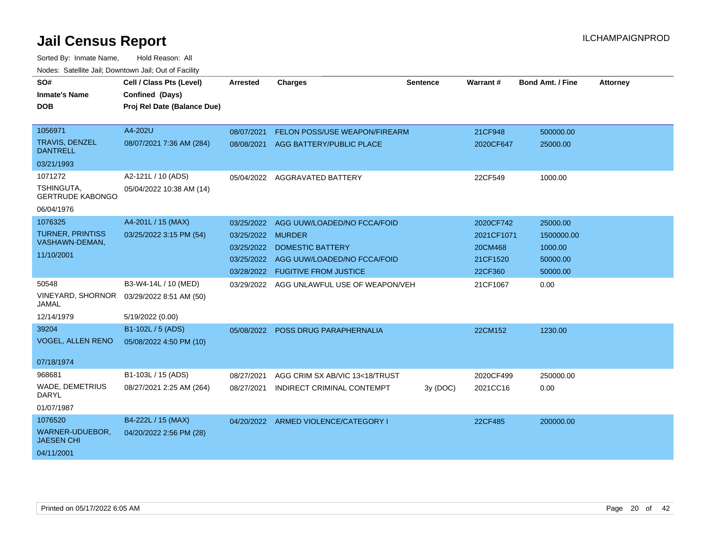| SO#<br><b>Inmate's Name</b><br>DOB        | Cell / Class Pts (Level)<br>Confined (Days)<br>Proj Rel Date (Balance Due) | <b>Arrested</b> | <b>Charges</b>                       | <b>Sentence</b> | <b>Warrant#</b> | <b>Bond Amt. / Fine</b> | <b>Attorney</b> |
|-------------------------------------------|----------------------------------------------------------------------------|-----------------|--------------------------------------|-----------------|-----------------|-------------------------|-----------------|
| 1056971                                   | A4-202U                                                                    | 08/07/2021      | <b>FELON POSS/USE WEAPON/FIREARM</b> |                 | 21CF948         | 500000.00               |                 |
| <b>TRAVIS, DENZEL</b><br><b>DANTRELL</b>  | 08/07/2021 7:36 AM (284)                                                   | 08/08/2021      | AGG BATTERY/PUBLIC PLACE             |                 | 2020CF647       | 25000.00                |                 |
| 03/21/1993                                |                                                                            |                 |                                      |                 |                 |                         |                 |
| 1071272                                   | A2-121L / 10 (ADS)                                                         |                 | 05/04/2022 AGGRAVATED BATTERY        |                 | 22CF549         | 1000.00                 |                 |
| TSHINGUTA,<br><b>GERTRUDE KABONGO</b>     | 05/04/2022 10:38 AM (14)                                                   |                 |                                      |                 |                 |                         |                 |
| 06/04/1976                                |                                                                            |                 |                                      |                 |                 |                         |                 |
| 1076325                                   | A4-201L / 15 (MAX)                                                         | 03/25/2022      | AGG UUW/LOADED/NO FCCA/FOID          |                 | 2020CF742       | 25000.00                |                 |
| <b>TURNER, PRINTISS</b><br>VASHAWN-DEMAN, | 03/25/2022 3:15 PM (54)                                                    | 03/25/2022      | <b>MURDER</b>                        |                 | 2021CF1071      | 1500000.00              |                 |
| 11/10/2001                                |                                                                            | 03/25/2022      | <b>DOMESTIC BATTERY</b>              |                 | 20CM468         | 1000.00                 |                 |
|                                           |                                                                            | 03/25/2022      | AGG UUW/LOADED/NO FCCA/FOID          |                 | 21CF1520        | 50000.00                |                 |
|                                           |                                                                            | 03/28/2022      | <b>FUGITIVE FROM JUSTICE</b>         |                 | 22CF360         | 50000.00                |                 |
| 50548                                     | B3-W4-14L / 10 (MED)                                                       | 03/29/2022      | AGG UNLAWFUL USE OF WEAPON/VEH       |                 | 21CF1067        | 0.00                    |                 |
| VINEYARD, SHORNOR<br><b>JAMAL</b>         | 03/29/2022 8:51 AM (50)                                                    |                 |                                      |                 |                 |                         |                 |
| 12/14/1979                                | 5/19/2022 (0.00)                                                           |                 |                                      |                 |                 |                         |                 |
| 39204                                     | B1-102L / 5 (ADS)                                                          |                 | 05/08/2022 POSS DRUG PARAPHERNALIA   |                 | 22CM152         | 1230.00                 |                 |
| <b>VOGEL, ALLEN RENO</b>                  | 05/08/2022 4:50 PM (10)                                                    |                 |                                      |                 |                 |                         |                 |
| 07/18/1974                                |                                                                            |                 |                                      |                 |                 |                         |                 |
| 968681                                    | B1-103L / 15 (ADS)                                                         | 08/27/2021      | AGG CRIM SX AB/VIC 13<18/TRUST       |                 | 2020CF499       | 250000.00               |                 |
| <b>WADE, DEMETRIUS</b><br><b>DARYL</b>    | 08/27/2021 2:25 AM (264)                                                   | 08/27/2021      | INDIRECT CRIMINAL CONTEMPT           | 3y(DOC)         | 2021CC16        | 0.00                    |                 |
| 01/07/1987                                |                                                                            |                 |                                      |                 |                 |                         |                 |
| 1076520                                   | B4-222L / 15 (MAX)                                                         |                 | 04/20/2022 ARMED VIOLENCE/CATEGORY I |                 | 22CF485         | 200000.00               |                 |
| WARNER-UDUEBOR,<br><b>JAESEN CHI</b>      | 04/20/2022 2:56 PM (28)                                                    |                 |                                      |                 |                 |                         |                 |
| 04/11/2001                                |                                                                            |                 |                                      |                 |                 |                         |                 |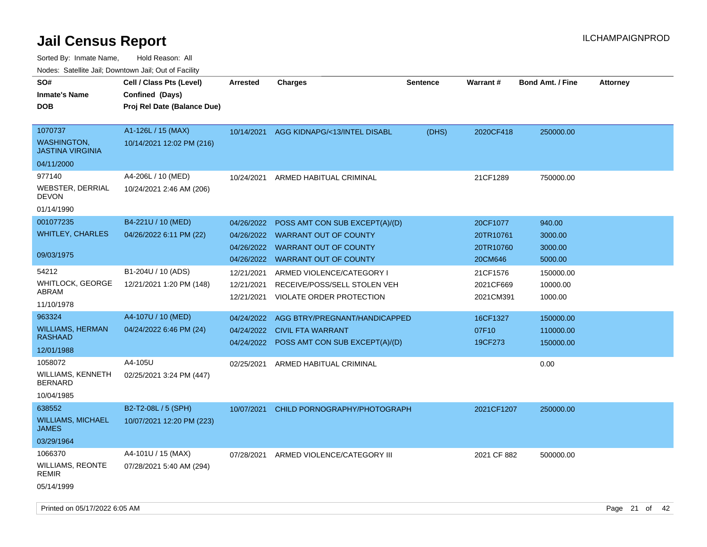| Sorted By: Inmate Name,                               | Hold Reason: All            |                 |                                  |                 |                 |                         |          |
|-------------------------------------------------------|-----------------------------|-----------------|----------------------------------|-----------------|-----------------|-------------------------|----------|
| Nodes: Satellite Jail; Downtown Jail; Out of Facility |                             |                 |                                  |                 |                 |                         |          |
| SO#                                                   | Cell / Class Pts (Level)    | <b>Arrested</b> | <b>Charges</b>                   | <b>Sentence</b> | <b>Warrant#</b> | <b>Bond Amt. / Fine</b> | Attorney |
| <b>Inmate's Name</b>                                  | Confined (Days)             |                 |                                  |                 |                 |                         |          |
| DOB                                                   | Proj Rel Date (Balance Due) |                 |                                  |                 |                 |                         |          |
|                                                       |                             |                 |                                  |                 |                 |                         |          |
| 1070737                                               | A1-126L / 15 (MAX)          | 10/14/2021      | AGG KIDNAPG/<13/INTEL DISABL     | (DHS)           | 2020CF418       | 250000.00               |          |
| <b>WASHINGTON,</b><br><b>JASTINA VIRGINIA</b>         | 10/14/2021 12:02 PM (216)   |                 |                                  |                 |                 |                         |          |
| 04/11/2000                                            |                             |                 |                                  |                 |                 |                         |          |
| 977140                                                | A4-206L / 10 (MED)          | 10/24/2021      | ARMED HABITUAL CRIMINAL          |                 | 21CF1289        | 750000.00               |          |
| <b>WEBSTER, DERRIAL</b><br><b>DEVON</b>               | 10/24/2021 2:46 AM (206)    |                 |                                  |                 |                 |                         |          |
| 01/14/1990                                            |                             |                 |                                  |                 |                 |                         |          |
| 001077235                                             | B4-221U / 10 (MED)          | 04/26/2022      | POSS AMT CON SUB EXCEPT(A)/(D)   |                 | 20CF1077        | 940.00                  |          |
| <b>WHITLEY, CHARLES</b>                               | 04/26/2022 6:11 PM (22)     | 04/26/2022      | <b>WARRANT OUT OF COUNTY</b>     |                 | 20TR10761       | 3000.00                 |          |
|                                                       |                             |                 | 04/26/2022 WARRANT OUT OF COUNTY |                 | 20TR10760       | 3000.00                 |          |
| 09/03/1975                                            |                             |                 | 04/26/2022 WARRANT OUT OF COUNTY |                 | 20CM646         | 5000.00                 |          |
| 54212                                                 | B1-204U / 10 (ADS)          | 12/21/2021      | ARMED VIOLENCE/CATEGORY I        |                 | 21CF1576        | 150000.00               |          |
| <b>WHITLOCK, GEORGE</b><br>ABRAM                      | 12/21/2021 1:20 PM (148)    | 12/21/2021      | RECEIVE/POSS/SELL STOLEN VEH     |                 | 2021CF669       | 10000.00                |          |
| 11/10/1978                                            |                             | 12/21/2021      | VIOLATE ORDER PROTECTION         |                 | 2021CM391       | 1000.00                 |          |
| 963324                                                | A4-107U / 10 (MED)          | 04/24/2022      | AGG BTRY/PREGNANT/HANDICAPPED    |                 | 16CF1327        | 150000.00               |          |
| <b>WILLIAMS, HERMAN</b>                               | 04/24/2022 6:46 PM (24)     | 04/24/2022      | <b>CIVIL FTA WARRANT</b>         |                 | 07F10           | 110000.00               |          |
| <b>RASHAAD</b>                                        |                             | 04/24/2022      | POSS AMT CON SUB EXCEPT(A)/(D)   |                 | 19CF273         | 150000.00               |          |
| 12/01/1988                                            |                             |                 |                                  |                 |                 |                         |          |
| 1058072                                               | A4-105U                     | 02/25/2021      | ARMED HABITUAL CRIMINAL          |                 |                 | 0.00                    |          |
| <b>WILLIAMS, KENNETH</b><br><b>BERNARD</b>            | 02/25/2021 3:24 PM (447)    |                 |                                  |                 |                 |                         |          |
| 10/04/1985                                            |                             |                 |                                  |                 |                 |                         |          |
| 638552                                                | B2-T2-08L / 5 (SPH)         | 10/07/2021      | CHILD PORNOGRAPHY/PHOTOGRAPH     |                 | 2021CF1207      | 250000.00               |          |
| <b>WILLIAMS, MICHAEL</b><br>JAMES                     | 10/07/2021 12:20 PM (223)   |                 |                                  |                 |                 |                         |          |
| 03/29/1964                                            |                             |                 |                                  |                 |                 |                         |          |
| 1066370                                               | A4-101U / 15 (MAX)          | 07/28/2021      | ARMED VIOLENCE/CATEGORY III      |                 | 2021 CF 882     | 500000.00               |          |

WILLIAMS, REONTE 07/28/2021 5:40 AM (294)

REMIR 05/14/1999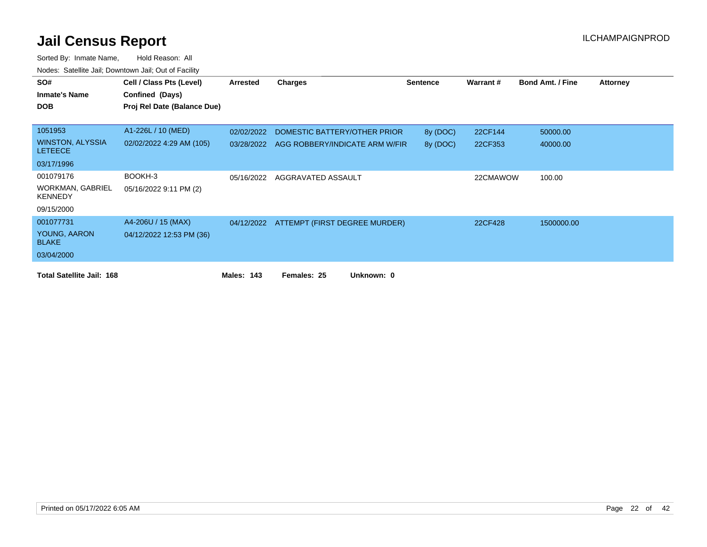| SO#                                       | Cell / Class Pts (Level)    | Arrested   | <b>Charges</b>                           | <b>Sentence</b> | Warrant# | <b>Bond Amt. / Fine</b> | <b>Attorney</b> |
|-------------------------------------------|-----------------------------|------------|------------------------------------------|-----------------|----------|-------------------------|-----------------|
| <b>Inmate's Name</b>                      | Confined (Days)             |            |                                          |                 |          |                         |                 |
| <b>DOB</b>                                | Proj Rel Date (Balance Due) |            |                                          |                 |          |                         |                 |
|                                           |                             |            |                                          |                 |          |                         |                 |
| 1051953                                   | A1-226L / 10 (MED)          | 02/02/2022 | DOMESTIC BATTERY/OTHER PRIOR             | 8y (DOC)        | 22CF144  | 50000.00                |                 |
| WINSTON, ALYSSIA<br><b>LETEECE</b>        | 02/02/2022 4:29 AM (105)    | 03/28/2022 | AGG ROBBERY/INDICATE ARM W/FIR           | 8y (DOC)        | 22CF353  | 40000.00                |                 |
| 03/17/1996                                |                             |            |                                          |                 |          |                         |                 |
| 001079176                                 | BOOKH-3                     | 05/16/2022 | AGGRAVATED ASSAULT                       |                 | 22CMAWOW | 100.00                  |                 |
| <b>WORKMAN, GABRIEL</b><br><b>KENNEDY</b> | 05/16/2022 9:11 PM (2)      |            |                                          |                 |          |                         |                 |
| 09/15/2000                                |                             |            |                                          |                 |          |                         |                 |
| 001077731                                 | A4-206U / 15 (MAX)          |            | 04/12/2022 ATTEMPT (FIRST DEGREE MURDER) |                 | 22CF428  | 1500000.00              |                 |
| YOUNG, AARON<br><b>BLAKE</b>              | 04/12/2022 12:53 PM (36)    |            |                                          |                 |          |                         |                 |
| 03/04/2000                                |                             |            |                                          |                 |          |                         |                 |
| <b>Total Satellite Jail: 168</b>          |                             | Males: 143 | Females: 25<br>Unknown: 0                |                 |          |                         |                 |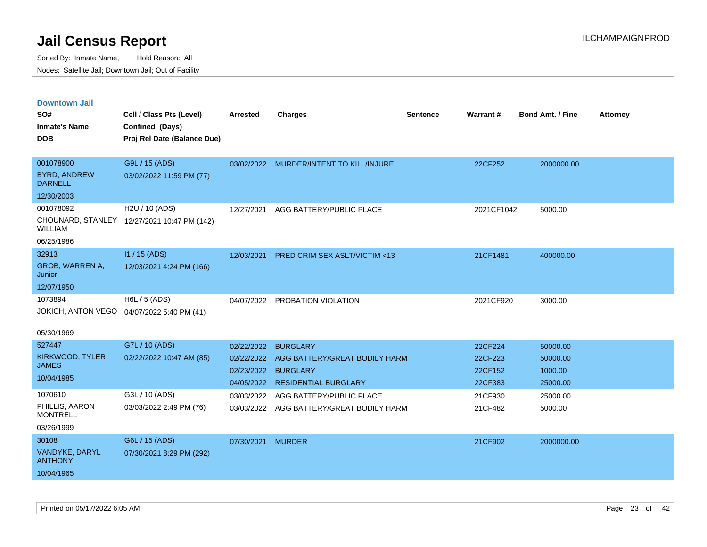| <b>Downtown Jail</b>                  |                                             |                 |                                          |                 |            |                         |                 |
|---------------------------------------|---------------------------------------------|-----------------|------------------------------------------|-----------------|------------|-------------------------|-----------------|
| SO#                                   | Cell / Class Pts (Level)                    | <b>Arrested</b> | <b>Charges</b>                           | <b>Sentence</b> | Warrant#   | <b>Bond Amt. / Fine</b> | <b>Attorney</b> |
| <b>Inmate's Name</b>                  | Confined (Days)                             |                 |                                          |                 |            |                         |                 |
| <b>DOB</b>                            | Proj Rel Date (Balance Due)                 |                 |                                          |                 |            |                         |                 |
|                                       |                                             |                 |                                          |                 |            |                         |                 |
| 001078900                             | G9L / 15 (ADS)                              | 03/02/2022      | MURDER/INTENT TO KILL/INJURE             |                 | 22CF252    | 2000000.00              |                 |
| <b>BYRD, ANDREW</b><br><b>DARNELL</b> | 03/02/2022 11:59 PM (77)                    |                 |                                          |                 |            |                         |                 |
| 12/30/2003                            |                                             |                 |                                          |                 |            |                         |                 |
| 001078092                             | H2U / 10 (ADS)                              | 12/27/2021      | AGG BATTERY/PUBLIC PLACE                 |                 | 2021CF1042 | 5000.00                 |                 |
| <b>WILLIAM</b>                        | CHOUNARD, STANLEY 12/27/2021 10:47 PM (142) |                 |                                          |                 |            |                         |                 |
| 06/25/1986                            |                                             |                 |                                          |                 |            |                         |                 |
| 32913                                 | I1 / 15 (ADS)                               | 12/03/2021      | <b>PRED CRIM SEX ASLT/VICTIM &lt;13</b>  |                 | 21CF1481   | 400000.00               |                 |
| GROB, WARREN A,<br>Junior             | 12/03/2021 4:24 PM (166)                    |                 |                                          |                 |            |                         |                 |
| 12/07/1950                            |                                             |                 |                                          |                 |            |                         |                 |
| 1073894                               | H6L / 5 (ADS)                               | 04/07/2022      | PROBATION VIOLATION                      |                 | 2021CF920  | 3000.00                 |                 |
| JOKICH, ANTON VEGO                    | 04/07/2022 5:40 PM (41)                     |                 |                                          |                 |            |                         |                 |
| 05/30/1969                            |                                             |                 |                                          |                 |            |                         |                 |
| 527447                                | G7L / 10 (ADS)                              | 02/22/2022      | <b>BURGLARY</b>                          |                 | 22CF224    | 50000.00                |                 |
| KIRKWOOD, TYLER                       | 02/22/2022 10:47 AM (85)                    | 02/22/2022      | AGG BATTERY/GREAT BODILY HARM            |                 | 22CF223    | 50000.00                |                 |
| <b>JAMES</b>                          |                                             | 02/23/2022      | <b>BURGLARY</b>                          |                 | 22CF152    | 1000.00                 |                 |
| 10/04/1985                            |                                             |                 | 04/05/2022 RESIDENTIAL BURGLARY          |                 | 22CF383    | 25000.00                |                 |
| 1070610                               | G3L / 10 (ADS)                              | 03/03/2022      | AGG BATTERY/PUBLIC PLACE                 |                 | 21CF930    | 25000.00                |                 |
| PHILLIS, AARON<br><b>MONTRELL</b>     | 03/03/2022 2:49 PM (76)                     |                 | 03/03/2022 AGG BATTERY/GREAT BODILY HARM |                 | 21CF482    | 5000.00                 |                 |
| 03/26/1999                            |                                             |                 |                                          |                 |            |                         |                 |
| 30108                                 | G6L / 15 (ADS)                              | 07/30/2021      | <b>MURDER</b>                            |                 | 21CF902    | 2000000.00              |                 |
| VANDYKE, DARYL<br><b>ANTHONY</b>      | 07/30/2021 8:29 PM (292)                    |                 |                                          |                 |            |                         |                 |
| 10/04/1965                            |                                             |                 |                                          |                 |            |                         |                 |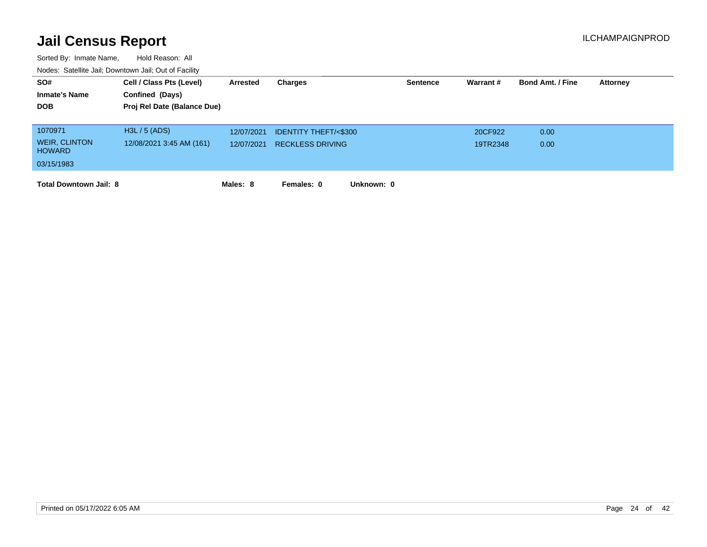| SO#                                   | Cell / Class Pts (Level)    | Arrested   | Charges                         | <b>Sentence</b> | Warrant# | <b>Bond Amt. / Fine</b> | <b>Attorney</b> |
|---------------------------------------|-----------------------------|------------|---------------------------------|-----------------|----------|-------------------------|-----------------|
| <b>Inmate's Name</b>                  | Confined (Days)             |            |                                 |                 |          |                         |                 |
| <b>DOB</b>                            | Proj Rel Date (Balance Due) |            |                                 |                 |          |                         |                 |
|                                       |                             |            |                                 |                 |          |                         |                 |
| 1070971                               | H3L / 5 (ADS)               | 12/07/2021 | <b>IDENTITY THEFT/&lt;\$300</b> |                 | 20CF922  | 0.00                    |                 |
| <b>WEIR, CLINTON</b><br><b>HOWARD</b> | 12/08/2021 3:45 AM (161)    | 12/07/2021 | <b>RECKLESS DRIVING</b>         |                 | 19TR2348 | 0.00                    |                 |
| 03/15/1983                            |                             |            |                                 |                 |          |                         |                 |
| <b>Total Downtown Jail: 8</b>         |                             | Males: 8   | Females: 0<br>Unknown: 0        |                 |          |                         |                 |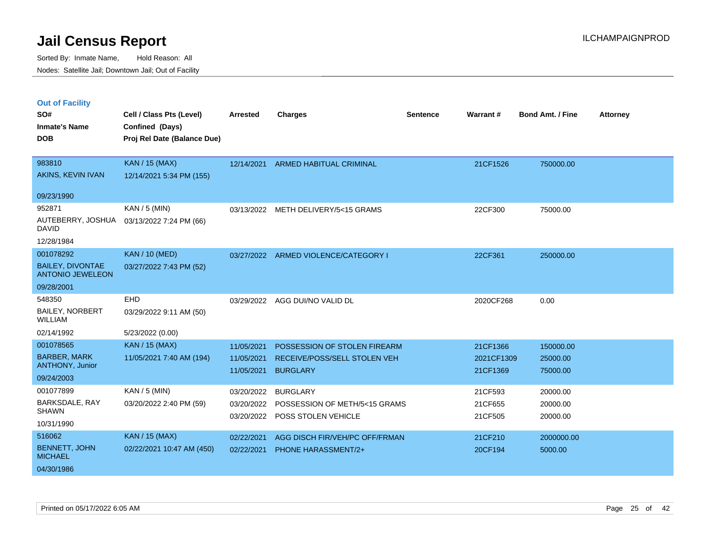|  | <b>Out of Facility</b> |  |
|--|------------------------|--|
|  |                        |  |
|  |                        |  |
|  |                        |  |

| SO#<br><b>Inmate's Name</b><br><b>DOB</b>                      | Cell / Class Pts (Level)<br>Confined (Days)<br>Proj Rel Date (Balance Due) | <b>Arrested</b>                        | <b>Charges</b>                                                          | <b>Sentence</b> | Warrant#                      | <b>Bond Amt. / Fine</b>          | <b>Attorney</b> |
|----------------------------------------------------------------|----------------------------------------------------------------------------|----------------------------------------|-------------------------------------------------------------------------|-----------------|-------------------------------|----------------------------------|-----------------|
| 983810<br>AKINS, KEVIN IVAN                                    | <b>KAN / 15 (MAX)</b><br>12/14/2021 5:34 PM (155)                          | 12/14/2021                             | <b>ARMED HABITUAL CRIMINAL</b>                                          |                 | 21CF1526                      | 750000.00                        |                 |
| 09/23/1990                                                     |                                                                            |                                        |                                                                         |                 |                               |                                  |                 |
| 952871<br>AUTEBERRY, JOSHUA<br><b>DAVID</b><br>12/28/1984      | $KAN / 5$ (MIN)<br>03/13/2022 7:24 PM (66)                                 | 03/13/2022                             | METH DELIVERY/5<15 GRAMS                                                |                 | 22CF300                       | 75000.00                         |                 |
| 001078292                                                      | <b>KAN / 10 (MED)</b>                                                      |                                        | 03/27/2022 ARMED VIOLENCE/CATEGORY I                                    |                 | 22CF361                       | 250000.00                        |                 |
| <b>BAILEY, DIVONTAE</b><br><b>ANTONIO JEWELEON</b>             | 03/27/2022 7:43 PM (52)                                                    |                                        |                                                                         |                 |                               |                                  |                 |
| 09/28/2001                                                     |                                                                            |                                        |                                                                         |                 |                               |                                  |                 |
| 548350<br><b>BAILEY, NORBERT</b><br>WILLIAM<br>02/14/1992      | EHD<br>03/29/2022 9:11 AM (50)<br>5/23/2022 (0.00)                         | 03/29/2022                             | AGG DUI/NO VALID DL                                                     |                 | 2020CF268                     | 0.00                             |                 |
| 001078565                                                      | KAN / 15 (MAX)                                                             | 11/05/2021                             | POSSESSION OF STOLEN FIREARM                                            |                 | 21CF1366                      | 150000.00                        |                 |
| <b>BARBER, MARK</b><br><b>ANTHONY, Junior</b><br>09/24/2003    | 11/05/2021 7:40 AM (194)                                                   | 11/05/2021<br>11/05/2021               | RECEIVE/POSS/SELL STOLEN VEH<br><b>BURGLARY</b>                         |                 | 2021CF1309<br>21CF1369        | 25000.00<br>75000.00             |                 |
| 001077899<br>BARKSDALE, RAY<br><b>SHAWN</b><br>10/31/1990      | KAN / 5 (MIN)<br>03/20/2022 2:40 PM (59)                                   | 03/20/2022<br>03/20/2022<br>03/20/2022 | <b>BURGLARY</b><br>POSSESSION OF METH/5<15 GRAMS<br>POSS STOLEN VEHICLE |                 | 21CF593<br>21CF655<br>21CF505 | 20000.00<br>20000.00<br>20000.00 |                 |
| 516062<br><b>BENNETT, JOHN</b><br><b>MICHAEL</b><br>04/30/1986 | <b>KAN / 15 (MAX)</b><br>02/22/2021 10:47 AM (450)                         | 02/22/2021<br>02/22/2021               | AGG DISCH FIR/VEH/PC OFF/FRMAN<br><b>PHONE HARASSMENT/2+</b>            |                 | 21CF210<br>20CF194            | 2000000.00<br>5000.00            |                 |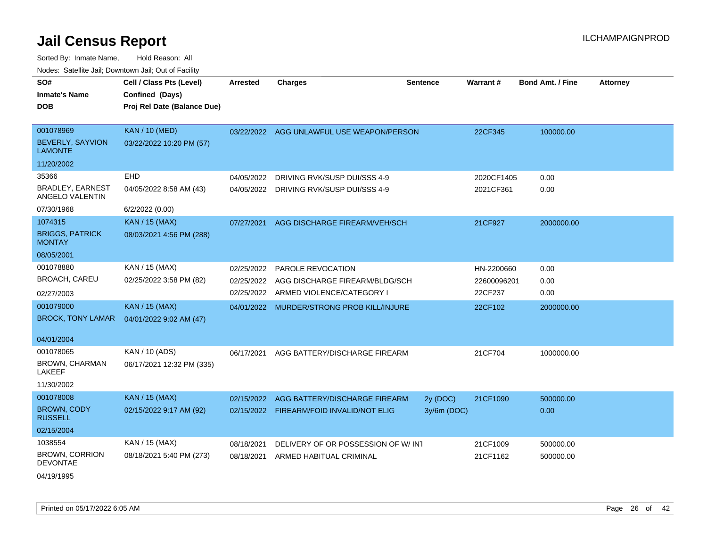| SO#                                        | Cell / Class Pts (Level)    | <b>Arrested</b> | <b>Charges</b>                            | <b>Sentence</b> | Warrant#    | <b>Bond Amt. / Fine</b> | <b>Attorney</b> |
|--------------------------------------------|-----------------------------|-----------------|-------------------------------------------|-----------------|-------------|-------------------------|-----------------|
| <b>Inmate's Name</b>                       | Confined (Days)             |                 |                                           |                 |             |                         |                 |
| <b>DOB</b>                                 | Proj Rel Date (Balance Due) |                 |                                           |                 |             |                         |                 |
|                                            |                             |                 |                                           |                 |             |                         |                 |
| 001078969                                  | <b>KAN / 10 (MED)</b>       |                 | 03/22/2022 AGG UNLAWFUL USE WEAPON/PERSON |                 | 22CF345     | 100000.00               |                 |
| <b>BEVERLY, SAYVION</b><br><b>LAMONTE</b>  | 03/22/2022 10:20 PM (57)    |                 |                                           |                 |             |                         |                 |
| 11/20/2002                                 |                             |                 |                                           |                 |             |                         |                 |
| 35366                                      | EHD                         | 04/05/2022      | DRIVING RVK/SUSP DUI/SSS 4-9              |                 | 2020CF1405  | 0.00                    |                 |
| <b>BRADLEY, EARNEST</b><br>ANGELO VALENTIN | 04/05/2022 8:58 AM (43)     | 04/05/2022      | DRIVING RVK/SUSP DUI/SSS 4-9              |                 | 2021CF361   | 0.00                    |                 |
| 07/30/1968                                 | 6/2/2022 (0.00)             |                 |                                           |                 |             |                         |                 |
| 1074315                                    | <b>KAN / 15 (MAX)</b>       | 07/27/2021      | AGG DISCHARGE FIREARM/VEH/SCH             |                 | 21CF927     | 2000000.00              |                 |
| <b>BRIGGS, PATRICK</b><br><b>MONTAY</b>    | 08/03/2021 4:56 PM (288)    |                 |                                           |                 |             |                         |                 |
| 08/05/2001                                 |                             |                 |                                           |                 |             |                         |                 |
| 001078880                                  | KAN / 15 (MAX)              | 02/25/2022      | <b>PAROLE REVOCATION</b>                  |                 | HN-2200660  | 0.00                    |                 |
| <b>BROACH, CAREU</b>                       | 02/25/2022 3:58 PM (82)     | 02/25/2022      | AGG DISCHARGE FIREARM/BLDG/SCH            |                 | 22600096201 | 0.00                    |                 |
| 02/27/2003                                 |                             |                 | 02/25/2022 ARMED VIOLENCE/CATEGORY I      |                 | 22CF237     | 0.00                    |                 |
| 001079000                                  | <b>KAN / 15 (MAX)</b>       |                 | 04/01/2022 MURDER/STRONG PROB KILL/INJURE |                 | 22CF102     | 2000000.00              |                 |
| <b>BROCK, TONY LAMAR</b>                   | 04/01/2022 9:02 AM (47)     |                 |                                           |                 |             |                         |                 |
|                                            |                             |                 |                                           |                 |             |                         |                 |
| 04/01/2004                                 |                             |                 |                                           |                 |             |                         |                 |
| 001078065<br>BROWN, CHARMAN                | KAN / 10 (ADS)              | 06/17/2021      | AGG BATTERY/DISCHARGE FIREARM             |                 | 21CF704     | 1000000.00              |                 |
| LAKEEF                                     | 06/17/2021 12:32 PM (335)   |                 |                                           |                 |             |                         |                 |
| 11/30/2002                                 |                             |                 |                                           |                 |             |                         |                 |
| 001078008                                  | <b>KAN / 15 (MAX)</b>       |                 | 02/15/2022 AGG BATTERY/DISCHARGE FIREARM  | 2y (DOC)        | 21CF1090    | 500000.00               |                 |
| <b>BROWN, CODY</b><br><b>RUSSELL</b>       | 02/15/2022 9:17 AM (92)     |                 | 02/15/2022 FIREARM/FOID INVALID/NOT ELIG  | 3y/6m (DOC)     |             | 0.00                    |                 |
| 02/15/2004                                 |                             |                 |                                           |                 |             |                         |                 |
| 1038554                                    | KAN / 15 (MAX)              | 08/18/2021      | DELIVERY OF OR POSSESSION OF W/INT        |                 | 21CF1009    | 500000.00               |                 |
| <b>BROWN, CORRION</b><br><b>DEVONTAE</b>   | 08/18/2021 5:40 PM (273)    | 08/18/2021      | ARMED HABITUAL CRIMINAL                   |                 | 21CF1162    | 500000.00               |                 |
| 04/19/1995                                 |                             |                 |                                           |                 |             |                         |                 |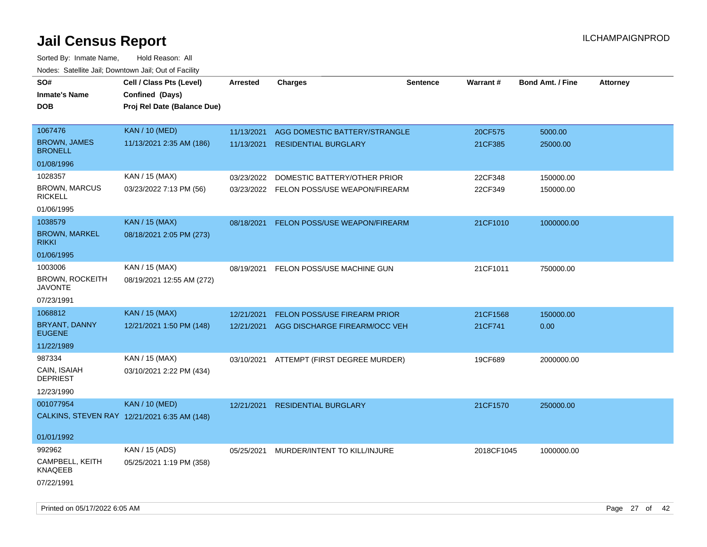| SO#<br><b>Inmate's Name</b>              | Cell / Class Pts (Level)<br>Confined (Days)  | Arrested   | <b>Charges</b>                           | <b>Sentence</b> | <b>Warrant#</b> | <b>Bond Amt. / Fine</b> | <b>Attorney</b> |
|------------------------------------------|----------------------------------------------|------------|------------------------------------------|-----------------|-----------------|-------------------------|-----------------|
| <b>DOB</b>                               | Proj Rel Date (Balance Due)                  |            |                                          |                 |                 |                         |                 |
| 1067476                                  | <b>KAN / 10 (MED)</b>                        | 11/13/2021 | AGG DOMESTIC BATTERY/STRANGLE            |                 | 20CF575         | 5000.00                 |                 |
| <b>BROWN, JAMES</b><br><b>BRONELL</b>    | 11/13/2021 2:35 AM (186)                     | 11/13/2021 | <b>RESIDENTIAL BURGLARY</b>              |                 | 21CF385         | 25000.00                |                 |
| 01/08/1996                               |                                              |            |                                          |                 |                 |                         |                 |
| 1028357                                  | KAN / 15 (MAX)                               | 03/23/2022 | DOMESTIC BATTERY/OTHER PRIOR             |                 | 22CF348         | 150000.00               |                 |
| <b>BROWN, MARCUS</b><br><b>RICKELL</b>   | 03/23/2022 7:13 PM (56)                      |            | 03/23/2022 FELON POSS/USE WEAPON/FIREARM |                 | 22CF349         | 150000.00               |                 |
| 01/06/1995                               |                                              |            |                                          |                 |                 |                         |                 |
| 1038579                                  | <b>KAN / 15 (MAX)</b>                        | 08/18/2021 | FELON POSS/USE WEAPON/FIREARM            |                 | 21CF1010        | 1000000.00              |                 |
| <b>BROWN, MARKEL</b><br><b>RIKKI</b>     | 08/18/2021 2:05 PM (273)                     |            |                                          |                 |                 |                         |                 |
| 01/06/1995                               |                                              |            |                                          |                 |                 |                         |                 |
| 1003006                                  | KAN / 15 (MAX)                               | 08/19/2021 | FELON POSS/USE MACHINE GUN               |                 | 21CF1011        | 750000.00               |                 |
| <b>BROWN, ROCKEITH</b><br><b>JAVONTE</b> | 08/19/2021 12:55 AM (272)                    |            |                                          |                 |                 |                         |                 |
| 07/23/1991                               |                                              |            |                                          |                 |                 |                         |                 |
| 1068812                                  | <b>KAN / 15 (MAX)</b>                        | 12/21/2021 | FELON POSS/USE FIREARM PRIOR             |                 | 21CF1568        | 150000.00               |                 |
| BRYANT, DANNY<br><b>EUGENE</b>           | 12/21/2021 1:50 PM (148)                     | 12/21/2021 | AGG DISCHARGE FIREARM/OCC VEH            |                 | 21CF741         | 0.00                    |                 |
| 11/22/1989                               |                                              |            |                                          |                 |                 |                         |                 |
| 987334                                   | KAN / 15 (MAX)                               |            | 03/10/2021 ATTEMPT (FIRST DEGREE MURDER) |                 | 19CF689         | 2000000.00              |                 |
| CAIN, ISAIAH<br><b>DEPRIEST</b>          | 03/10/2021 2:22 PM (434)                     |            |                                          |                 |                 |                         |                 |
| 12/23/1990                               |                                              |            |                                          |                 |                 |                         |                 |
| 001077954                                | <b>KAN / 10 (MED)</b>                        | 12/21/2021 | <b>RESIDENTIAL BURGLARY</b>              |                 | 21CF1570        | 250000.00               |                 |
|                                          | CALKINS, STEVEN RAY 12/21/2021 6:35 AM (148) |            |                                          |                 |                 |                         |                 |
| 01/01/1992                               |                                              |            |                                          |                 |                 |                         |                 |
| 992962                                   | KAN / 15 (ADS)                               | 05/25/2021 | MURDER/INTENT TO KILL/INJURE             |                 | 2018CF1045      | 1000000.00              |                 |
| CAMPBELL, KEITH<br>KNAQEEB               | 05/25/2021 1:19 PM (358)                     |            |                                          |                 |                 |                         |                 |
| 07/22/1991                               |                                              |            |                                          |                 |                 |                         |                 |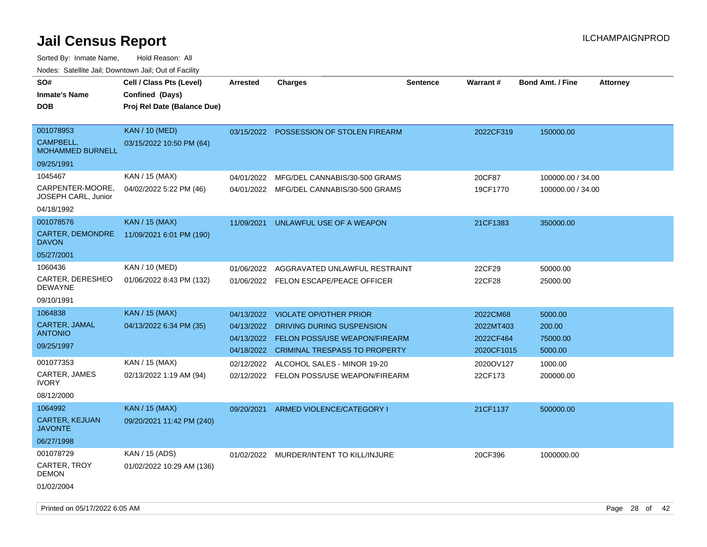Sorted By: Inmate Name, Hold Reason: All Nodes: Satellite Jail; Downtown Jail; Out of Facility

| SO#<br><b>Inmate's Name</b><br><b>DOB</b>                       | Cell / Class Pts (Level)<br>Confined (Days)<br>Proj Rel Date (Balance Due) | <b>Arrested</b> | <b>Charges</b>                          | <b>Sentence</b> | Warrant#   | <b>Bond Amt. / Fine</b> | <b>Attorney</b> |
|-----------------------------------------------------------------|----------------------------------------------------------------------------|-----------------|-----------------------------------------|-----------------|------------|-------------------------|-----------------|
| 001078953<br>CAMPBELL,<br><b>MOHAMMED BURNELL</b><br>09/25/1991 | <b>KAN / 10 (MED)</b><br>03/15/2022 10:50 PM (64)                          | 03/15/2022      | POSSESSION OF STOLEN FIREARM            |                 | 2022CF319  | 150000.00               |                 |
| 1045467                                                         | KAN / 15 (MAX)                                                             | 04/01/2022      | MFG/DEL CANNABIS/30-500 GRAMS           |                 | 20CF87     | 100000.00 / 34.00       |                 |
| CARPENTER-MOORE,<br><b>JOSEPH CARL, Junior</b>                  | 04/02/2022 5:22 PM (46)                                                    | 04/01/2022      | MFG/DEL CANNABIS/30-500 GRAMS           |                 | 19CF1770   | 100000.00 / 34.00       |                 |
| 04/18/1992                                                      |                                                                            |                 |                                         |                 |            |                         |                 |
| 001078576                                                       | <b>KAN / 15 (MAX)</b>                                                      | 11/09/2021      | UNLAWFUL USE OF A WEAPON                |                 | 21CF1383   | 350000.00               |                 |
| CARTER, DEMONDRE<br><b>DAVON</b>                                | 11/09/2021 6:01 PM (190)                                                   |                 |                                         |                 |            |                         |                 |
| 05/27/2001                                                      |                                                                            |                 |                                         |                 |            |                         |                 |
| 1060436                                                         | KAN / 10 (MED)                                                             | 01/06/2022      | AGGRAVATED UNLAWFUL RESTRAINT           |                 | 22CF29     | 50000.00                |                 |
| CARTER, DERESHEO<br><b>DEWAYNE</b>                              | 01/06/2022 8:43 PM (132)                                                   | 01/06/2022      | FELON ESCAPE/PEACE OFFICER              |                 | 22CF28     | 25000.00                |                 |
| 09/10/1991                                                      |                                                                            |                 |                                         |                 |            |                         |                 |
| 1064838                                                         | <b>KAN / 15 (MAX)</b>                                                      | 04/13/2022      | <b>VIOLATE OP/OTHER PRIOR</b>           |                 | 2022CM68   | 5000.00                 |                 |
| CARTER, JAMAL<br><b>ANTONIO</b>                                 | 04/13/2022 6:34 PM (35)                                                    | 04/13/2022      | DRIVING DURING SUSPENSION               |                 | 2022MT403  | 200.00                  |                 |
| 09/25/1997                                                      |                                                                            | 04/13/2022      | <b>FELON POSS/USE WEAPON/FIREARM</b>    |                 | 2022CF464  | 75000.00                |                 |
|                                                                 |                                                                            | 04/18/2022      | <b>CRIMINAL TRESPASS TO PROPERTY</b>    |                 | 2020CF1015 | 5000.00                 |                 |
| 001077353                                                       | KAN / 15 (MAX)                                                             | 02/12/2022      | ALCOHOL SALES - MINOR 19-20             |                 | 2020OV127  | 1000.00                 |                 |
| CARTER, JAMES<br><b>IVORY</b>                                   | 02/13/2022 1:19 AM (94)                                                    | 02/12/2022      | FELON POSS/USE WEAPON/FIREARM           |                 | 22CF173    | 200000.00               |                 |
| 08/12/2000                                                      |                                                                            |                 |                                         |                 |            |                         |                 |
| 1064992                                                         | KAN / 15 (MAX)                                                             | 09/20/2021      | ARMED VIOLENCE/CATEGORY I               |                 | 21CF1137   | 500000.00               |                 |
| <b>CARTER, KEJUAN</b><br><b>JAVONTE</b>                         | 09/20/2021 11:42 PM (240)                                                  |                 |                                         |                 |            |                         |                 |
| 06/27/1998                                                      |                                                                            |                 |                                         |                 |            |                         |                 |
| 001078729                                                       | KAN / 15 (ADS)                                                             |                 | 01/02/2022 MURDER/INTENT TO KILL/INJURE |                 | 20CF396    | 1000000.00              |                 |
| CARTER, TROY<br><b>DEMON</b>                                    | 01/02/2022 10:29 AM (136)                                                  |                 |                                         |                 |            |                         |                 |
| 01/02/2004                                                      |                                                                            |                 |                                         |                 |            |                         |                 |

Printed on 05/17/2022 6:05 AM Page 28 of 42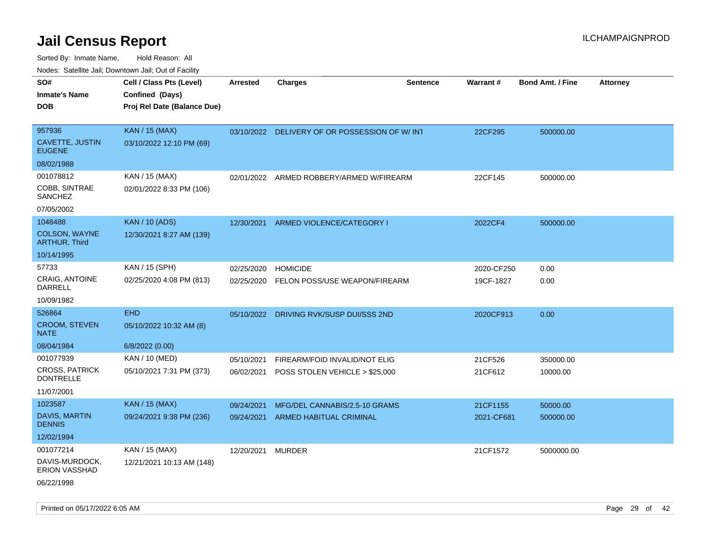Sorted By: Inmate Name, Hold Reason: All Nodes: Satellite Jail; Downtown Jail; Out of Facility

| roaco. Catolino cali, Domntonn cali, Out of Facility |                             |            |                                               |                 |            |                         |                 |
|------------------------------------------------------|-----------------------------|------------|-----------------------------------------------|-----------------|------------|-------------------------|-----------------|
| SO#                                                  | Cell / Class Pts (Level)    | Arrested   | <b>Charges</b>                                | <b>Sentence</b> | Warrant#   | <b>Bond Amt. / Fine</b> | <b>Attorney</b> |
| <b>Inmate's Name</b>                                 | Confined (Days)             |            |                                               |                 |            |                         |                 |
| <b>DOB</b>                                           | Proj Rel Date (Balance Due) |            |                                               |                 |            |                         |                 |
|                                                      |                             |            |                                               |                 |            |                         |                 |
| 957936                                               | KAN / 15 (MAX)              |            | 03/10/2022 DELIVERY OF OR POSSESSION OF W/INT |                 | 22CF295    | 500000.00               |                 |
| CAVETTE, JUSTIN<br><b>EUGENE</b>                     | 03/10/2022 12:10 PM (69)    |            |                                               |                 |            |                         |                 |
| 08/02/1988                                           |                             |            |                                               |                 |            |                         |                 |
| 001078812                                            | KAN / 15 (MAX)              | 02/01/2022 | ARMED ROBBERY/ARMED W/FIREARM                 |                 | 22CF145    | 500000.00               |                 |
| COBB, SINTRAE<br>SANCHEZ                             | 02/01/2022 8:33 PM (106)    |            |                                               |                 |            |                         |                 |
| 07/05/2002                                           |                             |            |                                               |                 |            |                         |                 |
| 1048488                                              | <b>KAN / 10 (ADS)</b>       | 12/30/2021 | ARMED VIOLENCE/CATEGORY I                     |                 | 2022CF4    | 500000.00               |                 |
| COLSON, WAYNE<br><b>ARTHUR, Third</b>                | 12/30/2021 8:27 AM (139)    |            |                                               |                 |            |                         |                 |
| 10/14/1995                                           |                             |            |                                               |                 |            |                         |                 |
| 57733                                                | KAN / 15 (SPH)              | 02/25/2020 | <b>HOMICIDE</b>                               |                 | 2020-CF250 | 0.00                    |                 |
| <b>CRAIG, ANTOINE</b><br><b>DARRELL</b>              | 02/25/2020 4:08 PM (813)    | 02/25/2020 | FELON POSS/USE WEAPON/FIREARM                 |                 | 19CF-1827  | 0.00                    |                 |
| 10/09/1982                                           |                             |            |                                               |                 |            |                         |                 |
| 526864                                               | <b>EHD</b>                  |            | 05/10/2022 DRIVING RVK/SUSP DUI/SSS 2ND       |                 | 2020CF913  | 0.00                    |                 |
| <b>CROOM, STEVEN</b><br><b>NATE</b>                  | 05/10/2022 10:32 AM (8)     |            |                                               |                 |            |                         |                 |
| 08/04/1984                                           | 6/8/2022 (0.00)             |            |                                               |                 |            |                         |                 |
| 001077939                                            | KAN / 10 (MED)              | 05/10/2021 | FIREARM/FOID INVALID/NOT ELIG                 |                 | 21CF526    | 350000.00               |                 |
| CROSS, PATRICK<br><b>DONTRELLE</b>                   | 05/10/2021 7:31 PM (373)    | 06/02/2021 | POSS STOLEN VEHICLE > \$25,000                |                 | 21CF612    | 10000.00                |                 |
| 11/07/2001                                           |                             |            |                                               |                 |            |                         |                 |
| 1023587                                              | <b>KAN / 15 (MAX)</b>       | 09/24/2021 | MFG/DEL CANNABIS/2.5-10 GRAMS                 |                 | 21CF1155   | 50000.00                |                 |
| <b>DAVIS, MARTIN</b><br><b>DENNIS</b>                | 09/24/2021 9:38 PM (236)    | 09/24/2021 | <b>ARMED HABITUAL CRIMINAL</b>                |                 | 2021-CF681 | 500000.00               |                 |
| 12/02/1994                                           |                             |            |                                               |                 |            |                         |                 |
| 001077214                                            | KAN / 15 (MAX)              | 12/20/2021 | <b>MURDER</b>                                 |                 | 21CF1572   | 5000000.00              |                 |
| DAVIS-MURDOCK,<br><b>ERION VASSHAD</b>               | 12/21/2021 10:13 AM (148)   |            |                                               |                 |            |                         |                 |
| 06/22/1998                                           |                             |            |                                               |                 |            |                         |                 |

Printed on 05/17/2022 6:05 AM Page 29 of 42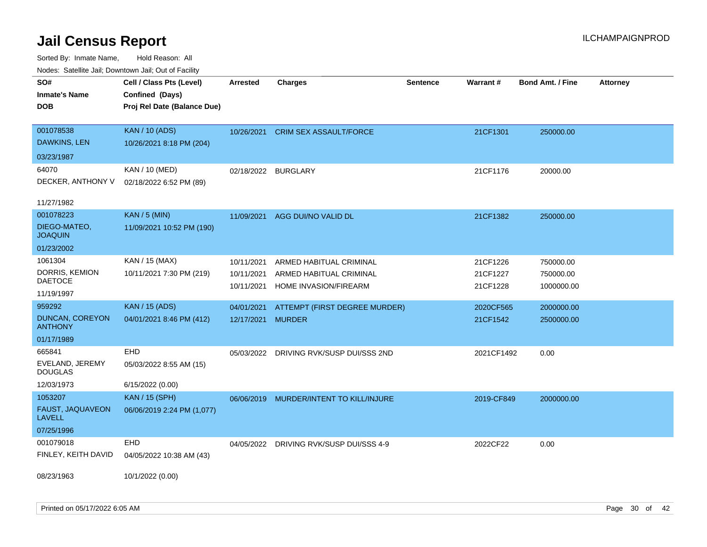| Noues. Sateme Jan, Downtown Jan, Out of Facility |                             |                     |                               |                 |            |                         |                 |
|--------------------------------------------------|-----------------------------|---------------------|-------------------------------|-----------------|------------|-------------------------|-----------------|
| SO#                                              | Cell / Class Pts (Level)    | Arrested            | <b>Charges</b>                | <b>Sentence</b> | Warrant#   | <b>Bond Amt. / Fine</b> | <b>Attorney</b> |
| <b>Inmate's Name</b>                             | Confined (Days)             |                     |                               |                 |            |                         |                 |
| DOB                                              | Proj Rel Date (Balance Due) |                     |                               |                 |            |                         |                 |
|                                                  |                             |                     |                               |                 |            |                         |                 |
| 001078538                                        | <b>KAN / 10 (ADS)</b>       | 10/26/2021          | <b>CRIM SEX ASSAULT/FORCE</b> |                 | 21CF1301   | 250000.00               |                 |
| DAWKINS, LEN                                     | 10/26/2021 8:18 PM (204)    |                     |                               |                 |            |                         |                 |
| 03/23/1987                                       |                             |                     |                               |                 |            |                         |                 |
| 64070                                            | KAN / 10 (MED)              | 02/18/2022 BURGLARY |                               |                 | 21CF1176   | 20000.00                |                 |
| DECKER, ANTHONY V                                | 02/18/2022 6:52 PM (89)     |                     |                               |                 |            |                         |                 |
|                                                  |                             |                     |                               |                 |            |                         |                 |
| 11/27/1982                                       |                             |                     |                               |                 |            |                         |                 |
| 001078223                                        | <b>KAN / 5 (MIN)</b>        | 11/09/2021          | AGG DUI/NO VALID DL           |                 | 21CF1382   | 250000.00               |                 |
| DIEGO-MATEO,<br><b>JOAQUIN</b>                   | 11/09/2021 10:52 PM (190)   |                     |                               |                 |            |                         |                 |
| 01/23/2002                                       |                             |                     |                               |                 |            |                         |                 |
| 1061304                                          | KAN / 15 (MAX)              | 10/11/2021          | ARMED HABITUAL CRIMINAL       |                 | 21CF1226   | 750000.00               |                 |
| DORRIS, KEMION                                   | 10/11/2021 7:30 PM (219)    | 10/11/2021          | ARMED HABITUAL CRIMINAL       |                 | 21CF1227   | 750000.00               |                 |
| DAETOCE                                          |                             | 10/11/2021          | <b>HOME INVASION/FIREARM</b>  |                 | 21CF1228   | 1000000.00              |                 |
| 11/19/1997                                       |                             |                     |                               |                 |            |                         |                 |
| 959292                                           | <b>KAN / 15 (ADS)</b>       | 04/01/2021          | ATTEMPT (FIRST DEGREE MURDER) |                 | 2020CF565  | 2000000.00              |                 |
| <b>DUNCAN, COREYON</b><br><b>ANTHONY</b>         | 04/01/2021 8:46 PM (412)    | 12/17/2021          | <b>MURDER</b>                 |                 | 21CF1542   | 2500000.00              |                 |
| 01/17/1989                                       |                             |                     |                               |                 |            |                         |                 |
| 665841                                           | <b>EHD</b>                  | 05/03/2022          | DRIVING RVK/SUSP DUI/SSS 2ND  |                 | 2021CF1492 | 0.00                    |                 |
| EVELAND, JEREMY<br><b>DOUGLAS</b>                | 05/03/2022 8:55 AM (15)     |                     |                               |                 |            |                         |                 |
| 12/03/1973                                       | 6/15/2022 (0.00)            |                     |                               |                 |            |                         |                 |
| 1053207                                          | <b>KAN / 15 (SPH)</b>       | 06/06/2019          | MURDER/INTENT TO KILL/INJURE  |                 | 2019-CF849 | 2000000.00              |                 |
| FAUST, JAQUAVEON<br><b>LAVELL</b>                | 06/06/2019 2:24 PM (1,077)  |                     |                               |                 |            |                         |                 |
| 07/25/1996                                       |                             |                     |                               |                 |            |                         |                 |
| 001079018                                        | <b>EHD</b>                  | 04/05/2022          | DRIVING RVK/SUSP DUI/SSS 4-9  |                 | 2022CF22   | 0.00                    |                 |
| FINLEY, KEITH DAVID                              | 04/05/2022 10:38 AM (43)    |                     |                               |                 |            |                         |                 |
|                                                  |                             |                     |                               |                 |            |                         |                 |
| 08/23/1963                                       | 10/1/2022 (0.00)            |                     |                               |                 |            |                         |                 |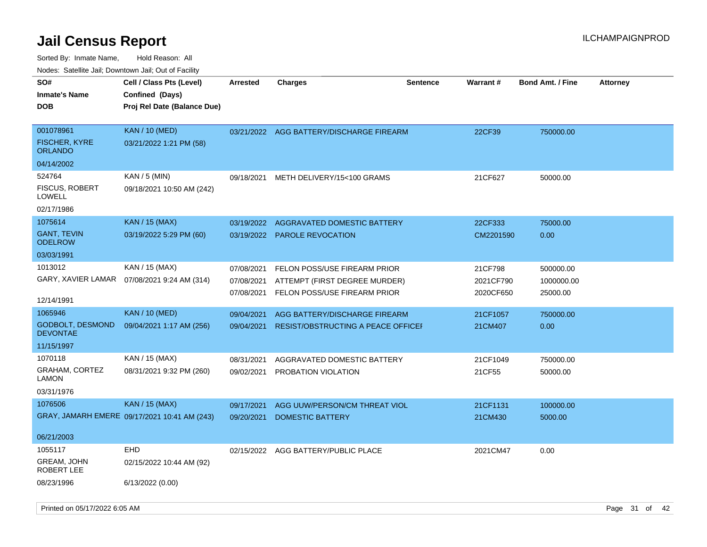| rougs. Calcing Jan, Downtown Jan, Out of Facility |                                              |            |                                           |                 |                 |                         |                 |
|---------------------------------------------------|----------------------------------------------|------------|-------------------------------------------|-----------------|-----------------|-------------------------|-----------------|
| SO#                                               | Cell / Class Pts (Level)                     | Arrested   | Charges                                   | <b>Sentence</b> | <b>Warrant#</b> | <b>Bond Amt. / Fine</b> | <b>Attorney</b> |
| <b>Inmate's Name</b>                              | Confined (Days)                              |            |                                           |                 |                 |                         |                 |
| <b>DOB</b>                                        | Proj Rel Date (Balance Due)                  |            |                                           |                 |                 |                         |                 |
|                                                   |                                              |            |                                           |                 |                 |                         |                 |
| 001078961                                         | <b>KAN / 10 (MED)</b>                        |            | 03/21/2022 AGG BATTERY/DISCHARGE FIREARM  |                 | 22CF39          | 750000.00               |                 |
| <b>FISCHER, KYRE</b><br>ORLANDO                   | 03/21/2022 1:21 PM (58)                      |            |                                           |                 |                 |                         |                 |
| 04/14/2002                                        |                                              |            |                                           |                 |                 |                         |                 |
| 524764                                            | $KAN / 5$ (MIN)                              | 09/18/2021 | METH DELIVERY/15<100 GRAMS                |                 | 21CF627         | 50000.00                |                 |
| <b>FISCUS, ROBERT</b><br>LOWELL                   | 09/18/2021 10:50 AM (242)                    |            |                                           |                 |                 |                         |                 |
| 02/17/1986                                        |                                              |            |                                           |                 |                 |                         |                 |
| 1075614                                           | <b>KAN</b> / 15 (MAX)                        | 03/19/2022 | AGGRAVATED DOMESTIC BATTERY               |                 | 22CF333         | 75000.00                |                 |
| <b>GANT, TEVIN</b><br><b>ODELROW</b>              | 03/19/2022 5:29 PM (60)                      |            | 03/19/2022 PAROLE REVOCATION              |                 | CM2201590       | 0.00                    |                 |
| 03/03/1991                                        |                                              |            |                                           |                 |                 |                         |                 |
| 1013012                                           | KAN / 15 (MAX)                               | 07/08/2021 | FELON POSS/USE FIREARM PRIOR              |                 | 21CF798         | 500000.00               |                 |
|                                                   | GARY, XAVIER LAMAR  07/08/2021 9:24 AM (314) | 07/08/2021 | ATTEMPT (FIRST DEGREE MURDER)             |                 | 2021CF790       | 1000000.00              |                 |
|                                                   |                                              | 07/08/2021 | FELON POSS/USE FIREARM PRIOR              |                 | 2020CF650       | 25000.00                |                 |
| 12/14/1991                                        |                                              |            |                                           |                 |                 |                         |                 |
| 1065946                                           | <b>KAN / 10 (MED)</b>                        | 09/04/2021 | AGG BATTERY/DISCHARGE FIREARM             |                 | 21CF1057        | 750000.00               |                 |
| <b>GODBOLT, DESMOND</b><br><b>DEVONTAE</b>        | 09/04/2021 1:17 AM (256)                     | 09/04/2021 | <b>RESIST/OBSTRUCTING A PEACE OFFICEF</b> |                 | 21CM407         | 0.00                    |                 |
| 11/15/1997                                        |                                              |            |                                           |                 |                 |                         |                 |
| 1070118                                           | KAN / 15 (MAX)                               | 08/31/2021 | AGGRAVATED DOMESTIC BATTERY               |                 | 21CF1049        | 750000.00               |                 |
| <b>GRAHAM, CORTEZ</b><br>LAMON                    | 08/31/2021 9:32 PM (260)                     | 09/02/2021 | PROBATION VIOLATION                       |                 | 21CF55          | 50000.00                |                 |
| 03/31/1976                                        |                                              |            |                                           |                 |                 |                         |                 |
| 1076506                                           | <b>KAN / 15 (MAX)</b>                        | 09/17/2021 | AGG UUW/PERSON/CM THREAT VIOL             |                 | 21CF1131        | 100000.00               |                 |
|                                                   | GRAY, JAMARH EMERE 09/17/2021 10:41 AM (243) | 09/20/2021 | <b>DOMESTIC BATTERY</b>                   |                 | 21CM430         | 5000.00                 |                 |
| 06/21/2003                                        |                                              |            |                                           |                 |                 |                         |                 |
| 1055117                                           | <b>EHD</b>                                   |            | 02/15/2022 AGG BATTERY/PUBLIC PLACE       |                 | 2021CM47        | 0.00                    |                 |
| GREAM, JOHN<br>ROBERT LEE                         | 02/15/2022 10:44 AM (92)                     |            |                                           |                 |                 |                         |                 |
| 08/23/1996                                        | 6/13/2022 (0.00)                             |            |                                           |                 |                 |                         |                 |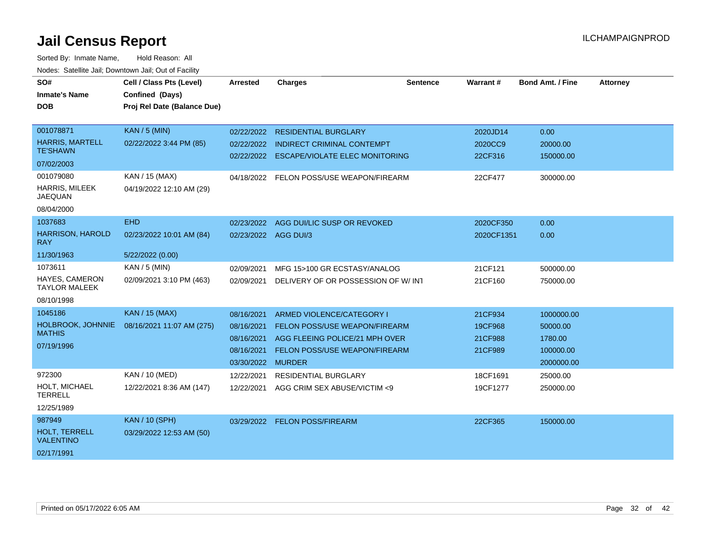| SO#                                       | Cell / Class Pts (Level)    | Arrested   | <b>Charges</b>                        | <b>Sentence</b> | Warrant#   | <b>Bond Amt. / Fine</b> | <b>Attorney</b> |
|-------------------------------------------|-----------------------------|------------|---------------------------------------|-----------------|------------|-------------------------|-----------------|
| <b>Inmate's Name</b>                      | Confined (Days)             |            |                                       |                 |            |                         |                 |
| <b>DOB</b>                                | Proj Rel Date (Balance Due) |            |                                       |                 |            |                         |                 |
|                                           |                             |            |                                       |                 |            |                         |                 |
| 001078871                                 | <b>KAN / 5 (MIN)</b>        | 02/22/2022 | <b>RESIDENTIAL BURGLARY</b>           |                 | 2020JD14   | 0.00                    |                 |
| <b>HARRIS, MARTELL</b><br><b>TE'SHAWN</b> | 02/22/2022 3:44 PM (85)     | 02/22/2022 | <b>INDIRECT CRIMINAL CONTEMPT</b>     |                 | 2020CC9    | 20000.00                |                 |
| 07/02/2003                                |                             | 02/22/2022 | <b>ESCAPE/VIOLATE ELEC MONITORING</b> |                 | 22CF316    | 150000.00               |                 |
| 001079080                                 | KAN / 15 (MAX)              | 04/18/2022 | FELON POSS/USE WEAPON/FIREARM         |                 | 22CF477    | 300000.00               |                 |
| HARRIS, MILEEK<br><b>JAEQUAN</b>          | 04/19/2022 12:10 AM (29)    |            |                                       |                 |            |                         |                 |
| 08/04/2000                                |                             |            |                                       |                 |            |                         |                 |
| 1037683                                   | <b>EHD</b>                  | 02/23/2022 | AGG DUI/LIC SUSP OR REVOKED           |                 | 2020CF350  | 0.00                    |                 |
| <b>HARRISON, HAROLD</b><br><b>RAY</b>     | 02/23/2022 10:01 AM (84)    |            | 02/23/2022 AGG DUI/3                  |                 | 2020CF1351 | 0.00                    |                 |
| 11/30/1963                                | 5/22/2022 (0.00)            |            |                                       |                 |            |                         |                 |
| 1073611                                   | KAN / 5 (MIN)               | 02/09/2021 | MFG 15>100 GR ECSTASY/ANALOG          |                 | 21CF121    | 500000.00               |                 |
| HAYES, CAMERON<br><b>TAYLOR MALEEK</b>    | 02/09/2021 3:10 PM (463)    | 02/09/2021 | DELIVERY OF OR POSSESSION OF W/INT    |                 | 21CF160    | 750000.00               |                 |
| 08/10/1998                                |                             |            |                                       |                 |            |                         |                 |
| 1045186                                   | <b>KAN / 15 (MAX)</b>       | 08/16/2021 | ARMED VIOLENCE/CATEGORY I             |                 | 21CF934    | 1000000.00              |                 |
| HOLBROOK, JOHNNIE                         | 08/16/2021 11:07 AM (275)   | 08/16/2021 | FELON POSS/USE WEAPON/FIREARM         |                 | 19CF968    | 50000.00                |                 |
| <b>MATHIS</b>                             |                             | 08/16/2021 | AGG FLEEING POLICE/21 MPH OVER        |                 | 21CF988    | 1780.00                 |                 |
| 07/19/1996                                |                             | 08/16/2021 | <b>FELON POSS/USE WEAPON/FIREARM</b>  |                 | 21CF989    | 100000.00               |                 |
|                                           |                             | 03/30/2022 | <b>MURDER</b>                         |                 |            | 2000000.00              |                 |
| 972300                                    | KAN / 10 (MED)              | 12/22/2021 | <b>RESIDENTIAL BURGLARY</b>           |                 | 18CF1691   | 25000.00                |                 |
| HOLT, MICHAEL<br><b>TERRELL</b>           | 12/22/2021 8:36 AM (147)    | 12/22/2021 | AGG CRIM SEX ABUSE/VICTIM <9          |                 | 19CF1277   | 250000.00               |                 |
| 12/25/1989                                |                             |            |                                       |                 |            |                         |                 |
| 987949                                    | <b>KAN / 10 (SPH)</b>       | 03/29/2022 | <b>FELON POSS/FIREARM</b>             |                 | 22CF365    | 150000.00               |                 |
| HOLT. TERRELL<br><b>VALENTINO</b>         | 03/29/2022 12:53 AM (50)    |            |                                       |                 |            |                         |                 |
| 02/17/1991                                |                             |            |                                       |                 |            |                         |                 |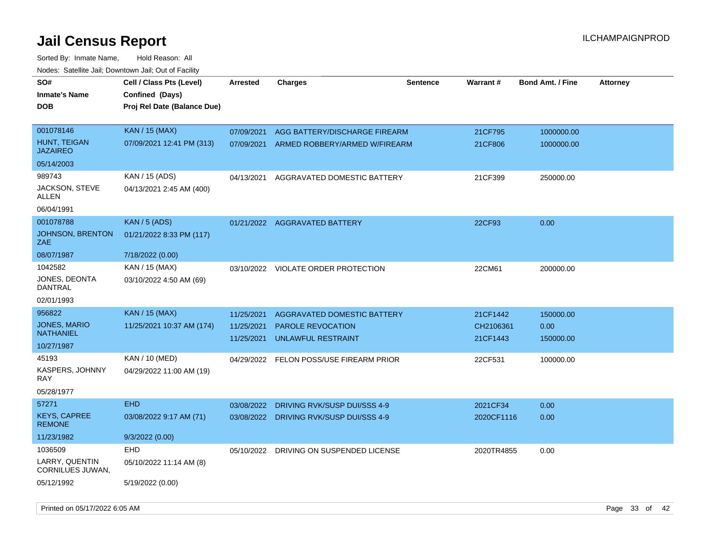| Todoo. Catolino can, Bowritown can, Oat or I domt<br>SO#<br><b>Inmate's Name</b><br><b>DOB</b> | Cell / Class Pts (Level)<br>Confined (Days)<br>Proj Rel Date (Balance Due) | <b>Arrested</b> | <b>Charges</b>                          | <b>Sentence</b> | Warrant#   | <b>Bond Amt. / Fine</b> | <b>Attorney</b> |
|------------------------------------------------------------------------------------------------|----------------------------------------------------------------------------|-----------------|-----------------------------------------|-----------------|------------|-------------------------|-----------------|
| 001078146                                                                                      | <b>KAN / 15 (MAX)</b>                                                      | 07/09/2021      | AGG BATTERY/DISCHARGE FIREARM           |                 | 21CF795    | 1000000.00              |                 |
| HUNT, TEIGAN<br><b>JAZAIREO</b>                                                                | 07/09/2021 12:41 PM (313)                                                  | 07/09/2021      | ARMED ROBBERY/ARMED W/FIREARM           |                 | 21CF806    | 1000000.00              |                 |
| 05/14/2003                                                                                     |                                                                            |                 |                                         |                 |            |                         |                 |
| 989743                                                                                         | KAN / 15 (ADS)                                                             | 04/13/2021      | AGGRAVATED DOMESTIC BATTERY             |                 | 21CF399    | 250000.00               |                 |
| <b>JACKSON, STEVE</b><br>ALLEN                                                                 | 04/13/2021 2:45 AM (400)                                                   |                 |                                         |                 |            |                         |                 |
| 06/04/1991                                                                                     |                                                                            |                 |                                         |                 |            |                         |                 |
| 001078788                                                                                      | <b>KAN / 5 (ADS)</b>                                                       | 01/21/2022      | <b>AGGRAVATED BATTERY</b>               |                 | 22CF93     | 0.00                    |                 |
| <b>JOHNSON, BRENTON</b><br>ZAE                                                                 | 01/21/2022 8:33 PM (117)                                                   |                 |                                         |                 |            |                         |                 |
| 08/07/1987                                                                                     | 7/18/2022 (0.00)                                                           |                 |                                         |                 |            |                         |                 |
| 1042582                                                                                        | KAN / 15 (MAX)                                                             |                 | 03/10/2022 VIOLATE ORDER PROTECTION     |                 | 22CM61     | 200000.00               |                 |
| JONES, DEONTA<br>DANTRAL                                                                       | 03/10/2022 4:50 AM (69)                                                    |                 |                                         |                 |            |                         |                 |
| 02/01/1993                                                                                     |                                                                            |                 |                                         |                 |            |                         |                 |
| 956822                                                                                         | <b>KAN / 15 (MAX)</b>                                                      | 11/25/2021      | AGGRAVATED DOMESTIC BATTERY             |                 | 21CF1442   | 150000.00               |                 |
| <b>JONES, MARIO</b><br><b>NATHANIEL</b>                                                        | 11/25/2021 10:37 AM (174)                                                  | 11/25/2021      | <b>PAROLE REVOCATION</b>                |                 | CH2106361  | 0.00                    |                 |
| 10/27/1987                                                                                     |                                                                            | 11/25/2021      | UNLAWFUL RESTRAINT                      |                 | 21CF1443   | 150000.00               |                 |
| 45193                                                                                          | KAN / 10 (MED)                                                             | 04/29/2022      | FELON POSS/USE FIREARM PRIOR            |                 | 22CF531    | 100000.00               |                 |
| KASPERS, JOHNNY<br>RAY                                                                         | 04/29/2022 11:00 AM (19)                                                   |                 |                                         |                 |            |                         |                 |
| 05/28/1977                                                                                     |                                                                            |                 |                                         |                 |            |                         |                 |
| 57271                                                                                          | <b>EHD</b>                                                                 | 03/08/2022      | DRIVING RVK/SUSP DUI/SSS 4-9            |                 | 2021CF34   | 0.00                    |                 |
| <b>KEYS, CAPREE</b><br><b>REMONE</b>                                                           | 03/08/2022 9:17 AM (71)                                                    |                 | 03/08/2022 DRIVING RVK/SUSP DUI/SSS 4-9 |                 | 2020CF1116 | 0.00                    |                 |
| 11/23/1982                                                                                     | 9/3/2022 (0.00)                                                            |                 |                                         |                 |            |                         |                 |
| 1036509                                                                                        | <b>EHD</b>                                                                 | 05/10/2022      | DRIVING ON SUSPENDED LICENSE            |                 | 2020TR4855 | 0.00                    |                 |
| LARRY, QUENTIN<br>CORNILUES JUWAN,                                                             | 05/10/2022 11:14 AM (8)                                                    |                 |                                         |                 |            |                         |                 |
| 05/12/1992                                                                                     | 5/19/2022 (0.00)                                                           |                 |                                         |                 |            |                         |                 |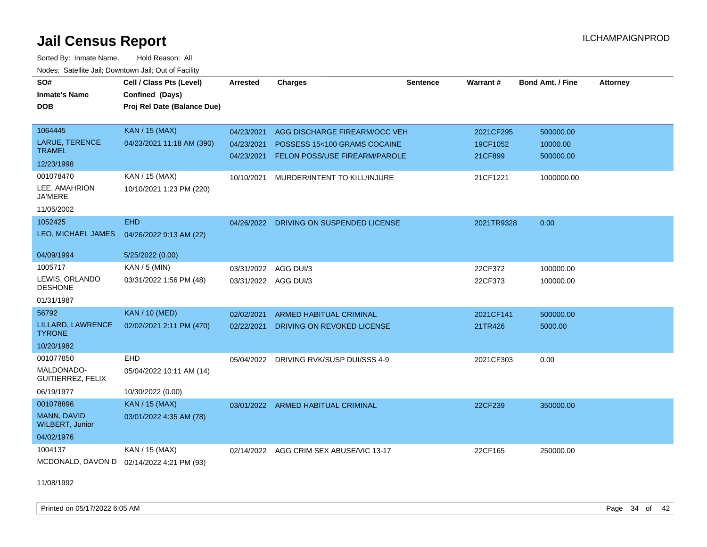Sorted By: Inmate Name, Hold Reason: All Nodes: Satellite Jail; Downtown Jail; Out of Facility

| SO#<br><b>Inmate's Name</b><br><b>DOB</b> | Cell / Class Pts (Level)<br>Confined (Days)<br>Proj Rel Date (Balance Due) | <b>Arrested</b>          | <b>Charges</b>                                                | <b>Sentence</b> | <b>Warrant#</b>     | <b>Bond Amt. / Fine</b> | <b>Attorney</b> |
|-------------------------------------------|----------------------------------------------------------------------------|--------------------------|---------------------------------------------------------------|-----------------|---------------------|-------------------------|-----------------|
| 1064445                                   | <b>KAN / 15 (MAX)</b>                                                      | 04/23/2021               | AGG DISCHARGE FIREARM/OCC VEH                                 |                 | 2021CF295           | 500000.00               |                 |
| LARUE, TERENCE<br><b>TRAMEL</b>           | 04/23/2021 11:18 AM (390)                                                  | 04/23/2021<br>04/23/2021 | POSSESS 15<100 GRAMS COCAINE<br>FELON POSS/USE FIREARM/PAROLE |                 | 19CF1052<br>21CF899 | 10000.00<br>500000.00   |                 |
| 12/23/1998                                |                                                                            |                          |                                                               |                 |                     |                         |                 |
| 001078470                                 | KAN / 15 (MAX)                                                             | 10/10/2021               | MURDER/INTENT TO KILL/INJURE                                  |                 | 21CF1221            | 1000000.00              |                 |
| LEE, AMAHRION<br><b>JA'MERE</b>           | 10/10/2021 1:23 PM (220)                                                   |                          |                                                               |                 |                     |                         |                 |
| 11/05/2002                                |                                                                            |                          |                                                               |                 |                     |                         |                 |
| 1052425                                   | <b>EHD</b>                                                                 |                          | 04/26/2022 DRIVING ON SUSPENDED LICENSE                       |                 | 2021TR9328          | 0.00                    |                 |
| LEO, MICHAEL JAMES                        | 04/26/2022 9:13 AM (22)                                                    |                          |                                                               |                 |                     |                         |                 |
| 04/09/1994                                | 5/25/2022 (0.00)                                                           |                          |                                                               |                 |                     |                         |                 |
| 1005717                                   | KAN / 5 (MIN)                                                              | 03/31/2022               | AGG DUI/3                                                     |                 | 22CF372             | 100000.00               |                 |
| LEWIS, ORLANDO<br><b>DESHONE</b>          | 03/31/2022 1:56 PM (48)                                                    |                          | 03/31/2022 AGG DUI/3                                          |                 | 22CF373             | 100000.00               |                 |
| 01/31/1987                                |                                                                            |                          |                                                               |                 |                     |                         |                 |
| 56792                                     | <b>KAN / 10 (MED)</b>                                                      | 02/02/2021               | <b>ARMED HABITUAL CRIMINAL</b>                                |                 | 2021CF141           | 500000.00               |                 |
| LILLARD, LAWRENCE<br><b>TYRONE</b>        | 02/02/2021 2:11 PM (470)                                                   | 02/22/2021               | DRIVING ON REVOKED LICENSE                                    |                 | 21TR426             | 5000.00                 |                 |
| 10/20/1982                                |                                                                            |                          |                                                               |                 |                     |                         |                 |
| 001077850                                 | EHD                                                                        |                          | 05/04/2022 DRIVING RVK/SUSP DUI/SSS 4-9                       |                 | 2021CF303           | 0.00                    |                 |
| MALDONADO-<br>GUITIERREZ, FELIX           | 05/04/2022 10:11 AM (14)                                                   |                          |                                                               |                 |                     |                         |                 |
| 06/19/1977                                | 10/30/2022 (0.00)                                                          |                          |                                                               |                 |                     |                         |                 |
| 001078896                                 | <b>KAN / 15 (MAX)</b>                                                      | 03/01/2022               | <b>ARMED HABITUAL CRIMINAL</b>                                |                 | 22CF239             | 350000.00               |                 |
| MANN, DAVID<br><b>WILBERT, Junior</b>     | 03/01/2022 4:35 AM (78)                                                    |                          |                                                               |                 |                     |                         |                 |
| 04/02/1976                                |                                                                            |                          |                                                               |                 |                     |                         |                 |
| 1004137                                   | KAN / 15 (MAX)                                                             | 02/14/2022               | AGG CRIM SEX ABUSE/VIC 13-17                                  |                 | 22CF165             | 250000.00               |                 |
| MCDONALD, DAVON D                         | 02/14/2022 4:21 PM (93)                                                    |                          |                                                               |                 |                     |                         |                 |

11/08/1992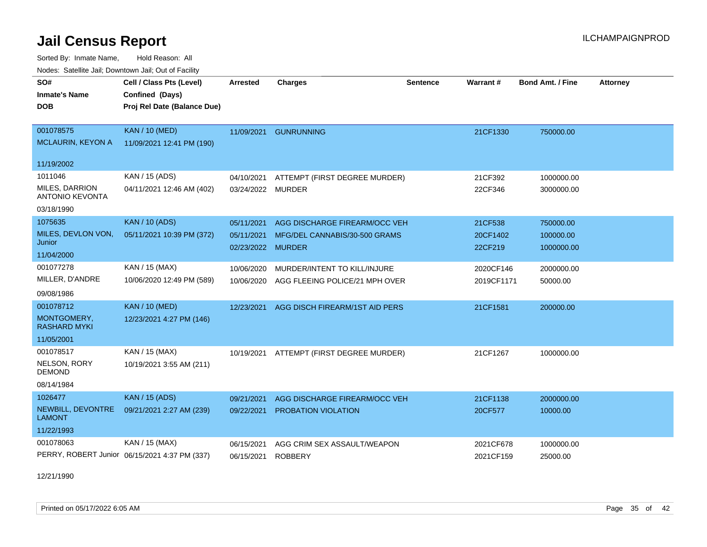Sorted By: Inmate Name, Hold Reason: All Nodes: Satellite Jail; Downtown Jail; Out of Facility

| vouco. Odichite dall, Downtown dall, Out of Facility |                                               |                   |                                          |                 |            |                  |                 |
|------------------------------------------------------|-----------------------------------------------|-------------------|------------------------------------------|-----------------|------------|------------------|-----------------|
| SO#                                                  | Cell / Class Pts (Level)                      | <b>Arrested</b>   | <b>Charges</b>                           | <b>Sentence</b> | Warrant#   | Bond Amt. / Fine | <b>Attorney</b> |
| <b>Inmate's Name</b>                                 | Confined (Days)                               |                   |                                          |                 |            |                  |                 |
| <b>DOB</b>                                           | Proj Rel Date (Balance Due)                   |                   |                                          |                 |            |                  |                 |
|                                                      |                                               |                   |                                          |                 |            |                  |                 |
| 001078575                                            | <b>KAN / 10 (MED)</b>                         | 11/09/2021        | <b>GUNRUNNING</b>                        |                 | 21CF1330   | 750000.00        |                 |
| <b>MCLAURIN, KEYON A</b>                             | 11/09/2021 12:41 PM (190)                     |                   |                                          |                 |            |                  |                 |
| 11/19/2002                                           |                                               |                   |                                          |                 |            |                  |                 |
| 1011046                                              | KAN / 15 (ADS)                                | 04/10/2021        | ATTEMPT (FIRST DEGREE MURDER)            |                 | 21CF392    | 1000000.00       |                 |
| MILES, DARRION<br><b>ANTONIO KEVONTA</b>             | 04/11/2021 12:46 AM (402)                     | 03/24/2022        | <b>MURDER</b>                            |                 | 22CF346    | 3000000.00       |                 |
| 03/18/1990                                           |                                               |                   |                                          |                 |            |                  |                 |
| 1075635                                              | <b>KAN / 10 (ADS)</b>                         | 05/11/2021        | AGG DISCHARGE FIREARM/OCC VEH            |                 | 21CF538    | 750000.00        |                 |
| MILES, DEVLON VON,                                   | 05/11/2021 10:39 PM (372)                     | 05/11/2021        | MFG/DEL CANNABIS/30-500 GRAMS            |                 | 20CF1402   | 100000.00        |                 |
| Junior                                               |                                               | 02/23/2022 MURDER |                                          |                 | 22CF219    | 1000000.00       |                 |
| 11/04/2000                                           |                                               |                   |                                          |                 |            |                  |                 |
| 001077278                                            | KAN / 15 (MAX)                                | 10/06/2020        | MURDER/INTENT TO KILL/INJURE             |                 | 2020CF146  | 2000000.00       |                 |
| MILLER, D'ANDRE                                      | 10/06/2020 12:49 PM (589)                     | 10/06/2020        | AGG FLEEING POLICE/21 MPH OVER           |                 | 2019CF1171 | 50000.00         |                 |
| 09/08/1986                                           |                                               |                   |                                          |                 |            |                  |                 |
| 001078712                                            | <b>KAN / 10 (MED)</b>                         | 12/23/2021        | AGG DISCH FIREARM/1ST AID PERS           |                 | 21CF1581   | 200000.00        |                 |
| MONTGOMERY,<br><b>RASHARD MYKI</b>                   | 12/23/2021 4:27 PM (146)                      |                   |                                          |                 |            |                  |                 |
| 11/05/2001                                           |                                               |                   |                                          |                 |            |                  |                 |
| 001078517                                            | KAN / 15 (MAX)                                |                   | 10/19/2021 ATTEMPT (FIRST DEGREE MURDER) |                 | 21CF1267   | 1000000.00       |                 |
| NELSON, RORY<br><b>DEMOND</b>                        | 10/19/2021 3:55 AM (211)                      |                   |                                          |                 |            |                  |                 |
| 08/14/1984                                           |                                               |                   |                                          |                 |            |                  |                 |
| 1026477                                              | <b>KAN / 15 (ADS)</b>                         | 09/21/2021        | AGG DISCHARGE FIREARM/OCC VEH            |                 | 21CF1138   | 2000000.00       |                 |
| NEWBILL, DEVONTRE<br><b>LAMONT</b>                   | 09/21/2021 2:27 AM (239)                      | 09/22/2021        | PROBATION VIOLATION                      |                 | 20CF577    | 10000.00         |                 |
| 11/22/1993                                           |                                               |                   |                                          |                 |            |                  |                 |
| 001078063                                            | <b>KAN / 15 (MAX)</b>                         | 06/15/2021        | AGG CRIM SEX ASSAULT/WEAPON              |                 | 2021CF678  | 1000000.00       |                 |
|                                                      | PERRY, ROBERT Junior 06/15/2021 4:37 PM (337) | 06/15/2021        | <b>ROBBERY</b>                           |                 | 2021CF159  | 25000.00         |                 |

12/21/1990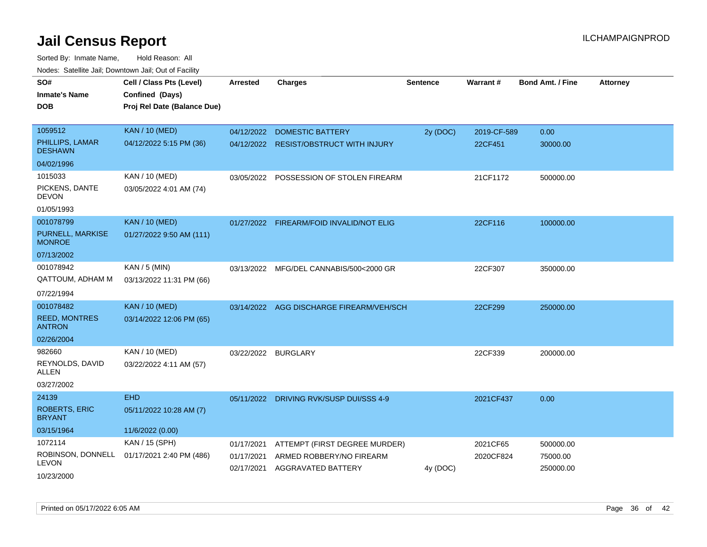| SO#                                   | Cell / Class Pts (Level)                       | <b>Arrested</b>     | <b>Charges</b>                           | <b>Sentence</b> | <b>Warrant#</b> | <b>Bond Amt. / Fine</b> | <b>Attorney</b> |
|---------------------------------------|------------------------------------------------|---------------------|------------------------------------------|-----------------|-----------------|-------------------------|-----------------|
| <b>Inmate's Name</b><br><b>DOB</b>    | Confined (Days)<br>Proj Rel Date (Balance Due) |                     |                                          |                 |                 |                         |                 |
| 1059512                               | <b>KAN / 10 (MED)</b>                          | 04/12/2022          | <b>DOMESTIC BATTERY</b>                  | 2y (DOC)        | 2019-CF-589     | 0.00                    |                 |
| PHILLIPS, LAMAR<br><b>DESHAWN</b>     | 04/12/2022 5:15 PM (36)                        |                     | 04/12/2022 RESIST/OBSTRUCT WITH INJURY   |                 | 22CF451         | 30000.00                |                 |
| 04/02/1996                            |                                                |                     |                                          |                 |                 |                         |                 |
| 1015033                               | KAN / 10 (MED)                                 | 03/05/2022          | POSSESSION OF STOLEN FIREARM             |                 | 21CF1172        | 500000.00               |                 |
| PICKENS, DANTE<br><b>DEVON</b>        | 03/05/2022 4:01 AM (74)                        |                     |                                          |                 |                 |                         |                 |
| 01/05/1993                            |                                                |                     |                                          |                 |                 |                         |                 |
| 001078799                             | <b>KAN / 10 (MED)</b>                          |                     | 01/27/2022 FIREARM/FOID INVALID/NOT ELIG |                 | 22CF116         | 100000.00               |                 |
| PURNELL, MARKISE<br><b>MONROE</b>     | 01/27/2022 9:50 AM (111)                       |                     |                                          |                 |                 |                         |                 |
| 07/13/2002                            |                                                |                     |                                          |                 |                 |                         |                 |
| 001078942                             | KAN / 5 (MIN)                                  | 03/13/2022          | MFG/DEL CANNABIS/500<2000 GR             |                 | 22CF307         | 350000.00               |                 |
| QATTOUM, ADHAM M                      | 03/13/2022 11:31 PM (66)                       |                     |                                          |                 |                 |                         |                 |
| 07/22/1994                            |                                                |                     |                                          |                 |                 |                         |                 |
| 001078482                             | <b>KAN / 10 (MED)</b>                          |                     | 03/14/2022 AGG DISCHARGE FIREARM/VEH/SCH |                 | 22CF299         | 250000.00               |                 |
| <b>REED, MONTRES</b><br><b>ANTRON</b> | 03/14/2022 12:06 PM (65)                       |                     |                                          |                 |                 |                         |                 |
| 02/26/2004                            |                                                |                     |                                          |                 |                 |                         |                 |
| 982660                                | KAN / 10 (MED)                                 | 03/22/2022 BURGLARY |                                          |                 | 22CF339         | 200000.00               |                 |
| REYNOLDS, DAVID<br>ALLEN              | 03/22/2022 4:11 AM (57)                        |                     |                                          |                 |                 |                         |                 |
| 03/27/2002                            |                                                |                     |                                          |                 |                 |                         |                 |
| 24139                                 | <b>EHD</b>                                     |                     | 05/11/2022 DRIVING RVK/SUSP DUI/SSS 4-9  |                 | 2021CF437       | 0.00                    |                 |
| <b>ROBERTS, ERIC</b><br><b>BRYANT</b> | 05/11/2022 10:28 AM (7)                        |                     |                                          |                 |                 |                         |                 |
| 03/15/1964                            | 11/6/2022 (0.00)                               |                     |                                          |                 |                 |                         |                 |
| 1072114                               | KAN / 15 (SPH)                                 | 01/17/2021          | ATTEMPT (FIRST DEGREE MURDER)            |                 | 2021CF65        | 500000.00               |                 |
| ROBINSON, DONNELL<br><b>LEVON</b>     | 01/17/2021 2:40 PM (486)                       | 01/17/2021          | ARMED ROBBERY/NO FIREARM                 |                 | 2020CF824       | 75000.00                |                 |
| 10/23/2000                            |                                                | 02/17/2021          | AGGRAVATED BATTERY                       | 4y (DOC)        |                 | 250000.00               |                 |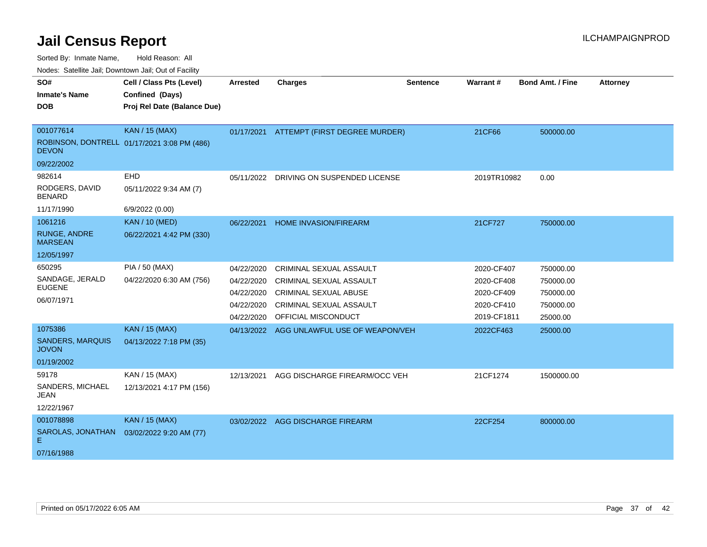| SO#                                     | Cell / Class Pts (Level)                    | <b>Arrested</b> | <b>Charges</b>                 | <b>Sentence</b> | <b>Warrant#</b> | <b>Bond Amt. / Fine</b> | <b>Attorney</b> |
|-----------------------------------------|---------------------------------------------|-----------------|--------------------------------|-----------------|-----------------|-------------------------|-----------------|
| <b>Inmate's Name</b>                    | Confined (Days)                             |                 |                                |                 |                 |                         |                 |
| <b>DOB</b>                              | Proj Rel Date (Balance Due)                 |                 |                                |                 |                 |                         |                 |
|                                         |                                             |                 |                                |                 |                 |                         |                 |
| 001077614                               | <b>KAN / 15 (MAX)</b>                       | 01/17/2021      | ATTEMPT (FIRST DEGREE MURDER)  |                 | 21CF66          | 500000.00               |                 |
| <b>DEVON</b>                            | ROBINSON, DONTRELL 01/17/2021 3:08 PM (486) |                 |                                |                 |                 |                         |                 |
| 09/22/2002                              |                                             |                 |                                |                 |                 |                         |                 |
| 982614                                  | <b>EHD</b>                                  | 05/11/2022      | DRIVING ON SUSPENDED LICENSE   |                 | 2019TR10982     | 0.00                    |                 |
| RODGERS, DAVID<br><b>BENARD</b>         | 05/11/2022 9:34 AM (7)                      |                 |                                |                 |                 |                         |                 |
| 11/17/1990                              | 6/9/2022 (0.00)                             |                 |                                |                 |                 |                         |                 |
| 1061216                                 | <b>KAN / 10 (MED)</b>                       | 06/22/2021      | <b>HOME INVASION/FIREARM</b>   |                 | 21CF727         | 750000.00               |                 |
| <b>RUNGE, ANDRE</b><br><b>MARSEAN</b>   | 06/22/2021 4:42 PM (330)                    |                 |                                |                 |                 |                         |                 |
| 12/05/1997                              |                                             |                 |                                |                 |                 |                         |                 |
| 650295                                  | PIA / 50 (MAX)                              | 04/22/2020      | CRIMINAL SEXUAL ASSAULT        |                 | 2020-CF407      | 750000.00               |                 |
| SANDAGE, JERALD                         | 04/22/2020 6:30 AM (756)                    | 04/22/2020      | <b>CRIMINAL SEXUAL ASSAULT</b> |                 | 2020-CF408      | 750000.00               |                 |
| <b>EUGENE</b>                           |                                             | 04/22/2020      | <b>CRIMINAL SEXUAL ABUSE</b>   |                 | 2020-CF409      | 750000.00               |                 |
| 06/07/1971                              |                                             | 04/22/2020      | <b>CRIMINAL SEXUAL ASSAULT</b> |                 | 2020-CF410      | 750000.00               |                 |
|                                         |                                             | 04/22/2020      | OFFICIAL MISCONDUCT            |                 | 2019-CF1811     | 25000.00                |                 |
| 1075386                                 | <b>KAN / 15 (MAX)</b>                       | 04/13/2022      | AGG UNLAWFUL USE OF WEAPON/VEH |                 | 2022CF463       | 25000.00                |                 |
| <b>SANDERS, MARQUIS</b><br><b>JOVON</b> | 04/13/2022 7:18 PM (35)                     |                 |                                |                 |                 |                         |                 |
| 01/19/2002                              |                                             |                 |                                |                 |                 |                         |                 |
| 59178                                   | KAN / 15 (MAX)                              | 12/13/2021      | AGG DISCHARGE FIREARM/OCC VEH  |                 | 21CF1274        | 1500000.00              |                 |
| SANDERS, MICHAEL<br>JEAN                | 12/13/2021 4:17 PM (156)                    |                 |                                |                 |                 |                         |                 |
| 12/22/1967                              |                                             |                 |                                |                 |                 |                         |                 |
| 001078898                               | <b>KAN / 15 (MAX)</b>                       | 03/02/2022      | <b>AGG DISCHARGE FIREARM</b>   |                 | 22CF254         | 800000.00               |                 |
| SAROLAS, JONATHAN<br>E.                 | 03/02/2022 9:20 AM (77)                     |                 |                                |                 |                 |                         |                 |
| 07/16/1988                              |                                             |                 |                                |                 |                 |                         |                 |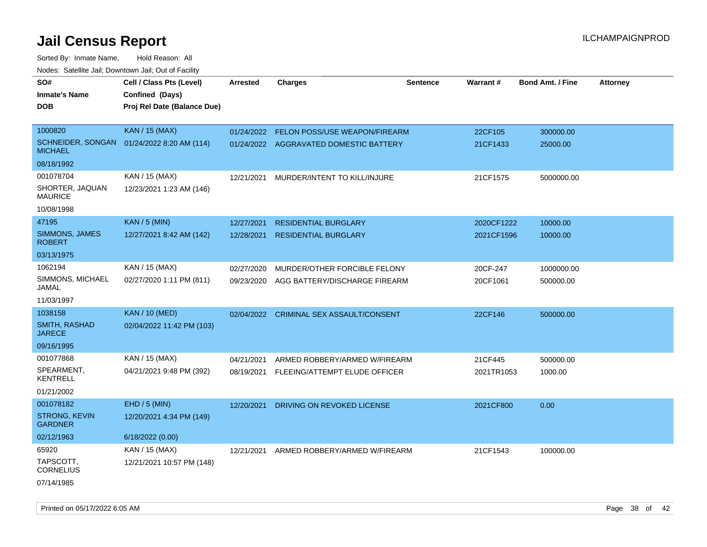| roucs. Calcillic Jali, Downtown Jali, Out of Facility |                                            |                 |                                        |                 |                 |                         |                 |
|-------------------------------------------------------|--------------------------------------------|-----------------|----------------------------------------|-----------------|-----------------|-------------------------|-----------------|
| SO#                                                   | Cell / Class Pts (Level)                   | <b>Arrested</b> | <b>Charges</b>                         | <b>Sentence</b> | <b>Warrant#</b> | <b>Bond Amt. / Fine</b> | <b>Attorney</b> |
| <b>Inmate's Name</b>                                  | Confined (Days)                            |                 |                                        |                 |                 |                         |                 |
| <b>DOB</b>                                            | Proj Rel Date (Balance Due)                |                 |                                        |                 |                 |                         |                 |
|                                                       |                                            |                 |                                        |                 |                 |                         |                 |
| 1000820                                               | <b>KAN / 15 (MAX)</b>                      | 01/24/2022      | FELON POSS/USE WEAPON/FIREARM          |                 | 22CF105         | 300000.00               |                 |
| <b>MICHAEL</b>                                        | SCHNEIDER, SONGAN 01/24/2022 8:20 AM (114) |                 | 01/24/2022 AGGRAVATED DOMESTIC BATTERY |                 | 21CF1433        | 25000.00                |                 |
| 08/18/1992                                            |                                            |                 |                                        |                 |                 |                         |                 |
| 001078704                                             | KAN / 15 (MAX)                             | 12/21/2021      | MURDER/INTENT TO KILL/INJURE           |                 | 21CF1575        | 5000000.00              |                 |
| SHORTER, JAQUAN<br><b>MAURICE</b>                     | 12/23/2021 1:23 AM (146)                   |                 |                                        |                 |                 |                         |                 |
| 10/08/1998                                            |                                            |                 |                                        |                 |                 |                         |                 |
| 47195                                                 | <b>KAN / 5 (MIN)</b>                       | 12/27/2021      | <b>RESIDENTIAL BURGLARY</b>            |                 | 2020CF1222      | 10000.00                |                 |
| SIMMONS, JAMES<br><b>ROBERT</b>                       | 12/27/2021 8:42 AM (142)                   | 12/28/2021      | <b>RESIDENTIAL BURGLARY</b>            |                 | 2021CF1596      | 10000.00                |                 |
| 03/13/1975                                            |                                            |                 |                                        |                 |                 |                         |                 |
| 1062194                                               | KAN / 15 (MAX)                             | 02/27/2020      | MURDER/OTHER FORCIBLE FELONY           |                 | 20CF-247        | 1000000.00              |                 |
| SIMMONS, MICHAEL<br>JAMAL                             | 02/27/2020 1:11 PM (811)                   | 09/23/2020      | AGG BATTERY/DISCHARGE FIREARM          |                 | 20CF1061        | 500000.00               |                 |
| 11/03/1997                                            |                                            |                 |                                        |                 |                 |                         |                 |
| 1038158                                               | <b>KAN / 10 (MED)</b>                      | 02/04/2022      | <b>CRIMINAL SEX ASSAULT/CONSENT</b>    |                 | 22CF146         | 500000.00               |                 |
| SMITH, RASHAD<br><b>JARECE</b>                        | 02/04/2022 11:42 PM (103)                  |                 |                                        |                 |                 |                         |                 |
| 09/16/1995                                            |                                            |                 |                                        |                 |                 |                         |                 |
| 001077868                                             | KAN / 15 (MAX)                             | 04/21/2021      | ARMED ROBBERY/ARMED W/FIREARM          |                 | 21CF445         | 500000.00               |                 |
| SPEARMENT,<br><b>KENTRELL</b>                         | 04/21/2021 9:48 PM (392)                   | 08/19/2021      | FLEEING/ATTEMPT ELUDE OFFICER          |                 | 2021TR1053      | 1000.00                 |                 |
| 01/21/2002                                            |                                            |                 |                                        |                 |                 |                         |                 |
| 001078182                                             | EHD / 5 (MIN)                              | 12/20/2021      | DRIVING ON REVOKED LICENSE             |                 | 2021CF800       | 0.00                    |                 |
| <b>STRONG, KEVIN</b><br><b>GARDNER</b>                | 12/20/2021 4:34 PM (149)                   |                 |                                        |                 |                 |                         |                 |
| 02/12/1963                                            | 6/18/2022 (0.00)                           |                 |                                        |                 |                 |                         |                 |
| 65920                                                 | KAN / 15 (MAX)                             | 12/21/2021      | ARMED ROBBERY/ARMED W/FIREARM          |                 | 21CF1543        | 100000.00               |                 |
| TAPSCOTT,<br><b>CORNELIUS</b>                         | 12/21/2021 10:57 PM (148)                  |                 |                                        |                 |                 |                         |                 |
| 07/14/1985                                            |                                            |                 |                                        |                 |                 |                         |                 |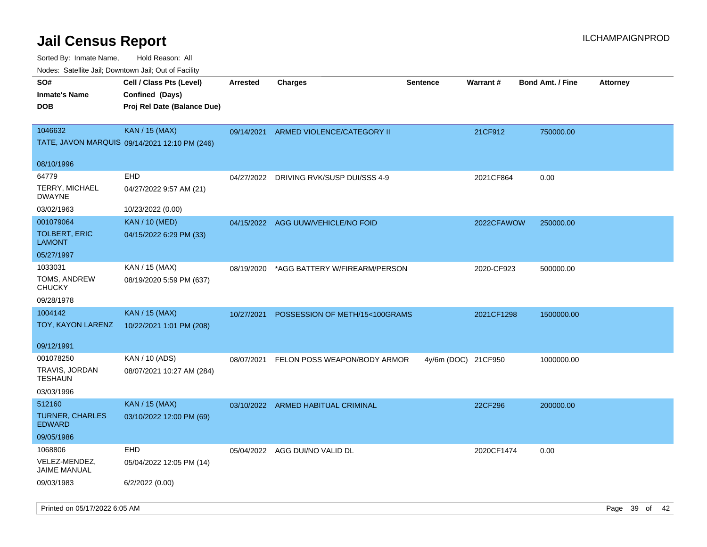| SO#<br><b>Inmate's Name</b><br><b>DOB</b> | Cell / Class Pts (Level)<br>Confined (Days)<br>Proj Rel Date (Balance Due) | <b>Arrested</b> | <b>Charges</b>                          | <b>Sentence</b>     | Warrant#   | <b>Bond Amt. / Fine</b><br><b>Attorney</b> |
|-------------------------------------------|----------------------------------------------------------------------------|-----------------|-----------------------------------------|---------------------|------------|--------------------------------------------|
| 1046632                                   | <b>KAN / 15 (MAX)</b><br>TATE, JAVON MARQUIS 09/14/2021 12:10 PM (246)     |                 | 09/14/2021 ARMED VIOLENCE/CATEGORY II   |                     | 21CF912    | 750000.00                                  |
| 08/10/1996                                |                                                                            |                 |                                         |                     |            |                                            |
| 64779                                     | EHD                                                                        |                 | 04/27/2022 DRIVING RVK/SUSP DUI/SSS 4-9 |                     | 2021CF864  | 0.00                                       |
| TERRY, MICHAEL<br><b>DWAYNE</b>           | 04/27/2022 9:57 AM (21)                                                    |                 |                                         |                     |            |                                            |
| 03/02/1963                                | 10/23/2022 (0.00)                                                          |                 |                                         |                     |            |                                            |
| 001079064                                 | <b>KAN</b> / 10 (MED)                                                      |                 | 04/15/2022 AGG UUW/VEHICLE/NO FOID      |                     | 2022CFAWOW | 250000.00                                  |
| <b>TOLBERT, ERIC</b><br><b>LAMONT</b>     | 04/15/2022 6:29 PM (33)                                                    |                 |                                         |                     |            |                                            |
| 05/27/1997                                |                                                                            |                 |                                         |                     |            |                                            |
| 1033031                                   | KAN / 15 (MAX)                                                             | 08/19/2020      | *AGG BATTERY W/FIREARM/PERSON           |                     | 2020-CF923 | 500000.00                                  |
| TOMS, ANDREW<br><b>CHUCKY</b>             | 08/19/2020 5:59 PM (637)                                                   |                 |                                         |                     |            |                                            |
| 09/28/1978                                |                                                                            |                 |                                         |                     |            |                                            |
| 1004142                                   | <b>KAN / 15 (MAX)</b>                                                      | 10/27/2021      | POSSESSION OF METH/15<100GRAMS          |                     | 2021CF1298 | 1500000.00                                 |
| TOY, KAYON LARENZ                         | 10/22/2021 1:01 PM (208)                                                   |                 |                                         |                     |            |                                            |
| 09/12/1991                                |                                                                            |                 |                                         |                     |            |                                            |
| 001078250                                 | KAN / 10 (ADS)                                                             | 08/07/2021      | FELON POSS WEAPON/BODY ARMOR            | 4y/6m (DOC) 21CF950 |            | 1000000.00                                 |
| TRAVIS, JORDAN<br><b>TESHAUN</b>          | 08/07/2021 10:27 AM (284)                                                  |                 |                                         |                     |            |                                            |
| 03/03/1996                                |                                                                            |                 |                                         |                     |            |                                            |
| 512160                                    | <b>KAN / 15 (MAX)</b>                                                      |                 | 03/10/2022 ARMED HABITUAL CRIMINAL      |                     | 22CF296    | 200000.00                                  |
| TURNER, CHARLES<br><b>EDWARD</b>          | 03/10/2022 12:00 PM (69)                                                   |                 |                                         |                     |            |                                            |
| 09/05/1986                                |                                                                            |                 |                                         |                     |            |                                            |
| 1068806                                   | EHD                                                                        | 05/04/2022      | AGG DUI/NO VALID DL                     |                     | 2020CF1474 | 0.00                                       |
| VELEZ-MENDEZ,<br><b>JAIME MANUAL</b>      | 05/04/2022 12:05 PM (14)                                                   |                 |                                         |                     |            |                                            |
| 09/03/1983                                | 6/2/2022 (0.00)                                                            |                 |                                         |                     |            |                                            |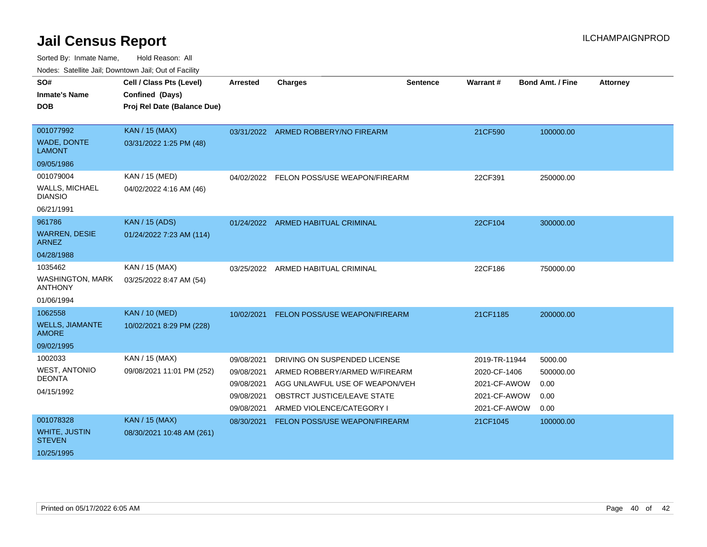| <b>Houce.</b> Catellite ball, Downtown ball, Out of Fability |                             |                 |                                          |                 |               |                         |                 |
|--------------------------------------------------------------|-----------------------------|-----------------|------------------------------------------|-----------------|---------------|-------------------------|-----------------|
| SO#                                                          | Cell / Class Pts (Level)    | <b>Arrested</b> | <b>Charges</b>                           | <b>Sentence</b> | Warrant#      | <b>Bond Amt. / Fine</b> | <b>Attorney</b> |
| <b>Inmate's Name</b>                                         | Confined (Days)             |                 |                                          |                 |               |                         |                 |
| <b>DOB</b>                                                   | Proj Rel Date (Balance Due) |                 |                                          |                 |               |                         |                 |
|                                                              |                             |                 |                                          |                 |               |                         |                 |
| 001077992                                                    | <b>KAN / 15 (MAX)</b>       |                 | 03/31/2022 ARMED ROBBERY/NO FIREARM      |                 | 21CF590       | 100000.00               |                 |
| WADE, DONTE<br><b>LAMONT</b>                                 | 03/31/2022 1:25 PM (48)     |                 |                                          |                 |               |                         |                 |
| 09/05/1986                                                   |                             |                 |                                          |                 |               |                         |                 |
| 001079004                                                    | KAN / 15 (MED)              |                 | 04/02/2022 FELON POSS/USE WEAPON/FIREARM |                 | 22CF391       | 250000.00               |                 |
| <b>WALLS, MICHAEL</b><br><b>DIANSIO</b>                      | 04/02/2022 4:16 AM (46)     |                 |                                          |                 |               |                         |                 |
| 06/21/1991                                                   |                             |                 |                                          |                 |               |                         |                 |
| 961786                                                       | <b>KAN</b> / 15 (ADS)       |                 | 01/24/2022 ARMED HABITUAL CRIMINAL       |                 | 22CF104       | 300000.00               |                 |
| <b>WARREN, DESIE</b><br><b>ARNEZ</b>                         | 01/24/2022 7:23 AM (114)    |                 |                                          |                 |               |                         |                 |
| 04/28/1988                                                   |                             |                 |                                          |                 |               |                         |                 |
| 1035462                                                      | KAN / 15 (MAX)              | 03/25/2022      | ARMED HABITUAL CRIMINAL                  |                 | 22CF186       | 750000.00               |                 |
| <b>WASHINGTON, MARK</b><br><b>ANTHONY</b>                    | 03/25/2022 8:47 AM (54)     |                 |                                          |                 |               |                         |                 |
| 01/06/1994                                                   |                             |                 |                                          |                 |               |                         |                 |
| 1062558                                                      | <b>KAN / 10 (MED)</b>       | 10/02/2021      | FELON POSS/USE WEAPON/FIREARM            |                 | 21CF1185      | 200000.00               |                 |
| <b>WELLS, JIAMANTE</b><br><b>AMORE</b>                       | 10/02/2021 8:29 PM (228)    |                 |                                          |                 |               |                         |                 |
| 09/02/1995                                                   |                             |                 |                                          |                 |               |                         |                 |
| 1002033                                                      | KAN / 15 (MAX)              | 09/08/2021      | DRIVING ON SUSPENDED LICENSE             |                 | 2019-TR-11944 | 5000.00                 |                 |
| <b>WEST, ANTONIO</b>                                         | 09/08/2021 11:01 PM (252)   | 09/08/2021      | ARMED ROBBERY/ARMED W/FIREARM            |                 | 2020-CF-1406  | 500000.00               |                 |
| <b>DEONTA</b>                                                |                             | 09/08/2021      | AGG UNLAWFUL USE OF WEAPON/VEH           |                 | 2021-CF-AWOW  | 0.00                    |                 |
| 04/15/1992                                                   |                             | 09/08/2021      | OBSTRCT JUSTICE/LEAVE STATE              |                 | 2021-CF-AWOW  | 0.00                    |                 |
|                                                              |                             | 09/08/2021      | ARMED VIOLENCE/CATEGORY I                |                 | 2021-CF-AWOW  | 0.00                    |                 |
| 001078328                                                    | <b>KAN / 15 (MAX)</b>       | 08/30/2021      | FELON POSS/USE WEAPON/FIREARM            |                 | 21CF1045      | 100000.00               |                 |
| <b>WHITE, JUSTIN</b><br><b>STEVEN</b>                        | 08/30/2021 10:48 AM (261)   |                 |                                          |                 |               |                         |                 |
| 10/25/1995                                                   |                             |                 |                                          |                 |               |                         |                 |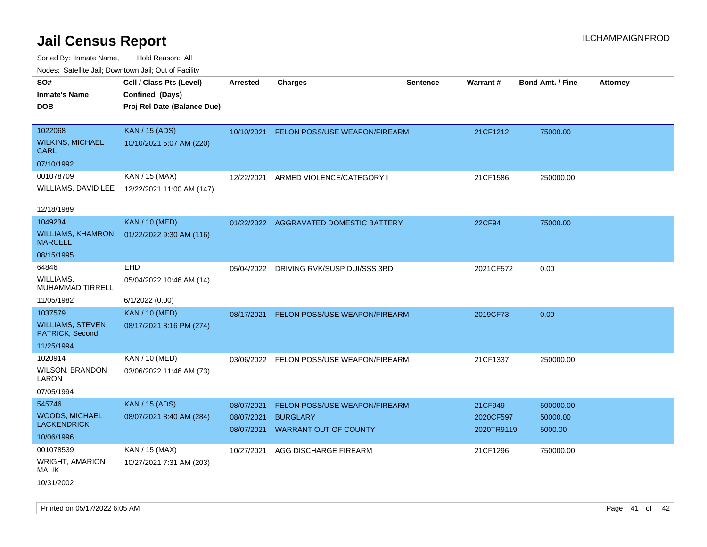|                                            | ivoues. Salellite Jali, Downtown Jali, Out of Facility |                 |                                          |                 |            |                         |                 |
|--------------------------------------------|--------------------------------------------------------|-----------------|------------------------------------------|-----------------|------------|-------------------------|-----------------|
| SO#                                        | Cell / Class Pts (Level)                               | <b>Arrested</b> | <b>Charges</b>                           | <b>Sentence</b> | Warrant#   | <b>Bond Amt. / Fine</b> | <b>Attorney</b> |
| Inmate's Name                              | Confined (Days)                                        |                 |                                          |                 |            |                         |                 |
| DOB                                        | Proj Rel Date (Balance Due)                            |                 |                                          |                 |            |                         |                 |
| 1022068                                    | <b>KAN / 15 (ADS)</b>                                  | 10/10/2021      | <b>FELON POSS/USE WEAPON/FIREARM</b>     |                 | 21CF1212   | 75000.00                |                 |
| <b>WILKINS, MICHAEL</b><br>CARL            | 10/10/2021 5:07 AM (220)                               |                 |                                          |                 |            |                         |                 |
| 07/10/1992                                 |                                                        |                 |                                          |                 |            |                         |                 |
| 001078709                                  | KAN / 15 (MAX)                                         | 12/22/2021      | ARMED VIOLENCE/CATEGORY I                |                 | 21CF1586   | 250000.00               |                 |
| WILLIAMS, DAVID LEE                        | 12/22/2021 11:00 AM (147)                              |                 |                                          |                 |            |                         |                 |
| 12/18/1989                                 |                                                        |                 |                                          |                 |            |                         |                 |
| 1049234                                    | <b>KAN / 10 (MED)</b>                                  | 01/22/2022      | AGGRAVATED DOMESTIC BATTERY              |                 | 22CF94     | 75000.00                |                 |
| WILLIAMS, KHAMRON<br>MARCELL               | 01/22/2022 9:30 AM (116)                               |                 |                                          |                 |            |                         |                 |
| 08/15/1995                                 |                                                        |                 |                                          |                 |            |                         |                 |
| 64846                                      | <b>EHD</b>                                             |                 | 05/04/2022 DRIVING RVK/SUSP DUI/SSS 3RD  |                 | 2021CF572  | 0.00                    |                 |
| WILLIAMS.<br>MUHAMMAD TIRRELL              | 05/04/2022 10:46 AM (14)                               |                 |                                          |                 |            |                         |                 |
| 11/05/1982                                 | 6/1/2022 (0.00)                                        |                 |                                          |                 |            |                         |                 |
| 1037579                                    | <b>KAN / 10 (MED)</b>                                  |                 | 08/17/2021 FELON POSS/USE WEAPON/FIREARM |                 | 2019CF73   | 0.00                    |                 |
| <b>WILLIAMS, STEVEN</b><br>PATRICK, Second | 08/17/2021 8:16 PM (274)                               |                 |                                          |                 |            |                         |                 |
| 11/25/1994                                 |                                                        |                 |                                          |                 |            |                         |                 |
| 1020914                                    | KAN / 10 (MED)                                         |                 | 03/06/2022 FELON POSS/USE WEAPON/FIREARM |                 | 21CF1337   | 250000.00               |                 |
| WILSON, BRANDON<br>LARON                   | 03/06/2022 11:46 AM (73)                               |                 |                                          |                 |            |                         |                 |
| 07/05/1994                                 |                                                        |                 |                                          |                 |            |                         |                 |
| 545746                                     | <b>KAN / 15 (ADS)</b>                                  | 08/07/2021      | <b>FELON POSS/USE WEAPON/FIREARM</b>     |                 | 21CF949    | 500000.00               |                 |
| WOODS, MICHAEL<br>LACKENDRICK              | 08/07/2021 8:40 AM (284)                               | 08/07/2021      | <b>BURGLARY</b>                          |                 | 2020CF597  | 50000.00                |                 |
| 10/06/1996                                 |                                                        | 08/07/2021      | <b>WARRANT OUT OF COUNTY</b>             |                 | 2020TR9119 | 5000.00                 |                 |
| 001078539                                  | KAN / 15 (MAX)                                         | 10/27/2021      | AGG DISCHARGE FIREARM                    |                 | 21CF1296   | 750000.00               |                 |
| WRIGHT, AMARION<br>MALIK                   | 10/27/2021 7:31 AM (203)                               |                 |                                          |                 |            |                         |                 |
| 10/31/2002                                 |                                                        |                 |                                          |                 |            |                         |                 |